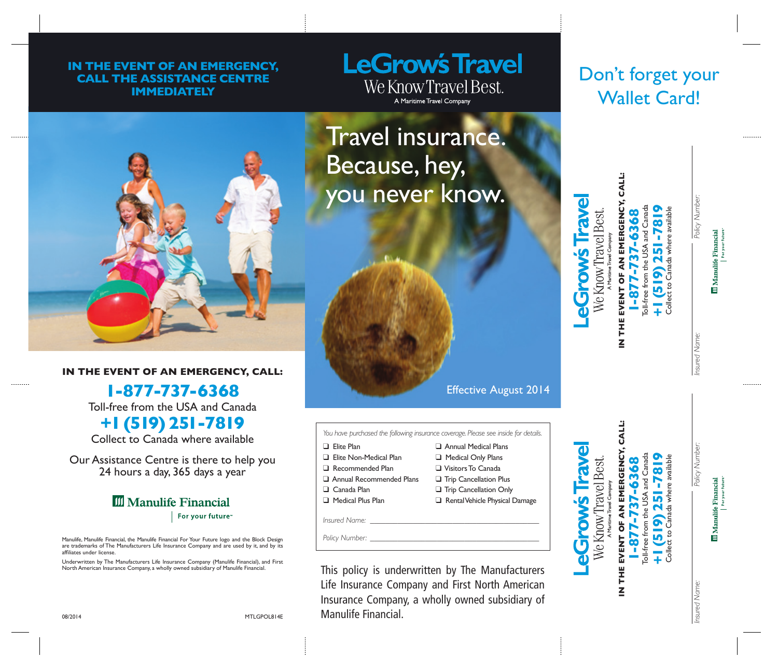## **IN THE EVENT OF AN EMERGENCY, CALL THE ASSISTANCE CENTRE IMMEDIATELY**

## **LeGrow's Travel** We Know Travel Best. A Maritime Travel Company

## Don't forget your Wallet Card!



## **IN THE EVENT OF AN EMERGENCY, CALL:**

**1-877-737-6368** Toll-free from the USA and Canada

**+1 (519) 251-7819**

Collect to Canada where available

Our Assistance Centre is there to help you 24 hours a day, 365 days a year

## **III** Manulife Financial For your future<sup>®</sup>

Manulife, Manulife Financial, the Manulife Financial For Your Future logo and the Block Design are trademarks of The Manufacturers Life Insurance Company and are used by it, and by its affiliates under license.

Underwritten by The Manufacturers Life Insurance Company (Manulife Financial), and First North American Insurance Company, a wholly owned subsidiary of Manulife Financial.

Travel insurance. Because, hey, you never know.



*You have purchased the following insurance coverage. Please see inside for details.*

- **Q** Elite Plan
- **D** Flite Non-Medical Plan **Q** Annual Medical Plans **Q** Medical Only Plans

**Q** Trip Cancellation Plus **Q** Trip Cancellation Only **Q** Rental Vehicle Physical Damage

- Recommended Plan q Visitors To Canada
- **Q** Annual Recommended Plans
- $\Box$  Canada Plan
- q Medical Plus Plan
- *Insured Name:*

*Policy Number:* 



**IN THE EVENT OF AN EMERGENCY, CALL: 1-877-737-6368** Toll-free from the USA and Canada **+1 (519) 251-7819** Collect to Canada where available

**Iraw** 

**SWONG** 

**Ne Know Travel Best** 

oll-free from the USA and Canada

37-6368

ר

 $-877$ 

Collect to Canada where available

251-781

 $(519)$ 

THE EVENT OF AN EMERGENCY,

z

**CALL:** 

*Insured Name: Policy Number:*Policy Number

**III** Manulife Financial

nsured Name.

Policy Numbe

**III** Manulife Financial

*Insured Name: Policy Number:* nsured Name:

Collect to Canada where available

Collect to Canada where available

This policy is underwritten by The Manufacturers Life Insurance Company and First North American Insurance Company, a wholly owned subsidiary of Manulife Financial.

08/2014 **F.P.O.** MTLGPOL814E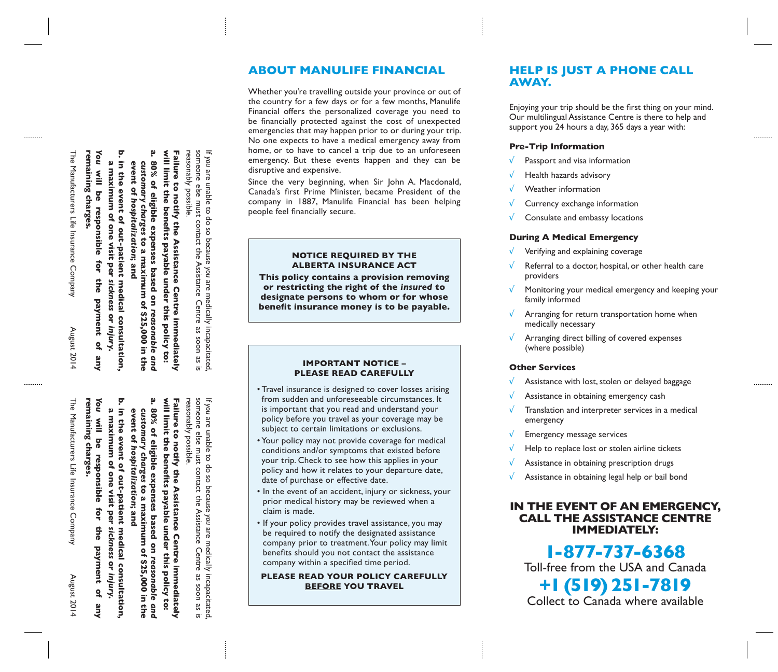## **ABOUT MANULIFE FINANCIAL HELP IS JUST A PHONE CALL**

Whether you're travelling outside your province or out of the country for a few days or for a few months, Manulife Financial offers the personalized coverage you need to be financially protected against the cost of unexpected emergencies that may happen prior to or during your trip. No one expects to have a medical emergency away from home, or to have to cancel a trip due to an unforeseen emergency. But these events happen and they can be disruptive and expensive.

Since the very beginning, when Sir John A. Macdonald, Canada's first Prime Minister, became President of the company in 1887, Manulife Financial has been helping people feel financially secure.

#### **NOTICE REQUIRED BY THE ALBERTA INSURANCE ACT**

**This policy contains a provision removing or restricting the right of the** *insured* **to designate persons to whom or for whose benefit insurance money is to be payable.**

#### **IMPORTANT NOTICE – PLEASE READ CAREFULLY**

- Travel insurance is designed to cover losses arising from sudden and unforeseeable circumstances. It is important that you read and understand your policy before you travel as your coverage may be subject to certain limitations or exclusions.
- Your policy may not provide coverage for medical conditions and/or symptoms that existed before your trip. Check to see how this applies in your policy and how it relates to your departure date, date of purchase or effective date.
- In the event of an accident, injury or sickness, your prior medical history may be reviewed when a claim is made.
- If your policy provides travel assistance, you may be required to notify the designated assistance company prior to treatment. Your policy may limit benefits should you not contact the assistance company within a specified time period.

**PLEASE READ YOUR POLICY CAREFULLY BEFORE YOU TRAVEL**

## **AWAY.**

Enjoying your trip should be the first thing on your mind. Our multilingual Assistance Centre is there to help and support you 24 hours a day, 365 days a year with:

## **Pre-Trip Information**

- Passport and visa information
- $\sqrt{\phantom{a}}$  Health hazards advisory
- √ Weather information
- $\sqrt{\phantom{a}}$  Currency exchange information
- $\sqrt{\phantom{a}}$  Consulate and embassy locations

#### **During A Medical Emergency**

- √ Verifying and explaining coverage
- $\sqrt{\phantom{a}}$  Referral to a doctor, hospital, or other health care providers
- $\sqrt{\phantom{a}}$  Monitoring your medical emergency and keeping your family informed
- $\sqrt{\phantom{a}}$  Arranging for return transportation home when medically necessary
- $\sqrt{\phantom{a}}$  Arranging direct billing of covered expenses (where possible)

## **Other Services**

- $\sqrt{\phantom{a}}$  Assistance with lost, stolen or delayed baggage
- $\sqrt{\phantom{a}}$  Assistance in obtaining emergency cash
- $\sqrt{\phantom{a}}$  Translation and interpreter services in a medical emergency
- $\sqrt{\phantom{a}}$  Emergency message services
- $\sqrt{\phantom{a}}$  Help to replace lost or stolen airline tickets
- $\sqrt{\phantom{a}}$  Assistance in obtaining prescription drugs
- $\sqrt{\phantom{a}}$  Assistance in obtaining legal help or bail bond

## **IN THE EVENT OF AN EMERGENCY, CALL THE ASSISTANCE CENTRE IMMEDIATELY:**

**1-877-737-6368** Toll-free from the USA and Canada **+1 (519) 251-7819** Collect to Canada where available

in the event of out-patient medical consultation, event of hospitalization; and customary **a maximum of one visit per in the event of out-patient medical consultation, event of** *customary chargeshospitalization*charges to a maximum of \$25,000 in  **to a maximum of \$25,000 in the**  *sickness* **or** *injury***.**  the

**b.**

**You** will be

a. 80% of eligible expenses based on reasonable and **will limit the benefits payable under this policy to: Failure to notify the Assistance Centre immediately** 

will limit the benefits payable under this policy to: Failure to notify the Assistance Centre immediately

*reasonable and* 

a. 80% of eligible expenses based on reasonable and **will limit the benefits payable under this policy to: Failure to notify the Assistance Centre immediately** 

*reasonable and* 

policy to:

 **to a maximum of \$25,000 in the** 

\$25,000 in the

**80% of eligible expenses based on** 

will limit the benefits payable under this

Failure to notify the Assistance Centre immediately

*customary charges*

customary charges to a maximum of

**event of** 

**b.**

**a maximum of one visit per** 

**in the event of out-patient medical consultation,** 

in the event of out-patient medical consultation,

*sickness*

 **or** 

*injury***.** 

 $\tilde{a}$ 

**Aue** 

*hospitalization*event of hospitalization; and **80% of eligible expenses based on** 

If you are unable to do so because you are medically incapacitated

someone else must contact the Assistance Centre as soon as is

someone else must contact the Assistance Centre

are medically incapacitated,

æ

**Soon** 

3S

ត:

If you are unable to do so because you are medically incapacitated

someone else must contact the Assistance Centre as soon as is

Centre

32

uoos:

l as is

contact the Assistance

are medically incapacitated,

are unable to do so because *you*

reasonably possible.

reasonably possible.

someone else must

are unable to do so because *you*

reasonably possible.

reasonably possible.

remaining charges. **remaining charges. will be responsible for the payment of any**  responsible tor the payment  $\frac{1}{2}$ **Aue You** will be

The Manufacturers Life Insurance Company The Manufacturers Life Insurance Company August 2014 remaining charges. **remaining charges.** August 2014

The Manufacturers Life Insurance Company The Manufacturers Life Insurance Company August 2014

August 2014

 **will be responsible for the payment of any**  responsible đ the<br> payment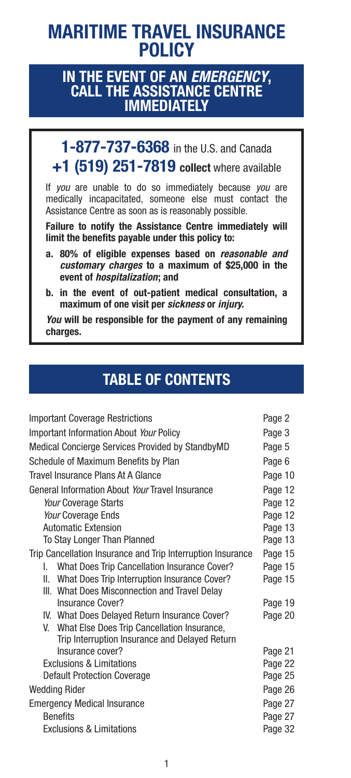## **MARITIME TRAVEL INSURANCE POLICY**

## **IN THE EVENT OF AN** *EMERGENCY***, CALL THE ASSISTANCE CENTRE IMMEDIATELY**

**1-877-737-6368** in the U.S. and Canada **+1 (519) 251-7819 collect** where available

If *you* are unable to do so immediately because *you* are medically incapacitated, someone else must contact the Assistance Centre as soon as is reasonably possible.

**Failure to notify the Assistance Centre immediately will limit the benefits payable under this policy to:**

- **a. 80% of eligible expenses based on** *reasonable and customary charges* **to a maximum of \$25,000 in the event of** *hospitalization***; and**
- **b. in the event of out-patient medical consultation, a maximum of one visit per** *sickness* **or** *injury***.**

*You* **will be responsible for the payment of any remaining charges.**

## **TABLE OF CONTENTS**

| <b>Important Coverage Restrictions</b>                      | Page 2  |
|-------------------------------------------------------------|---------|
| <b>Important Information About Your Policy</b>              | Page 3  |
| Medical Concierge Services Provided by StandbyMD            | Page 5  |
| Schedule of Maximum Benefits by Plan                        | Page 6  |
| Travel Insurance Plans At A Glance                          | Page 10 |
| General Information About Your Travel Insurance             | Page 12 |
| Your Coverage Starts                                        | Page 12 |
| Your Coverage Ends                                          | Page 12 |
| <b>Automatic Extension</b>                                  | Page 13 |
| To Stay Longer Than Planned                                 | Page 13 |
| Trip Cancellation Insurance and Trip Interruption Insurance | Page 15 |
| I. What Does Trip Cancellation Insurance Cover?             | Page 15 |
| II. What Does Trip Interruption Insurance Cover?            | Page 15 |
| III. What Does Misconnection and Travel Delay               |         |
| <b>Insurance Cover?</b>                                     | Page 19 |
| IV. What Does Delayed Return Insurance Cover?               | Page 20 |
| V. What Else Does Trip Cancellation Insurance,              |         |
| Trip Interruption Insurance and Delayed Return              |         |
| Insurance cover?                                            | Page 21 |
| <b>Exclusions &amp; Limitations</b>                         | Page 22 |
| <b>Default Protection Coverage</b>                          | Page 25 |
| Wedding Rider                                               | Page 26 |
| <b>Emergency Medical Insurance</b>                          | Page 27 |
| <b>Benefits</b>                                             | Page 27 |
| <b>Exclusions &amp; Limitations</b>                         | Page 32 |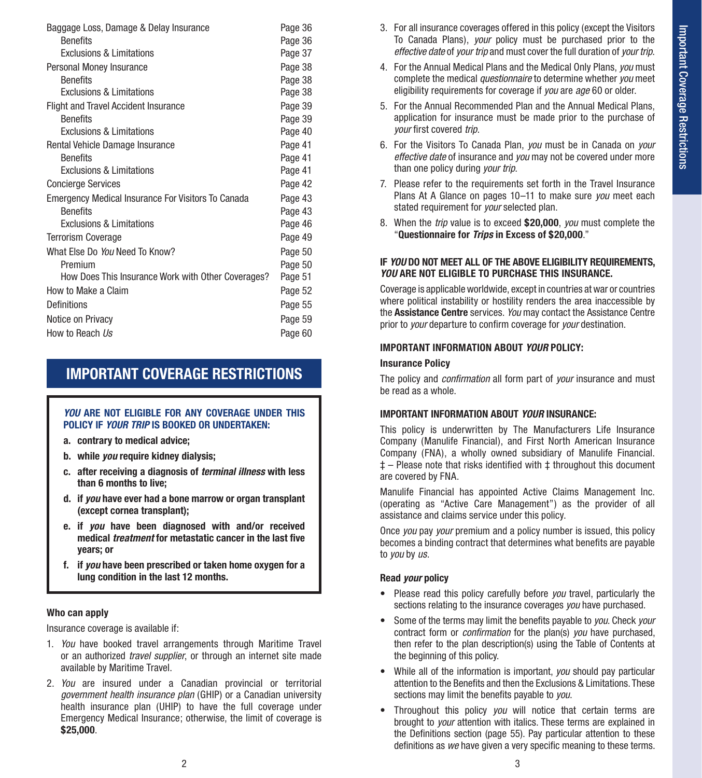| Baggage Loss, Damage & Delay Insurance             | Page 36 |
|----------------------------------------------------|---------|
| <b>Benefits</b>                                    | Page 36 |
| <b>Exclusions &amp; Limitations</b>                | Page 37 |
| Personal Money Insurance                           | Page 38 |
| <b>Benefits</b>                                    | Page 38 |
| Exclusions & Limitations                           | Page 38 |
| <b>Flight and Travel Accident Insurance</b>        | Page 39 |
| <b>Benefits</b>                                    | Page 39 |
| <b>Exclusions &amp; Limitations</b>                | Page 40 |
| Rental Vehicle Damage Insurance                    | Page 41 |
| <b>Benefits</b>                                    | Page 41 |
| <b>Exclusions &amp; Limitations</b>                | Page 41 |
| <b>Concierge Services</b>                          | Page 42 |
| Emergency Medical Insurance For Visitors To Canada | Page 43 |
| <b>Benefits</b>                                    | Page 43 |
| <b>Exclusions &amp; Limitations</b>                | Page 46 |
| <b>Terrorism Coverage</b>                          | Page 49 |
| What Fise Do You Need To Know?                     | Page 50 |
| Premium                                            | Page 50 |
| How Does This Insurance Work with Other Coverages? | Page 51 |
| How to Make a Claim                                | Page 52 |
| <b>Definitions</b>                                 | Page 55 |
| Notice on Privacy                                  | Page 59 |
| How to Reach Us                                    | Page 60 |
|                                                    |         |

## **IMPORTANT COVERAGE RESTRICTIONS**

#### *YOU* **ARE NOT ELIGIBLE FOR ANY COVERAGE UNDER THIS POLICY IF** *YOUR TRIP* **IS BOOKED OR UNDERTAKEN:**

- **a. contrary to medical advice;**
- **b. while** *you* **require kidney dialysis;**
- **c. after receiving a diagnosis of** *terminal illness* **with less than 6 months to live;**
- **d. if** *you* **have ever had a bone marrow or organ transplant (except cornea transplant);**
- **e. if** *you* **have been diagnosed with and/or received medical** *treatment* **for metastatic cancer in the last five years; or**
- **f. if** *you* **have been prescribed or taken home oxygen for a lung condition in the last 12 months.**

#### **Who can apply**

Insurance coverage is available if:

- 1. *You* have booked travel arrangements through Maritime Travel or an authorized *travel supplier*, or through an internet site made available by Maritime Travel.
- 2. *You* are insured under a Canadian provincial or territorial *government health insurance plan* (GHIP) or a Canadian university health insurance plan (UHIP) to have the full coverage under Emergency Medical Insurance; otherwise, the limit of coverage is **\$25,000**.
- 3. For all insurance coverages offered in this policy (except the Visitors To Canada Plans), *your* policy must be purchased prior to the *effective date* of *your trip* and must cover the full duration of *your trip*.
- 4. For the Annual Medical Plans and the Medical Only Plans, *you* must complete the medical *questionnaire* to determine whether *you* meet eligibility requirements for coverage if *you* are *age* 60 or older.
- 5. For the Annual Recommended Plan and the Annual Medical Plans, application for insurance must be made prior to the purchase of *your* first covered *trip*.
- 6. For the Visitors To Canada Plan, *you* must be in Canada on *your effective date* of insurance and *you* may not be covered under more than one policy during *your trip*.
- 7. Please refer to the requirements set forth in the Travel Insurance Plans At A Glance on pages 10–11 to make sure *you* meet each stated requirement for *your* selected plan.
- 8. When the *trip* value is to exceed **\$20,000**, *you* must complete the "**Questionnaire for** *Trips* **in Excess of \$20,000**."

#### **IF** *YOU* **DO NOT MEET ALL OF THE ABOVE ELIGIBILITY REQUIREMENTS,**  *YOU* **ARE NOT ELIGIBLE TO PURCHASE THIS INSURANCE.**

Coverage is applicable worldwide, except in countries at war or countries where political instability or hostility renders the area inaccessible by the **Assistance Centre** services. *You* may contact the Assistance Centre prior to *your* departure to confirm coverage for *your* destination.

#### **IMPORTANT INFORMATION ABOUT** *YOUR* **POLICY:**

#### **Insurance Policy**

The policy and *confirmation* all form part of *your* insurance and must be read as a whole.

#### **IMPORTANT INFORMATION ABOUT** *YOUR* **INSURANCE:**

This policy is underwritten by The Manufacturers Life Insurance Company (Manulife Financial), and First North American Insurance Company (FNA), a wholly owned subsidiary of Manulife Financial.  $t$  – Please note that risks identified with  $t$  throughout this document are covered by FNA.

Manulife Financial has appointed Active Claims Management Inc. (operating as "Active Care Management") as the provider of all assistance and claims service under this policy.

Once *you* pay *your* premium and a policy number is issued, this policy becomes a binding contract that determines what benefits are payable to *you* by *us*.

#### **Read** *your* **policy**

- Please read this policy carefully before *you* travel, particularly the sections relating to the insurance coverages *you* have purchased.
- Some of the terms may limit the benefits payable to *you*. Check *your*  contract form or *confirmation* for the plan(s) *you* have purchased, then refer to the plan description(s) using the Table of Contents at the beginning of this policy.
- While all of the information is important, *you* should pay particular attention to the Benefits and then the Exclusions & Limitations. These sections may limit the benefits payable to *you*.
- Throughout this policy *you* will notice that certain terms are brought to *your* attention with italics. These terms are explained in the Definitions section (page 55). Pay particular attention to these definitions as *we* have given a very specific meaning to these terms.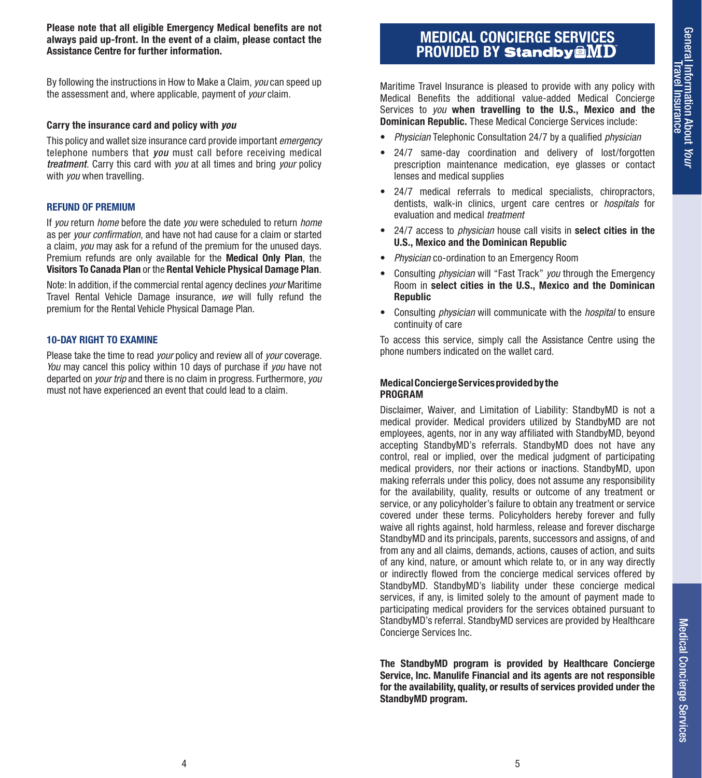**Please note that all eligible Emergency Medical benefits are not always paid up-front. In the event of a claim, please contact the Assistance Centre for further information.**

By following the instructions in How to Make a Claim, *you* can speed up the assessment and, where applicable, payment of *your* claim.

#### **Carry the insurance card and policy with** *you*

This policy and wallet size insurance card provide important *emergency* telephone numbers that *you* must call before receiving medical *treatment*. Carry this card with *you* at all times and bring *your* policy with *you* when travelling.

#### **REFUND OF PREMIUM**

If *you* return *home* before the date *you* were scheduled to return *home*  as per *your confirmation*, and have not had cause for a claim or started a claim, *you* may ask for a refund of the premium for the unused days. Premium refunds are only available for the **Medical Only Plan**, the **Visitors To Canada Plan** or the **Rental Vehicle Physical Damage Plan**.

Note: In addition, if the commercial rental agency declines *your* Maritime Travel Rental Vehicle Damage insurance, *we* will fully refund the premium for the Rental Vehicle Physical Damage Plan.

#### **10-DAY RIGHT TO EXAMINE**

Please take the time to read *your* policy and review all of *your* coverage. *You* may cancel this policy within 10 days of purchase if *you* have not departed on *your trip* and there is no claim in progress. Furthermore, *you* must not have experienced an event that could lead to a claim.

## **MEDICAL CONCIERGE SERVICES PROVIDED BY**

Maritime Travel Insurance is pleased to provide with any policy with Medical Benefits the additional value-added Medical Concierge Services to *you* **when travelling to the U.S., Mexico and the Dominican Republic.** These Medical Concierge Services include:

- *Physician* Telephonic Consultation 24/7 by a qualified *physician*
- 24/7 same-day coordination and delivery of lost/forgotten prescription maintenance medication, eye glasses or contact lenses and medical supplies
- 24/7 medical referrals to medical specialists, chiropractors, dentists, walk-in clinics, urgent care centres or *hospitals* for evaluation and medical *treatment*
- 24/7 access to *physician* house call visits in **select cities in the U.S., Mexico and the Dominican Republic**
- *Physician* co-ordination to an Emergency Room
- Consulting *physician* will "Fast Track" *you* through the Emergency Room in **select cities in the U.S., Mexico and the Dominican Republic**
- Consulting *physician* will communicate with the *hospital* to ensure continuity of care

To access this service, simply call the Assistance Centre using the phone numbers indicated on the wallet card.

#### **Medical Concierge Services provided by the PROGRAM**

Disclaimer, Waiver, and Limitation of Liability: StandbyMD is not a medical provider. Medical providers utilized by StandbyMD are not employees, agents, nor in any way affiliated with StandbyMD, beyond accepting StandbyMD's referrals. StandbyMD does not have any control, real or implied, over the medical judgment of participating medical providers, nor their actions or inactions. StandbyMD, upon making referrals under this policy, does not assume any responsibility for the availability, quality, results or outcome of any treatment or service, or any policyholder's failure to obtain any treatment or service covered under these terms. Policyholders hereby forever and fully waive all rights against, hold harmless, release and forever discharge StandbyMD and its principals, parents, successors and assigns, of and from any and all claims, demands, actions, causes of action, and suits of any kind, nature, or amount which relate to, or in any way directly or indirectly flowed from the concierge medical services offered by StandbyMD. StandbyMD's liability under these concierge medical services, if any, is limited solely to the amount of payment made to participating medical providers for the services obtained pursuant to StandbyMD's referral. StandbyMD services are provided by Healthcare Concierge Services Inc.

**The StandbyMD program is provided by Healthcare Concierge Service, Inc. Manulife Financial and its agents are not responsible for the availability, quality, or results of services provided under the StandbyMD program.**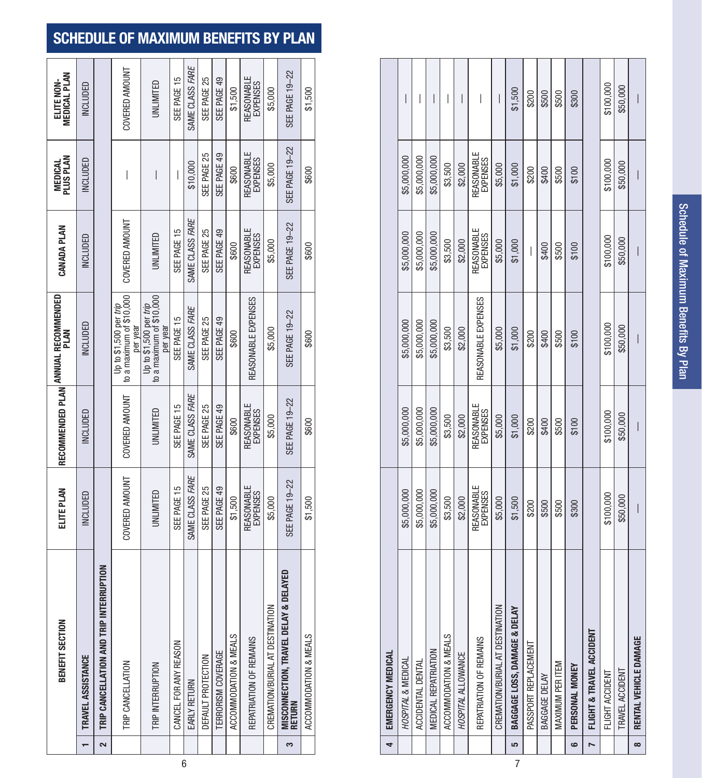## **SCHEDULE OF MAXIMUM BENEFITS BY PLAN**

|   | ECTION<br>BENEFIT SI                                          | ELITE PLAN                           |                               | RECOMMENDED PLAN <sup> ANNUAL</sup> RECOMMENDED<br>PLAN        | CANADA PLAN                          | <b>MEDICAL</b><br>PLUS PLAN   | <b>MEDICAL PLAN</b><br>ELITE NON- |
|---|---------------------------------------------------------------|--------------------------------------|-------------------------------|----------------------------------------------------------------|--------------------------------------|-------------------------------|-----------------------------------|
|   | TRAVEL ASSISTANCE                                             | <b>INCLUDED</b>                      | <b>INCLUDED</b>               | NCLUDED                                                        | <b>INCLUDED</b>                      | <b>INCLUDED</b>               | NCLUDED                           |
|   | <b>ID TRIP INTERRUPTION</b><br>TRIP CANCELLATION AP<br>$\sim$ |                                      |                               |                                                                |                                      |                               |                                   |
|   | TRIP CANCELLATION                                             | COVERED AMOUNT                       | COVERED AMOUNT                | to a maximum of \$10,000<br>Up to \$1,500 per trip<br>per year | COVERED AMOUNT                       | I                             | COVERED AMOUNT                    |
|   | TRIP INTERRUPTION                                             | UNLIMITED                            | UNLIMITED                     | to a maximum of \$10,000<br>Up to \$1,500 per trip<br>per year | UNLIMITED                            | I                             | UNLIMITED                         |
| 6 | z<br>CANCEL FOR ANY REASO                                     | SEE PAGE 15                          | SEE PAGE 15                   | SEE PAGE 15                                                    | SEE PAGE 15                          | I                             | SEE PAGE 15                       |
|   | <b>EARLY RETURN</b>                                           | SAME CLASS FARE                      | SAME CLASS FARE               | SAME CLASS FARE                                                | SAME CLASS FARE                      | \$10,000                      | SAME CLASS FARE                   |
|   | DEFAULT PROTECTION                                            | SEE PAGE 25                          | SEE PAGE 25                   | SEE PAGE 25                                                    | SEE PAGE 25                          | SEE PAGE 25                   | SEE PAGE 25                       |
|   | <b>TERRORISM COVERAGE</b>                                     | SEE PAGE 49                          | SEE PAGE 49                   | SEE PAGE 49                                                    | SEE PAGE 49                          | SEE PAGE 49                   | SEE PAGE 49                       |
|   | ACCOMMODATION & MEALS                                         | \$1,500                              | \$600                         | \$600                                                          | \$600                                | \$600                         | \$1,500                           |
|   | REPATRIATION OF REMAINS                                       | <b>REASONABLE</b><br><b>EXPENSES</b> | <b>REASONABLE</b><br>EXPENSES | REASONABLE EXPENSES                                            | <b>REASONABLE</b><br><b>EXPENSES</b> | <b>REASONABLE</b><br>EXPENSES | <b>REASONABLE</b><br>EXPENSES     |
|   | CREMATION/BURIAL AT DESTINATION                               | \$5,000                              | \$5,000                       | \$5,000                                                        | \$5,000                              | \$5,000                       | \$5,000                           |
|   | MISCONNECTION, TRAVEL DELAY & DELAYED<br>RETURN<br>S          | SEE PAGE 19-22                       | SEE PAGE 19-22                | <b>SEE PAGE 19-22</b>                                          | SEE PAGE 19-22                       | SEE PAGE 19-22                | <b>SEE PAGE 19-22</b>             |
|   | ACCOMMODATION & MEALS                                         | \$1,500                              | \$600                         | \$600                                                          | \$600                                | \$600                         | \$1,500                           |

| 4        | EMERGENCY MEDICAL               |                        |                        |                     |                        |                        |           |
|----------|---------------------------------|------------------------|------------------------|---------------------|------------------------|------------------------|-----------|
|          | HOSPITAL & MEDICAL              | \$5,000,000            | \$5,000,000            | \$5,000,000         | \$5,000,000            | \$5,000,000            | I         |
|          | ACCIDENTAL DENTAL               | \$5,000,000            | \$5,000,000            | \$5,000,000         | \$5,000,000            | \$5,000,000            | I         |
|          | MEDICAL REPATRIATION            | \$5,000,000            | \$5,000,000            | \$5,000,000         | \$5,000,000            | \$5,000,000            | I         |
|          | ACCOMMODATION & MEALS           | \$3,500                | \$3,500                | \$3,500             | \$3,500                | \$3,500                | I         |
|          | HOSPITAL ALLOWANCE              | \$2,000                | \$2,000                | \$2,000             | \$2,000                | \$2,000                |           |
|          | REPATRIATION OF REMAINS         | REASONABLE<br>EXPENSES | REASONABLE<br>EXPENSES | REASONABLE EXPENSES | REASONABLE<br>EXPENSES | REASONABLE<br>EXPENSES | I         |
|          | CREMATION/BURIAL AT DESTINATION | \$5,000                | \$5,000                | \$5,000             | \$5,000                | \$5,000                | I         |
| in,      | & DELAY<br>BAGGAGE LOSS, DAMAGE | \$1,500                | \$1,000                | \$1,000             | \$1,000                | \$1,000                | \$1,500   |
|          | PASSPORT REPLACEMENT            | \$200                  | \$200                  | \$200               | I                      | \$200                  | \$200     |
|          | BAGGAGE DELAY                   | \$500                  | \$400                  | \$400               | \$400                  | \$400                  | \$500     |
|          | MAXIMUM PER ITEM                | \$500                  | \$500                  | \$500               | \$500                  | \$500                  | \$500     |
| <b>မ</b> | PERSONAL MONEY                  | \$300                  | \$100                  | \$100               | \$100                  | \$100                  | \$300     |
|          | FLIGHT & TRAVEL ACCIDENT        |                        |                        |                     |                        |                        |           |
|          | FLIGHT ACCIDENT                 | \$100,000              | \$100,000              | \$100,000           | \$100,000              | \$100,000              | \$100,000 |
|          | TRAVEL ACCIDENT                 | \$50,000               | \$50,000               | \$50,000            | \$50,000               | \$50,000               | \$50,000  |
| $\infty$ | RENTAL VEHICLE DAMAGE           | I                      | I                      | I                   | I                      | I                      | I         |
|          |                                 |                        |                        |                     |                        |                        |           |

7

Schedule of Maximum Benefits By Plan Schedule of Maximum Benefits By Plan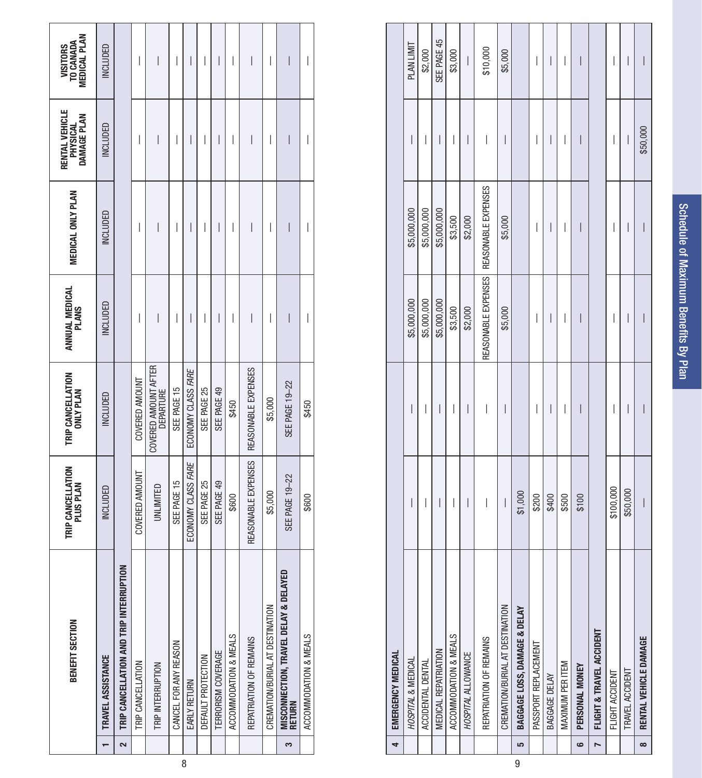|   |   | BENEFIT SECTION                                    | TRIP CANCELLATION<br>PLUS PLAN | TRIP CANCELLATION<br>ONLY PLAN    | ANNUAL MEDICAL<br>Plans | <b>MEDICAL ONLY PLAN</b> | RENTAL VEHICLE<br>PHYSICAL<br>DAMAGE PLAN | VISITORS<br>To Canada<br>Medical Plan |
|---|---|----------------------------------------------------|--------------------------------|-----------------------------------|-------------------------|--------------------------|-------------------------------------------|---------------------------------------|
|   |   | TRAVEL ASSISTANCE                                  | INCLUDED                       | INCLUDED                          | INCLUDED                | INCLUDED                 | INCLUDED                                  | INCLUDED                              |
|   | 2 | TRIP CANCELLATION AND TRIP INTERRUPTION            |                                |                                   |                         |                          |                                           |                                       |
|   |   | TRIP CANCELLATION                                  | COVERED AMOUNT                 | COVERED AMOUNT                    | I                       | I                        | I                                         | I                                     |
|   |   | TRIP INTERRUPTION                                  | UNLIMITED                      | COVERED AMOUNT AFTER<br>DEPARTURE | I                       | I                        |                                           | I                                     |
|   |   | CANCEL FOR ANY REASON                              | SEE PAGE 15                    | SEE PAGE 15                       | I                       | I                        | I                                         | I                                     |
| 8 |   | <b>EARLY RETURN</b>                                | ECONOMY CLASS FARE             | ECONOMY CLASS FARE                | I                       | I                        | I                                         | I                                     |
|   |   | DEFAULT PROTECTION                                 | SEE PAGE 25                    | SEE PAGE 25                       | I                       | I                        |                                           |                                       |
|   |   | TERRORISM COVERAGE                                 | SEE PAGE 49                    | SEE PAGE 49                       | I                       | $\overline{\phantom{a}}$ | I                                         | I                                     |
|   |   | ACCOMMODATION & MEALS                              | \$600                          | \$450                             | I                       | I                        | I                                         | I                                     |
|   |   | REPATRIATION OF REMAINS                            | REASONABLE EXPENSES            | REASONABLE EXPENSES               | I                       | I                        |                                           |                                       |
|   |   | CREMATION/BURIAL AT DESTINATION                    | \$5,000                        | \$5,000                           | I                       | I                        | I                                         | I                                     |
|   | 3 | DELAYED<br>MISCONNECTION, TRAVEL DELAY &<br>RETURN | SEE PAGE 19-22                 | SEE PAGE 19-22                    | I                       | I                        | I                                         | I                                     |
|   |   | ACCOMMODATION & MEALS                              | \$600                          | \$450                             | I                       | I                        | I                                         | I                                     |

|   | 4         | EMERGENCY MEDICAL               |           |          |             |                                           |          |                          |
|---|-----------|---------------------------------|-----------|----------|-------------|-------------------------------------------|----------|--------------------------|
|   |           | HOSPITAL & MEDICAL              | I         | I        | \$5,000,000 | \$5,000,000                               | I        | <b>PLAN LIMIT</b>        |
|   |           | ACCIDENTAL DENTAL               | I         | I        | \$5,000,000 | \$5,000,000                               | I        | \$2,000                  |
|   |           | <b>MEDICAL REPATRIATION</b>     | I         | I        | \$5,000,000 | \$5,000,000                               | I        | SEE PAGE 45              |
|   |           | ACCOMMODATION & MEALS           | I         | I        | \$3,500     | \$3,500                                   | I        | \$3,000                  |
|   |           | HOSPITAL ALLOWANCE              | I         | I        | \$2,000     | \$2,000                                   | I        | $\overline{\phantom{a}}$ |
|   |           | REPATRIATION OF REMAINS         | I         | I        |             | REASONABLE EXPENSES   REASONABLE EXPENSES | I        | \$10,000                 |
|   |           | CREMATION/BURIAL AT DESTINATION | I         | I        | \$5,000     | \$5,000                                   | I        | \$5,000                  |
| 9 | <u>in</u> | BAGGAGE LOSS, DAMAGE & DELAY    | \$1,000   |          |             |                                           |          |                          |
|   |           | PASSPORT REPLACEMENT            | \$200     | I        | I           | I                                         | I        | I                        |
|   |           | BAGGAGE DELAY                   | \$400     | I        | I           | I                                         | I        | I                        |
|   |           | MAXIMUM PER ITEM                | \$500     | I        | I           | I                                         | I        | I                        |
|   | o         | PERSONAL MONEY                  | \$100     | I        | I           | I                                         | I        | I                        |
|   | N         | FLIGHT & TRAVEL ACCIDENT        |           |          |             |                                           |          |                          |
|   |           | FLIGHT ACCIDENT                 | \$100,000 | I        | I           | I                                         | I        | I                        |
|   |           | TRAVEL ACCIDENT                 | \$50,000  | I        | I           | I                                         | I        | I                        |
|   | $\infty$  | RENTAL VEHICLE DAMAGE           | $\bigg $  | $\bigg $ | $\bigg $    | $\overline{\phantom{a}}$                  | \$50,000 | $\overline{\phantom{a}}$ |
|   |           |                                 |           |          |             |                                           |          |                          |

Schedule of Maximum Benefits By Plan Schedule of Maximum Benefits By Plan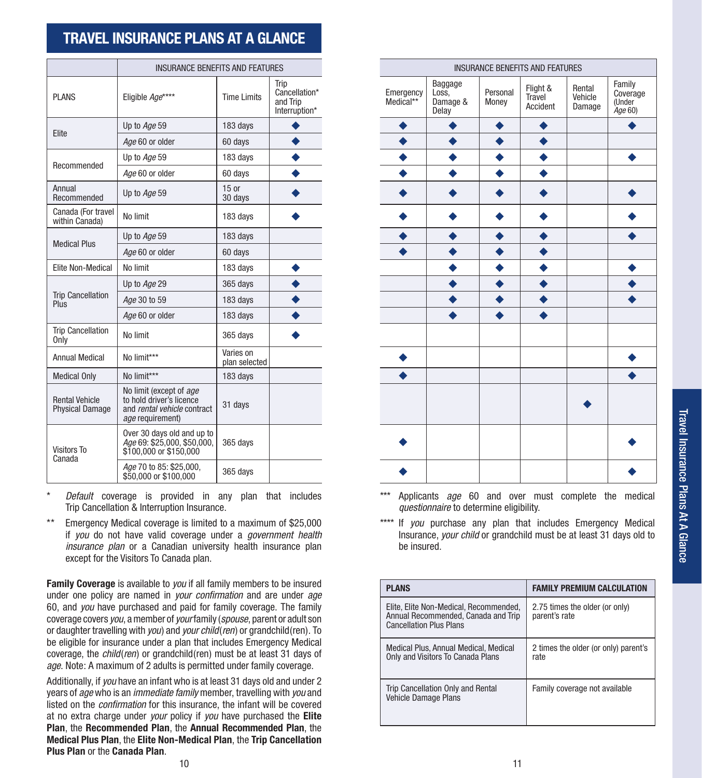## **TRAVEL INSURANCE PLANS AT A GLANCE**

|                                                 | <b>INSURANCE BENEFITS AND FEATURES</b>                                                                 |                            |                                                    |                        |                                       |                   | <b>INSURANCE BENEFITS AND FEATURES</b> |                             |                                      |
|-------------------------------------------------|--------------------------------------------------------------------------------------------------------|----------------------------|----------------------------------------------------|------------------------|---------------------------------------|-------------------|----------------------------------------|-----------------------------|--------------------------------------|
| <b>PLANS</b>                                    | Eligible Age****                                                                                       | <b>Time Limits</b>         | Trip<br>Cancellation*<br>and Trip<br>Interruption* | Emergency<br>Medical** | Baggage<br>Loss.<br>Damage &<br>Delay | Personal<br>Money | Flight &<br>Travel<br>Accident         | Rental<br>Vehicle<br>Damage | Family<br>Covera<br>(Under<br>Age 60 |
|                                                 | Up to Age 59                                                                                           | 183 days                   |                                                    |                        |                                       |                   |                                        |                             |                                      |
| Elite                                           | Age 60 or older                                                                                        | 60 days                    |                                                    |                        |                                       |                   |                                        |                             |                                      |
|                                                 | Up to Age 59                                                                                           | 183 days                   |                                                    |                        |                                       |                   |                                        |                             |                                      |
| Recommended                                     | Age 60 or older                                                                                        | 60 days                    |                                                    |                        |                                       |                   |                                        |                             |                                      |
| Annual<br>Recommended                           | Up to Age 59                                                                                           | 15 or<br>30 days           |                                                    |                        |                                       |                   |                                        |                             |                                      |
| Canada (For travel<br>within Canada)            | No limit                                                                                               | 183 days                   |                                                    |                        |                                       |                   |                                        |                             |                                      |
| <b>Medical Plus</b>                             | Up to Age 59                                                                                           | 183 days                   |                                                    |                        |                                       |                   |                                        |                             |                                      |
|                                                 | Age 60 or older                                                                                        | 60 days                    |                                                    |                        |                                       |                   |                                        |                             |                                      |
| <b>Elite Non-Medical</b>                        | No limit                                                                                               | 183 days                   |                                                    |                        |                                       |                   |                                        |                             |                                      |
|                                                 | Up to Age 29                                                                                           | 365 days                   |                                                    |                        |                                       |                   |                                        |                             |                                      |
| <b>Trip Cancellation</b><br>Plus                | Age 30 to 59                                                                                           | 183 days                   |                                                    |                        |                                       |                   |                                        |                             |                                      |
|                                                 | Age 60 or older                                                                                        | 183 days                   |                                                    |                        |                                       |                   |                                        |                             |                                      |
| <b>Trip Cancellation</b><br>Only                | No limit                                                                                               | 365 days                   |                                                    |                        |                                       |                   |                                        |                             |                                      |
| <b>Annual Medical</b>                           | No limit***                                                                                            | Varies on<br>plan selected |                                                    |                        |                                       |                   |                                        |                             |                                      |
| <b>Medical Only</b>                             | No limit***                                                                                            | 183 days                   |                                                    |                        |                                       |                   |                                        |                             |                                      |
| <b>Rental Vehicle</b><br><b>Physical Damage</b> | No limit (except of age<br>to hold driver's licence<br>and rental vehicle contract<br>age requirement) | 31 days                    |                                                    |                        |                                       |                   |                                        |                             |                                      |
| <b>Visitors To</b><br>Canada                    | Over 30 days old and up to<br>Age 69: \$25,000, \$50,000,<br>\$100,000 or \$150,000                    | 365 days                   |                                                    |                        |                                       |                   |                                        |                             |                                      |
|                                                 | Age 70 to 85: \$25,000,<br>\$50,000 or \$100,000                                                       | 365 days                   |                                                    |                        |                                       |                   |                                        |                             |                                      |

*Default* coverage is provided in any plan that includes Trip Cancellation & Interruption Insurance.

\*\* Emergency Medical coverage is limited to a maximum of \$25,000 if *you* do not have valid coverage under a *government health insurance plan* or a Canadian university health insurance plan except for the Visitors To Canada plan.

**Family Coverage** is available to *you* if all family members to be insured under one policy are named in *your confirmation* and are under *age* 60, and *you* have purchased and paid for family coverage. The family coverage covers *you*, a member of *your* family (*spouse*, parent or adult son or daughter travelling with *you*) and *your child*(*ren*) or grandchild(ren). To be eligible for insurance under a plan that includes Emergency Medical coverage, the *child*(*ren*) or grandchild(ren) must be at least 31 days of *age*. Note: A maximum of 2 adults is permitted under family coverage.

Additionally, if *you* have an infant who is at least 31 days old and under 2 years of *age* who is an *immediate family* member, travelling with *you* and listed on the *confirmation* for this insurance, the infant will be covered at no extra charge under *your* policy if *you* have purchased the **Elite Plan**, the **Recommended Plan**, the **Annual Recommended Plan**, the **Medical Plus Plan**, the **Elite Non-Medical Plan**, the **Trip Cancellation Plus Plan** or the **Canada Plan**.

| <b>INSURANCE BENEFITS AND FEATURES</b>                                                                 |                            |                                                    |                        |                                       |                   | <b>INSURANCE BENEFITS AND FEATURES</b> |                             |                                         |
|--------------------------------------------------------------------------------------------------------|----------------------------|----------------------------------------------------|------------------------|---------------------------------------|-------------------|----------------------------------------|-----------------------------|-----------------------------------------|
| Eligible Age****                                                                                       | <b>Time Limits</b>         | Trip<br>Cancellation*<br>and Trip<br>Interruption* | Emergency<br>Medical** | Baggage<br>Loss,<br>Damage &<br>Delay | Personal<br>Money | Flight &<br>Travel<br>Accident         | Rental<br>Vehicle<br>Damage | Family<br>Coverage<br>(Under<br>Age 60) |
| Up to Age 59                                                                                           | 183 days                   |                                                    |                        |                                       |                   |                                        |                             |                                         |
| Age 60 or older                                                                                        | 60 days                    |                                                    |                        |                                       |                   |                                        |                             |                                         |
| Up to Age 59                                                                                           | 183 days                   |                                                    |                        |                                       |                   |                                        |                             |                                         |
| Age 60 or older                                                                                        | 60 days                    |                                                    |                        |                                       |                   |                                        |                             |                                         |
| Up to Age 59                                                                                           | $15$ or<br>30 days         |                                                    |                        |                                       |                   |                                        |                             |                                         |
| No limit                                                                                               | 183 days                   |                                                    |                        |                                       |                   |                                        |                             |                                         |
| Up to Age 59                                                                                           | 183 days                   |                                                    |                        |                                       |                   |                                        |                             |                                         |
| Age 60 or older                                                                                        | 60 days                    |                                                    |                        |                                       |                   |                                        |                             |                                         |
| No limit                                                                                               | 183 days                   |                                                    |                        |                                       |                   |                                        |                             |                                         |
| Up to Age 29                                                                                           | 365 days                   |                                                    |                        |                                       |                   |                                        |                             |                                         |
| Age 30 to 59                                                                                           | 183 days                   |                                                    |                        |                                       |                   |                                        |                             |                                         |
| Age 60 or older                                                                                        | 183 days                   |                                                    |                        |                                       |                   |                                        |                             |                                         |
| No limit                                                                                               | 365 days                   |                                                    |                        |                                       |                   |                                        |                             |                                         |
| No limit***                                                                                            | Varies on<br>plan selected |                                                    |                        |                                       |                   |                                        |                             |                                         |
| No limit***                                                                                            | 183 days                   |                                                    |                        |                                       |                   |                                        |                             |                                         |
| No limit (except of age<br>to hold driver's licence<br>and rental vehicle contract<br>age requirement) | 31 days                    |                                                    |                        |                                       |                   |                                        |                             |                                         |
| Over 30 days old and up to<br><i>Age</i> 69: \$25,000, \$50,000,<br>\$100,000 or \$150,000             | 365 days                   |                                                    |                        |                                       |                   |                                        |                             |                                         |
| Age 70 to 85: \$25,000,<br>\$50,000 or \$100,000                                                       | 365 days                   |                                                    |                        |                                       |                   |                                        |                             |                                         |

\*\*\* Applicants *age* 60 and over must complete the medical *questionnaire* to determine eligibility.

\*\*\*\* If *you* purchase any plan that includes Emergency Medical Insurance, *your child* or grandchild must be at least 31 days old to be insured.

| <b>PLANS</b>                                                                                                    | <b>FAMILY PREMIUM CALCULATION</b>               |
|-----------------------------------------------------------------------------------------------------------------|-------------------------------------------------|
| Elite, Elite Non-Medical, Recommended,<br>Annual Recommended, Canada and Trip<br><b>Cancellation Plus Plans</b> | 2.75 times the older (or only)<br>parent's rate |
| Medical Plus, Annual Medical, Medical<br>Only and Visitors To Canada Plans                                      | 2 times the older (or only) parent's<br>rate    |
| Trip Cancellation Only and Rental<br>Vehicle Damage Plans                                                       | Family coverage not available                   |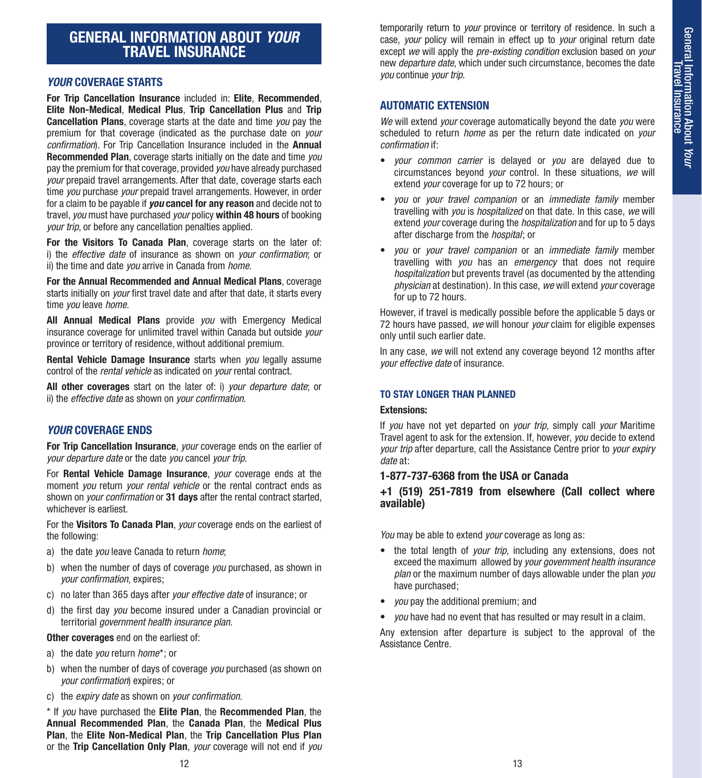## **GENERAL INFORMATION ABOUT** *YOUR* **TRAVEL INSURANCE**

#### *YOUR* **COVERAGE STARTS**

**For Trip Cancellation Insurance** included in: **Elite**, **Recommended**, **Elite Non-Medical**, **Medical Plus**, **Trip Cancellation Plus** and **Trip Cancellation Plans**, coverage starts at the date and time *you* pay the premium for that coverage (indicated as the purchase date on *your confirmation*). For Trip Cancellation Insurance included in the **Annual Recommended Plan**, coverage starts initially on the date and time *you* pay the premium for that coverage, provided *you* have already purchased *your* prepaid travel arrangements. After that date, coverage starts each time *you* purchase *your* prepaid travel arrangements. However, in order for a claim to be payable if *you* **cancel for any reason** and decide not to travel, *you* must have purchased *your* policy **within 48 hours** of booking *your trip*, or before any cancellation penalties applied.

**For the Visitors To Canada Plan**, coverage starts on the later of: i) the *effective date* of insurance as shown on *your confirmation*; or ii) the time and date *you* arrive in Canada from *home*.

**For the Annual Recommended and Annual Medical Plans**, coverage starts initially on *your* first travel date and after that date, it starts every time *you* leave *home*.

**All Annual Medical Plans** provide *you* with Emergency Medical insurance coverage for unlimited travel within Canada but outside *your*  province or territory of residence, without additional premium.

**Rental Vehicle Damage Insurance** starts when *you* legally assume control of the *rental vehicle* as indicated on *your* rental contract.

**All other coverages** start on the later of: i) *your departure date*; or ii) the *effective date* as shown on *your confirmation*.

#### *YOUR* **COVERAGE ENDS**

**For Trip Cancellation Insurance**, *your* coverage ends on the earlier of *your departure date* or the date *you* cancel *your trip*.

For **Rental Vehicle Damage Insurance**, *your* coverage ends at the moment *you* return *your rental vehicle* or the rental contract ends as shown on *your confirmation* or **31 days** after the rental contract started, whichever is earliest.

For the **Visitors To Canada Plan**, *your* coverage ends on the earliest of the following:

- a) the date *you* leave Canada to return *home*;
- b) when the number of days of coverage *you* purchased, as shown in *your confirmation*, expires;
- c) no later than 365 days after *your effective date* of insurance; or
- d) the first day *you* become insured under a Canadian provincial or territorial *government health insurance plan*.

#### **Other coverages** end on the earliest of:

- a) the date *you* return *home*\*; or
- b) when the number of days of coverage *you* purchased (as shown on *your confirmation*) expires; or
- c) the *expiry date* as shown on *your confirmation*.

\* If *you* have purchased the **Elite Plan**, the **Recommended Plan**, the **Annual Recommended Plan**, the **Canada Plan**, the **Medical Plus Plan**, the **Elite Non-Medical Plan**, the **Trip Cancellation Plus Plan**  or the **Trip Cancellation Only Plan**, *your* coverage will not end if *you* 

temporarily return to *your* province or territory of residence. In such a case, *your* policy will remain in effect up to *your* original return date except *we* will apply the *pre-existing condition* exclusion based on *your*  new *departure date*, which under such circumstance, becomes the date *you* continue *your trip*.

#### **AUTOMATIC EXTENSION**

*We* will extend *your* coverage automatically beyond the date *you* were scheduled to return *home* as per the return date indicated on *your confirmation* if:

- *your common carrier* is delayed or *you* are delayed due to circumstances beyond *your* control. In these situations, *we* will extend *your* coverage for up to 72 hours; or
- *you* or *your travel companion* or an *immediate family* member travelling with *you* is *hospitalized* on that date. In this case, *we* will extend *your* coverage during the *hospitalization* and for up to 5 days after discharge from the *hospital*; or
- *you* or *your travel companion* or an *immediate family* member travelling with *you* has an *emergency* that does not require *hospitalization* but prevents travel (as documented by the attending *physician* at destination). In this case, *we* will extend *your* coverage for up to 72 hours.

However, if travel is medically possible before the applicable 5 days or 72 hours have passed, *we* will honour *your* claim for eligible expenses only until such earlier date.

In any case, *we* will not extend any coverage beyond 12 months after *your effective date* of insurance.

#### **TO STAY LONGER THAN PLANNED**

#### **Extensions:**

If *you* have not yet departed on *your trip*, simply call *your* Maritime Travel agent to ask for the extension. If, however, *you* decide to extend *your trip* after departure, call the Assistance Centre prior to *your expiry date* at:

#### **1-877-737-6368 from the USA or Canada**

#### **+1 (519) 251-7819 from elsewhere (Call collect where available)**

*You* may be able to extend *your* coverage as long as:

- the total length of *your trip,* including any extensions, does not exceed the maximum allowed by *your government health insurance plan* or the maximum number of days allowable under the plan *you*  have purchased;
- *you* pay the additional premium; and
- *you* have had no event that has resulted or may result in a claim.

Any extension after departure is subject to the approval of the Assistance Centre.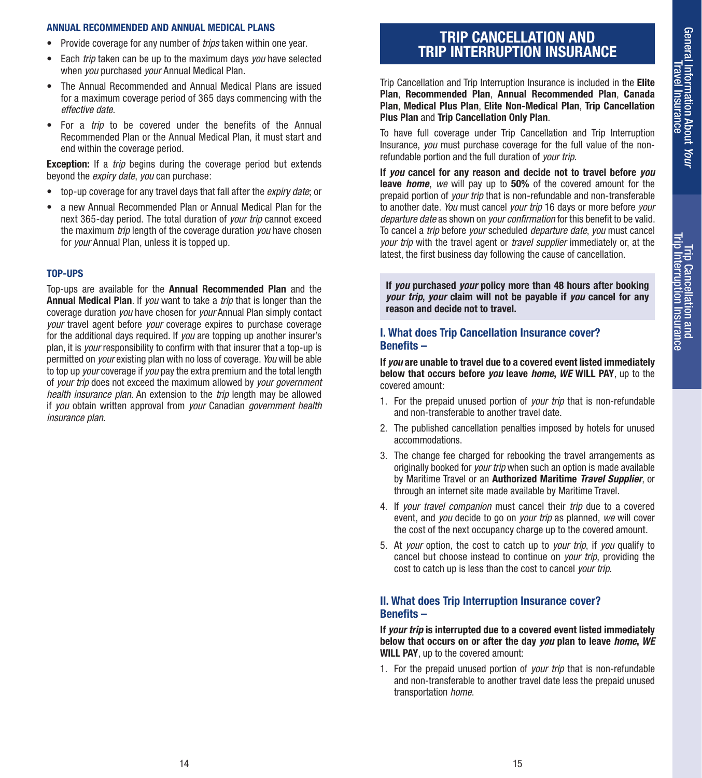Trip Cancellation and Trip Interruption Insurance

Trip Cancellation and<br>Trip Interruption Insurance

#### **ANNUAL RECOMMENDED AND ANNUAL MEDICAL PLANS**

- Provide coverage for any number of *trips* taken within one year.
- Each *trip* taken can be up to the maximum days *you* have selected when *you* purchased *your* Annual Medical Plan.
- The Annual Recommended and Annual Medical Plans are issued for a maximum coverage period of 365 days commencing with the *effective date*.
- For a *trip* to be covered under the benefits of the Annual Recommended Plan or the Annual Medical Plan, it must start and end within the coverage period.

**Exception:** If a *trip* begins during the coverage period but extends beyond the *expiry date*, *you* can purchase:

- top-up coverage for any travel days that fall after the *expiry date*; or
- a new Annual Recommended Plan or Annual Medical Plan for the next 365-day period. The total duration of *your trip* cannot exceed the maximum *trip* length of the coverage duration *you* have chosen for *your* Annual Plan, unless it is topped up.

#### **TOP-UPS**

Top-ups are available for the **Annual Recommended Plan** and the **Annual Medical Plan**. If *you* want to take a *trip* that is longer than the coverage duration *you* have chosen for *your* Annual Plan simply contact *your* travel agent before *your* coverage expires to purchase coverage for the additional days required. If *you* are topping up another insurer's plan, it is *your* responsibility to confirm with that insurer that a top-up is permitted on *your* existing plan with no loss of coverage. *You* will be able to top up *your* coverage if *you* pay the extra premium and the total length of *your trip* does not exceed the maximum allowed by *your government health insurance plan*. An extension to the *trip* length may be allowed if *you* obtain written approval from *your* Canadian *government health insurance plan*.

## **TRIP CANCELLATION AND TRIP INTERRUPTION INSURANCE**

Trip Cancellation and Trip Interruption Insurance is included in the **Elite Plan**, **Recommended Plan**, **Annual Recommended Plan**, **Canada Plan**, **Medical Plus Plan**, **Elite Non-Medical Plan**, **Trip Cancellation Plus Plan** and **Trip Cancellation Only Plan**.

To have full coverage under Trip Cancellation and Trip Interruption Insurance, *you* must purchase coverage for the full value of the nonrefundable portion and the full duration of *your trip*.

**If** *you* **cancel for any reason and decide not to travel before** *you* **leave** *home*, *we* will pay up to **50%** of the covered amount for the prepaid portion of *your trip* that is non-refundable and non-transferable to another date. *You* must cancel *your trip* 16 days or more before *your departure date* as shown on *your confirmation* for this benefit to be valid. To cancel a *trip* before *your* scheduled *departure date*, *you* must cancel *your trip* with the travel agent or *travel supplier* immediately or, at the latest, the first business day following the cause of cancellation.

**If** *you* **purchased** *your* **policy more than 48 hours after booking**  *your trip***,** *your* **claim will not be payable if** *you* **cancel for any reason and decide not to travel.**

#### **I. What does Trip Cancellation Insurance cover? Benefits –**

**If** *you* **are unable to travel due to a covered event listed immediately below that occurs before** *you* **leave** *home***,** *WE* **WILL PAY**, up to the covered amount:

- 1. For the prepaid unused portion of *your trip* that is non-refundable and non-transferable to another travel date.
- 2. The published cancellation penalties imposed by hotels for unused accommodations.
- 3. The change fee charged for rebooking the travel arrangements as originally booked for *your trip* when such an option is made available by Maritime Travel or an **Authorized Maritime** *Travel Supplier*, or through an internet site made available by Maritime Travel.
- 4. If *your travel companion* must cancel their *trip* due to a covered event, and *you* decide to go on *your trip* as planned, *we* will cover the cost of the next occupancy charge up to the covered amount.
- 5. At *your* option, the cost to catch up to *your trip*, if *you* qualify to cancel but choose instead to continue on *your trip*, providing the cost to catch up is less than the cost to cancel *your trip*.

#### **II. What does Trip Interruption Insurance cover? Benefits –**

**If** *your trip* **is interrupted due to a covered event listed immediately below that occurs on or after the day** *you* **plan to leave** *home***,** *WE* **WILL PAY**, up to the covered amount:

1. For the prepaid unused portion of *your trip* that is non-refundable and non-transferable to another travel date less the prepaid unused transportation *home*.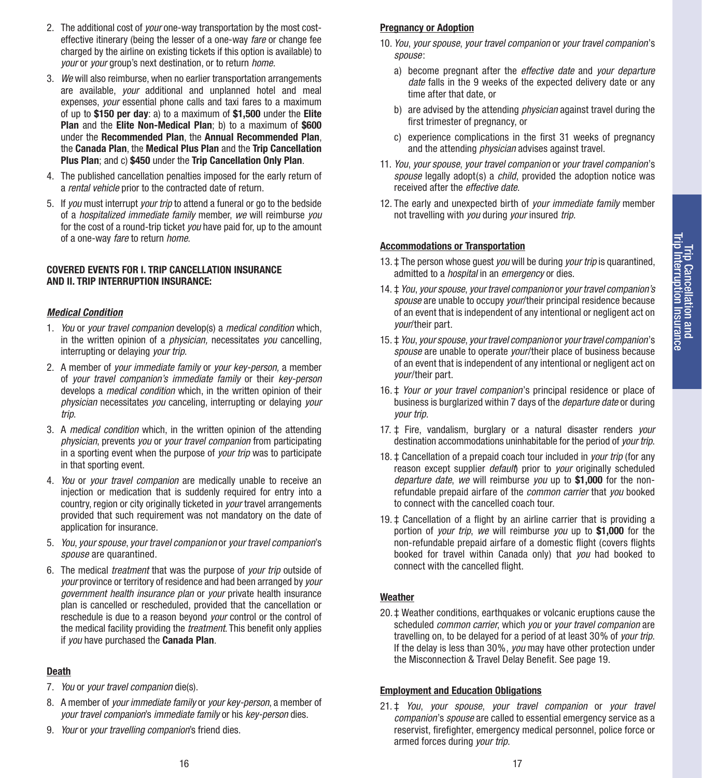- 2. The additional cost of *your* one-way transportation by the most costeffective itinerary (being the lesser of a one-way *fare* or change fee charged by the airline on existing tickets if this option is available) to *your* or *your* group's next destination, or to return *home*.
- 3. *We* will also reimburse, when no earlier transportation arrangements are available, *your* additional and unplanned hotel and meal expenses, *your* essential phone calls and taxi fares to a maximum of up to **\$150 per day**: a) to a maximum of **\$1,500** under the **Elite Plan** and the **Elite Non-Medical Plan**; b) to a maximum of **\$600** under the **Recommended Plan**, the **Annual Recommended Plan**, the **Canada Plan**, the **Medical Plus Plan** and the **Trip Cancellation Plus Plan**; and c) **\$450** under the **Trip Cancellation Only Plan**.
- 4. The published cancellation penalties imposed for the early return of a *rental vehicle* prior to the contracted date of return.
- 5. If *you* must interrupt *your trip* to attend a funeral or go to the bedside of a *hospitalized immediate family* member, *we* will reimburse *you*  for the cost of a round-trip ticket *you* have paid for, up to the amount of a one-way *fare* to return *home*.

#### **COVERED EVENTS FOR I. TRIP CANCELLATION INSURANCE AND II. TRIP INTERRUPTION INSURANCE:**

#### *Medical Condition*

- 1. *You* or *your travel companion* develop(s) a *medical condition* which, in the written opinion of a *physician,* necessitates *you* cancelling, interrupting or delaying *your trip*.
- 2. A member of *your immediate family* or *your key-person,* a member of *your travel companion's immediate family* or their *key-person*  develops a *medical condition* which, in the written opinion of their *physician* necessitates *you* canceling, interrupting or delaying *your trip*.
- 3. A *medical condition* which, in the written opinion of the attending *physician*, prevents *you* or *your travel companion* from participating in a sporting event when the purpose of *your trip* was to participate in that sporting event.
- 4. *You* or *your travel companion* are medically unable to receive an injection or medication that is suddenly required for entry into a country, region or city originally ticketed in *your* travel arrangements provided that such requirement was not mandatory on the date of application for insurance.
- 5. *You*, *your spouse*, *your travel companion* or *your travel companion*'s *spouse* are quarantined.
- 6. The medical *treatment* that was the purpose of *your trip* outside of *your* province or territory of residence and had been arranged by *your government health insurance plan* or *your* private health insurance plan is cancelled or rescheduled, provided that the cancellation or reschedule is due to a reason beyond *your* control or the control of the medical facility providing the *treatment*. This benefit only applies if *you* have purchased the **Canada Plan**.

#### **Death**

- 7. *You* or *your travel companion* die(s).
- 8. A member of *your immediate family* or *your key-person*, a member of *your travel companion*'s *immediate family* or his *key-person* dies.
- 9. *Your* or *your travelling companion*'s friend dies.

#### **Pregnancy or Adoption**

- 10. *You*, *your spouse*, *your travel companion* or *your travel companion*'s *spouse*:
	- a) become pregnant after the *effective date* and *your departure date* falls in the 9 weeks of the expected delivery date or any time after that date, or
	- b) are advised by the attending *physician* against travel during the first trimester of pregnancy, or
	- c) experience complications in the first 31 weeks of pregnancy and the attending *physician* advises against travel.
- 11. *You*, *your spouse*, *your travel companion* or *your travel companion*'s *spouse* legally adopt(s) a *child*, provided the adoption notice was received after the *effective date*.
- 12. The early and unexpected birth of *your immediate family* member not travelling with *you* during *your* insured *trip*.

#### **Accommodations or Transportation**

- 13. ‡ The person whose guest *you* will be during *your trip* is quarantined, admitted to a *hospital* in an *emergency* or dies.
- 14. ‡ *You*, *your spouse*, *your travel companion* or *your travel companion's spouse* are unable to occupy *your*/their principal residence because of an event that is independent of any intentional or negligent act on *your*/their part.
- 15. ‡ *You*, *your spouse*, *your travel companion* or *your travel companion*'s *spouse* are unable to operate *your*/their place of business because of an event that is independent of any intentional or negligent act on *your*/their part.
- 16. ‡ *Your or your travel companion*'s principal residence or place of business is burglarized within 7 days of the *departure date* or during *your trip*.
- 17. ‡ Fire, vandalism, burglary or a natural disaster renders *your*  destination accommodations uninhabitable for the period of *your trip*.
- 18. ‡ Cancellation of a prepaid coach tour included in *your trip* (for any reason except supplier *default*) prior to *your* originally scheduled *departure date*, *we* will reimburse *you* up to **\$1,000** for the nonrefundable prepaid airfare of the *common carrier* that *you* booked to connect with the cancelled coach tour.
- 19. ‡ Cancellation of a flight by an airline carrier that is providing a portion of *your trip*, *we* will reimburse *you* up to **\$1,000** for the non-refundable prepaid airfare of a domestic flight (covers flights booked for travel within Canada only) that *you* had booked to connect with the cancelled flight.

#### **Weather**

20. ‡ Weather conditions, earthquakes or volcanic eruptions cause the scheduled *common carrier*, which *you* or *your travel companion* are travelling on, to be delayed for a period of at least 30% of *your trip*. If the delay is less than 30%, *you* may have other protection under the Misconnection & Travel Delay Benefit. See page 19.

#### **Employment and Education Obligations**

21. ‡ *You*, *your spouse*, *your travel companion* or *your travel companion*'s *spouse* are called to essential emergency service as a reservist, firefighter, emergency medical personnel, police force or armed forces during *your trip*.

Trip Cancellation and Trip Interruption Insurance

Trip Cancellation and<br>Trip Interruption Insurance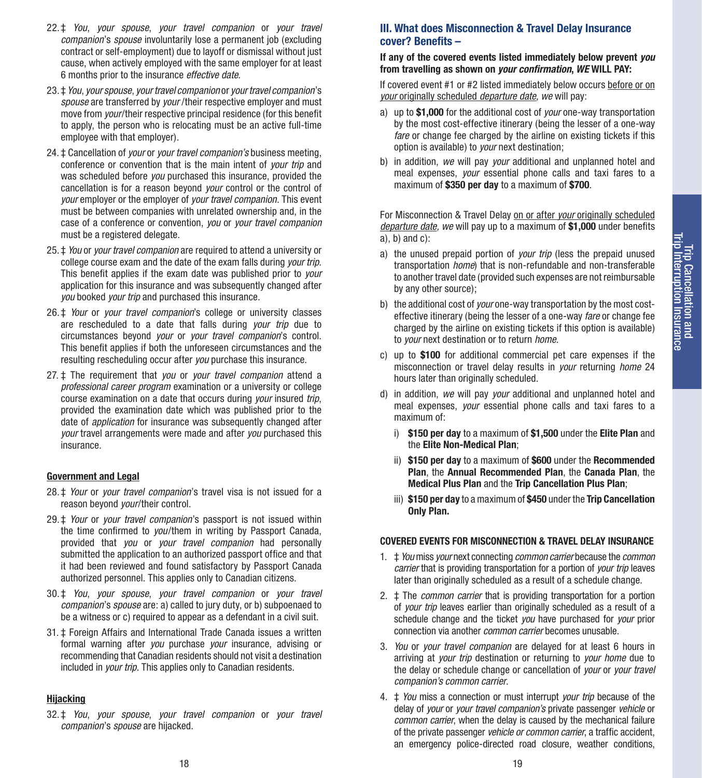- 22.‡ *You*, *your spouse*, *your travel companion* or *your travel companion*'s *spouse* involuntarily lose a permanent job (excluding contract or self-employment) due to layoff or dismissal without just cause, when actively employed with the same employer for at least 6 months prior to the insurance *effective date*.
- 23.‡ *You*, *your spouse*, *your travel companion* or *your travel companion*'s *spouse* are transferred by *your* /their respective employer and must move from *your*/their respective principal residence (for this benefit to apply, the person who is relocating must be an active full-time employee with that employer).
- 24. **‡** Cancellation of *your* or *your travel companion's* business meeting. conference or convention that is the main intent of *your trip* and was scheduled before *you* purchased this insurance, provided the cancellation is for a reason beyond *your* control or the control of *your* employer or the employer of *your travel companion*. This event must be between companies with unrelated ownership and, in the case of a conference or convention, *you* or *your travel companion*  must be a registered delegate.
- 25. ‡ *You* or *your travel companion* are required to attend a university or college course exam and the date of the exam falls during *your trip*. This benefit applies if the exam date was published prior to *your* application for this insurance and was subsequently changed after *you* booked *your trip* and purchased this insurance.
- 26.‡ *Your* or *your travel companion*'s college or university classes are rescheduled to a date that falls during *your trip* due to circumstances beyond *your* or *your travel companion*'s control. This benefit applies if both the unforeseen circumstances and the resulting rescheduling occur after *you* purchase this insurance.
- 27. ‡ The requirement that *you* or *your travel companion* attend a *professional career program* examination or a university or college course examination on a date that occurs during *your* insured *trip*, provided the examination date which was published prior to the date of *application* for insurance was subsequently changed after *your* travel arrangements were made and after *you* purchased this insurance.

#### **Government and Legal**

- 28.‡ *Your* or *your travel companion*'s travel visa is not issued for a reason beyond *your*/their control.
- 29.‡ *Your* or *your travel companion*'s passport is not issued within the time confirmed to *you*/them in writing by Passport Canada, provided that *you* or *your travel companion* had personally submitted the application to an authorized passport office and that it had been reviewed and found satisfactory by Passport Canada authorized personnel. This applies only to Canadian citizens.
- 30.‡ *You*, *your spouse*, *your travel companion* or *your travel companion*'s *spouse* are: a) called to jury duty, or b) subpoenaed to be a witness or c) required to appear as a defendant in a civil suit.
- 31. ‡ Foreign Affairs and International Trade Canada issues a written formal warning after *you* purchase *your* insurance, advising or recommending that Canadian residents should not visit a destination included in *your trip*. This applies only to Canadian residents.

#### **Hijacking**

32. ‡ *You*, *your spouse*, *your travel companion* or *your travel companion*'s *spouse* are hijacked.

#### **III. What does Misconnection & Travel Delay Insurance cover? Benefits –**

#### **If any of the covered events listed immediately below prevent** *you*  **from travelling as shown on** *your confirmation***,** *WE* **WILL PAY:**

If covered event #1 or #2 listed immediately below occurs before or on *your* originally scheduled *departure date, we* will pay:

- a) up to **\$1,000** for the additional cost of *your* one-way transportation by the most cost-effective itinerary (being the lesser of a one-way *fare* or change fee charged by the airline on existing tickets if this option is available) to *your* next destination;
- b) in addition, *we* will pay *your* additional and unplanned hotel and meal expenses, *your* essential phone calls and taxi fares to a maximum of **\$350 per day** to a maximum of **\$700**.

For Misconnection & Travel Delay on or after *your* originally scheduled *departure date, we* will pay up to a maximum of **\$1,000** under benefits a), b) and  $c$ ):

- a) the unused prepaid portion of *your trip* (less the prepaid unused transportation *home*) that is non-refundable and non-transferable to another travel date (provided such expenses are not reimbursable by any other source);
- b) the additional cost of *your* one-way transportation by the most costeffective itinerary (being the lesser of a one-way *fare* or change fee charged by the airline on existing tickets if this option is available) to *your* next destination or to return *home*.
- c) up to **\$100** for additional commercial pet care expenses if the misconnection or travel delay results in *your* returning *home* 24 hours later than originally scheduled.
- d) in addition, *we* will pay *your* additional and unplanned hotel and meal expenses, *your* essential phone calls and taxi fares to a maximum of:
	- i) **\$150 per day** to a maximum of **\$1,500** under the **Elite Plan** and the **Elite Non-Medical Plan**;
	- ii) **\$150 per day** to a maximum of **\$600** under the **Recommended Plan**, the **Annual Recommended Plan**, the **Canada Plan**, the **Medical Plus Plan** and the **Trip Cancellation Plus Plan**;
	- iii) **\$150 per day** to a maximum of **\$450** under the **Trip Cancellation Only Plan.**

#### **COVERED EVENTS FOR MISCONNECTION & TRAVEL DELAY INSURANCE**

- 1. ‡ *You* miss *your* next connecting *common carrier* because the *common carrier* that is providing transportation for a portion of *your trip* leaves later than originally scheduled as a result of a schedule change.
- 2. ‡ The *common carrier* that is providing transportation for a portion of *your trip* leaves earlier than originally scheduled as a result of a schedule change and the ticket *you* have purchased for *your* prior connection via another *common carrier* becomes unusable.
- 3. *You* or *your travel companion* are delayed for at least 6 hours in arriving at *your trip* destination or returning to *your home* due to the delay or schedule change or cancellation of *your* or *your travel companion's common carrier*.
- 4. ‡ *You* miss a connection or must interrupt *your trip* because of the delay of *your* or *your travel companion's* private passenger *vehicle* or *common carrier*, when the delay is caused by the mechanical failure of the private passenger *vehicle or common carrier*, a traffic accident, an emergency police-directed road closure, weather conditions,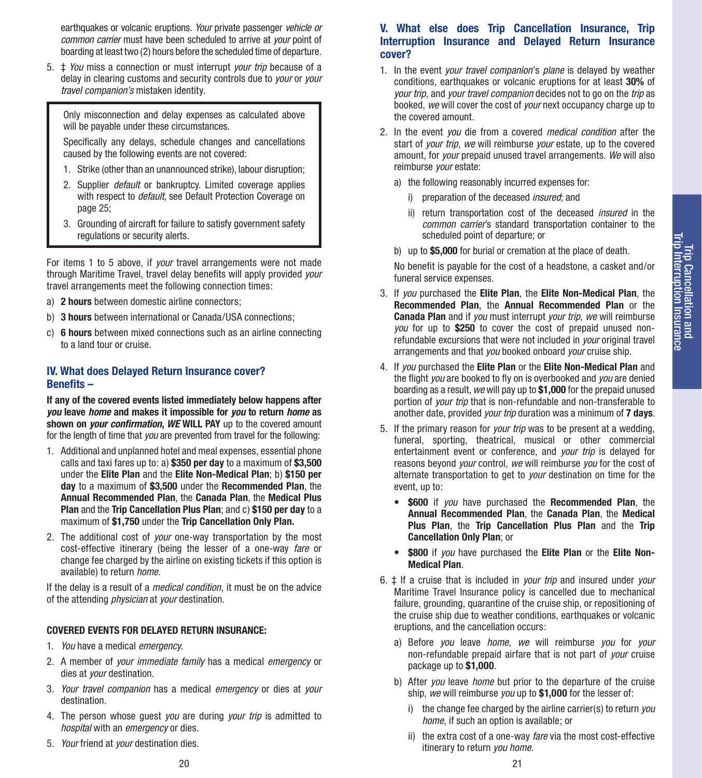earthquakes or volcanic eruptions. *Your* private passenger *vehicle or common carrier* must have been scheduled to arrive at *your* point of boarding at least two (2) hours before the scheduled time of departure.

5. ‡ *You* miss a connection or must interrupt *your trip* because of a delay in clearing customs and security controls due to *your* or *your travel companion's* mistaken identity.

Only misconnection and delay expenses as calculated above will be payable under these circumstances.

Specifically any delays, schedule changes and cancellations caused by the following events are not covered:

- 1. Strike (other than an unannounced strike), labour disruption;
- 2. Supplier *default* or bankruptcy. Limited coverage applies with respect to *default*, see Default Protection Coverage on page 25;
- 3. Grounding of aircraft for failure to satisfy government safety regulations or security alerts.

For items 1 to 5 above, if *your* travel arrangements were not made through Maritime Travel, travel delay benefits will apply provided *your* travel arrangements meet the following connection times:

- a) **2 hours** between domestic airline connectors;
- b) **3 hours** between international or Canada/USA connections;
- c) **6 hours** between mixed connections such as an airline connecting to a land tour or cruise.

#### **IV. What does Delayed Return Insurance cover? Benefits –**

**If any of the covered events listed immediately below happens after**  *you* **leave** *home* **and makes it impossible for** *you* **to return** *home* **as shown on** *your confirmation***,** *WE* **WILL PAY** up to the covered amount for the length of time that *you* are prevented from travel for the following:

- 1. Additional and unplanned hotel and meal expenses, essential phone calls and taxi fares up to: a) **\$350 per day** to a maximum of **\$3,500** under the **Elite Plan** and the **Elite Non-Medical Plan**; b) **\$150 per day** to a maximum of **\$3,500** under the **Recommended Plan**, the **Annual Recommended Plan**, the **Canada Plan**, the **Medical Plus Plan** and the **Trip Cancellation Plus Plan**; and c) **\$150 per day** to a maximum of **\$1,750** under the **Trip Cancellation Only Plan.**
- 2. The additional cost of *your* one-way transportation by the most cost-effective itinerary (being the lesser of a one-way *fare* or change fee charged by the airline on existing tickets if this option is available) to return *home*.

If the delay is a result of a *medical condition*, it must be on the advice of the attending *physician* at *your* destination.

#### **COVERED EVENTS FOR DELAYED RETURN INSURANCE:**

- 1. *You* have a medical *emergency*.
- 2. A member of *your immediate family* has a medical *emergency* or dies at *your* destination.
- 3. *Your travel companion* has a medical *emergency* or dies at *your*  destination.
- 4. The person whose guest *you* are during *your trip* is admitted to *hospital* with an *emergency* or dies.
- 5. *Your* friend at *your* destination dies.

#### **V. What else does Trip Cancellation Insurance, Trip Interruption Insurance and Delayed Return Insurance cover?**

- 1. In the event *your travel companion*'s *plane* is delayed by weather conditions, earthquakes or volcanic eruptions for at least **30%** of *your trip*, and *your travel companion* decides not to go on the *trip* as booked, *we* will cover the cost of *your* next occupancy charge up to the covered amount.
- 2. In the event *you* die from a covered *medical condition* after the start of *your trip*, *we* will reimburse *your* estate, up to the covered amount, for *your* prepaid unused travel arrangements. *We* will also reimburse *your* estate:
	- a) the following reasonably incurred expenses for:
		- i) preparation of the deceased *insured*; and
		- ii) return transportation cost of the deceased *insured* in the *common carrier*'s standard transportation container to the scheduled point of departure; or
	- b) up to **\$5,000** for burial or cremation at the place of death.

No benefit is payable for the cost of a headstone, a casket and/or funeral service expenses.

- 3. If *you* purchased the **Elite Plan**, the **Elite Non-Medical Plan**, the **Recommended Plan**, the **Annual Recommended Plan** or the **Canada Plan** and if *you* must interrupt *your trip*, *we* will reimburse *you* for up to **\$250** to cover the cost of prepaid unused nonrefundable excursions that were not included in *your* original travel arrangements and that *you* booked onboard *your* cruise ship.
- 4. If *you* purchased the **Elite Plan** or the **Elite Non-Medical Plan** and the flight *you* are booked to fly on is overbooked and *you* are denied boarding as a result, *we* will pay up to **\$1,000** for the prepaid unused portion of *your trip* that is non-refundable and non-transferable to another date, provided *your trip* duration was a minimum of **7 days**.
- 5. If the primary reason for *your trip* was to be present at a wedding, funeral, sporting, theatrical, musical or other commercial entertainment event or conference, and *your trip* is delayed for reasons beyond *your* control, *we* will reimburse *you* for the cost of alternate transportation to get to *your* destination on time for the event, up to:
	- **\$600** if *you* have purchased the **Recommended Plan**, the **Annual Recommended Plan**, the **Canada Plan**, the **Medical Plus Plan**, the **Trip Cancellation Plus Plan** and the **Trip Cancellation Only Plan**; or
	- **\$800** if *you* have purchased the **Elite Plan** or the **Elite Non-Medical Plan**.
- 6. ‡ If a cruise that is included in *your trip* and insured under *your* Maritime Travel Insurance policy is cancelled due to mechanical failure, grounding, quarantine of the cruise ship, or repositioning of the cruise ship due to weather conditions, earthquakes or volcanic eruptions, and the cancellation occurs:
	- a) Before *you* leave *home*, *we* will reimburse *you* for *your* non-refundable prepaid airfare that is not part of *your* cruise package up to **\$1,000**.
	- b) After *you* leave *home* but prior to the departure of the cruise ship, *we* will reimburse *you* up to **\$1,000** for the lesser of:
		- i) the change fee charged by the airline carrier(s) to return *you home*, if such an option is available; or
		- ii) the extra cost of a one-way *fare* via the most cost-effective itinerary to return *you home*.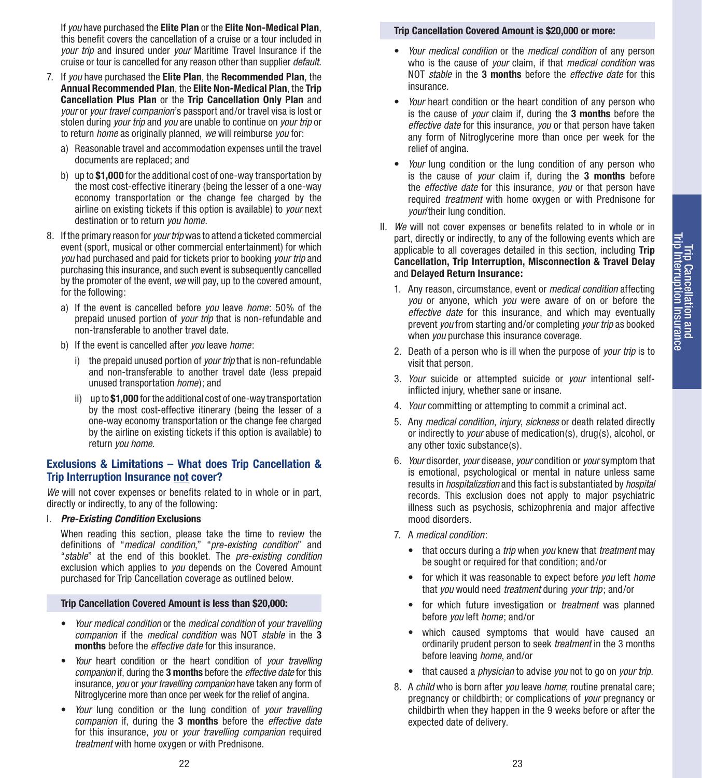If *you* have purchased the **Elite Plan** or the **Elite Non-Medical Plan**, this benefit covers the cancellation of a cruise or a tour included in *your trip* and insured under *your* Maritime Travel Insurance if the cruise or tour is cancelled for any reason other than supplier *default*.

- 7. If *you* have purchased the **Elite Plan**, the **Recommended Plan**, the **Annual Recommended Plan**, the **Elite Non-Medical Plan**, the **Trip Cancellation Plus Plan** or the **Trip Cancellation Only Plan** and *your* or *your travel companion*'s passport and/or travel visa is lost or stolen during *your trip* and *you* are unable to continue on *your trip* or to return *home* as originally planned, *we* will reimburse *you* for:
	- a) Reasonable travel and accommodation expenses until the travel documents are replaced; and
	- b) up to **\$1,000** for the additional cost of one-way transportation by the most cost-effective itinerary (being the lesser of a one-way economy transportation or the change fee charged by the airline on existing tickets if this option is available) to *your* next destination or to return *you home*.
- 8. If the primary reason for *your trip* was to attend a ticketed commercial event (sport, musical or other commercial entertainment) for which *you* had purchased and paid for tickets prior to booking *your trip* and purchasing this insurance, and such event is subsequently cancelled by the promoter of the event, *we* will pay, up to the covered amount, for the following:
	- a) If the event is cancelled before *you* leave *home*: 50% of the prepaid unused portion of *your trip* that is non-refundable and non-transferable to another travel date.
	- b) If the event is cancelled after *you* leave *home*:
		- i) the prepaid unused portion of *your trip* that is non-refundable and non-transferable to another travel date (less prepaid unused transportation *home*); and
		- ii) up to **\$1,000** for the additional cost of one-way transportation by the most cost-effective itinerary (being the lesser of a one-way economy transportation or the change fee charged by the airline on existing tickets if this option is available) to return *you home*.

#### **Exclusions & Limitations – What does Trip Cancellation & Trip Interruption Insurance not cover?**

*We* will not cover expenses or benefits related to in whole or in part, directly or indirectly, to any of the following:

I. *Pre-Existing Condition* **Exclusions**

When reading this section, please take the time to review the definitions of "*medical condition*," "*pre-existing condition*" and "*stable*" at the end of this booklet. The *pre-existing condition* exclusion which applies to *you* depends on the Covered Amount purchased for Trip Cancellation coverage as outlined below.

#### **Trip Cancellation Covered Amount is less than \$20,000:**

- *Your medical condition* or the *medical condition* of *your travelling companion* if the *medical condition* was NOT *stable* in the **3 months** before the *effective date* for this insurance.
- *Your* heart condition or the heart condition of *your travelling companion* if, during the **3 months** before the *effective date* for this insurance, *you* or *your travelling companion* have taken any form of Nitroglycerine more than once per week for the relief of angina.
- *Your* lung condition or the lung condition of *your travelling companion* if, during the **3 months** before the *effective date*  for this insurance, *you* or *your travelling companion* required *treatment* with home oxygen or with Prednisone.

#### **Trip Cancellation Covered Amount is \$20,000 or more:**

- *Your medical condition* or the *medical condition* of any person who is the cause of *your* claim, if that *medical condition* was NOT *stable* in the **3 months** before the *effective date* for this insurance*.*
- *Your* heart condition or the heart condition of any person who is the cause of *your* claim if, during the **3 months** before the *effective date* for this insurance, *you* or that person have taken any form of Nitroglycerine more than once per week for the relief of angina.
- *Your* lung condition or the lung condition of any person who is the cause of *your* claim if, during the **3 months** before the *effective date* for this insurance, *you* or that person have required *treatment* with home oxygen or with Prednisone for *your*/their lung condition.
- II. *We* will not cover expenses or benefits related to in whole or in part, directly or indirectly, to any of the following events which are applicable to all coverages detailed in this section, including **Trip Cancellation, Trip Interruption, Misconnection & Travel Delay**  and **Delayed Return Insurance:**
	- 1. Any reason, circumstance, event or *medical condition* affecting *you* or anyone, which *you* were aware of on or before the *effective date* for this insurance, and which may eventually prevent *you* from starting and/or completing *your trip* as booked when *you* purchase this insurance coverage.
	- 2. Death of a person who is ill when the purpose of *your trip* is to visit that person.
	- 3. *Your* suicide or attempted suicide or *your* intentional selfinflicted injury, whether sane or insane.
	- 4. *Your* committing or attempting to commit a criminal act.
	- 5. Any *medical condition*, *injury*, *sickness* or death related directly or indirectly to *your* abuse of medication(s), drug(s), alcohol, or any other toxic substance(s).
	- 6. *Your* disorder, *your* disease, *your* condition or *your* symptom that is emotional, psychological or mental in nature unless same results in *hospitalization* and this fact is substantiated by *hospital* records. This exclusion does not apply to major psychiatric illness such as psychosis, schizophrenia and major affective mood disorders.
	- 7. A *medical condition*:
		- that occurs during a *trip* when *you* knew that *treatment* may be sought or required for that condition; and/or
		- for which it was reasonable to expect before *you* left *home*  that *you* would need *treatment* during *your trip*; and/or
		- for which future investigation or *treatment* was planned before *you* left *home*; and/or
		- which caused symptoms that would have caused an ordinarily prudent person to seek *treatment* in the 3 months before leaving *home*, and/or
		- that caused a *physician* to advise *you* not to go on *your trip*.
	- 8. A *child* who is born after *you* leave *home*; routine prenatal care; pregnancy or childbirth; or complications of *your* pregnancy or childbirth when they happen in the 9 weeks before or after the expected date of delivery.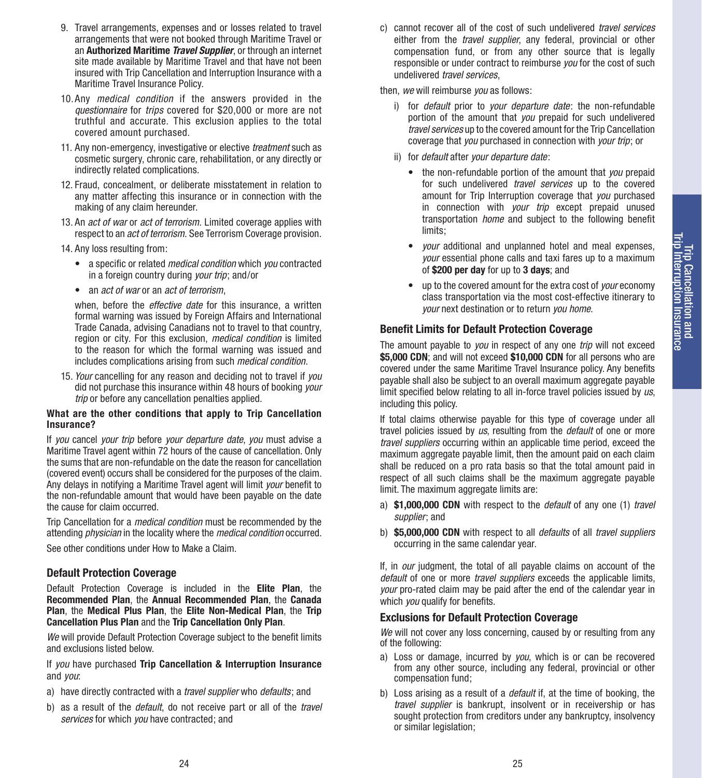- 9. Travel arrangements, expenses and or losses related to travel arrangements that were not booked through Maritime Travel or an **Authorized Maritime** *Travel Supplier*, or through an internet site made available by Maritime Travel and that have not been insured with Trip Cancellation and Interruption Insurance with a Maritime Travel Insurance Policy.
- 10.Any *medical condition* if the answers provided in the *questionnaire* for *trips* covered for \$20,000 or more are not truthful and accurate. This exclusion applies to the total covered amount purchased.
- 11. Any non-emergency, investigative or elective *treatment* such as cosmetic surgery, chronic care, rehabilitation, or any directly or indirectly related complications.
- 12. Fraud, concealment, or deliberate misstatement in relation to any matter affecting this insurance or in connection with the making of any claim hereunder.
- 13. An *act of war* or *act of terrorism*. Limited coverage applies with respect to an *act of terrorism*. See Terrorism Coverage provision.
- 14. Any loss resulting from:
	- a specific or related *medical condition* which *you* contracted in a foreign country during *your trip*; and/or
	- an *act of war* or an *act of terrorism*,

when, before the *effective date* for this insurance, a written formal warning was issued by Foreign Affairs and International Trade Canada, advising Canadians not to travel to that country, region or city. For this exclusion, *medical condition* is limited to the reason for which the formal warning was issued and includes complications arising from such *medical condition*.

15. *Your* cancelling for any reason and deciding not to travel if *you* did not purchase this insurance within 48 hours of booking *your trip* or before any cancellation penalties applied.

#### **What are the other conditions that apply to Trip Cancellation Insurance?**

If *you* cancel *your trip* before *your departure date*, *you* must advise a Maritime Travel agent within 72 hours of the cause of cancellation. Only the sums that are non-refundable on the date the reason for cancellation (covered event) occurs shall be considered for the purposes of the claim. Any delays in notifying a Maritime Travel agent will limit *your* benefit to the non-refundable amount that would have been payable on the date the cause for claim occurred.

Trip Cancellation for a *medical condition* must be recommended by the attending *physician* in the locality where the *medical condition* occurred.

See other conditions under How to Make a Claim.

#### **Default Protection Coverage**

Default Protection Coverage is included in the **Elite Plan**, the **Recommended Plan**, the **Annual Recommended Plan**, the **Canada Plan**, the **Medical Plus Plan**, the **Elite Non-Medical Plan**, the **Trip Cancellation Plus Plan** and the **Trip Cancellation Only Plan**.

*We* will provide Default Protection Coverage subject to the benefit limits and exclusions listed below.

If *you* have purchased **Trip Cancellation & Interruption Insurance**  and *you*:

- a) have directly contracted with a *travel supplier* who *defaults*; and
- b) as a result of the *default*, do not receive part or all of the *travel services* for which *you* have contracted; and

c) cannot recover all of the cost of such undelivered *travel services*  either from the *travel supplier*, any federal, provincial or other compensation fund, or from any other source that is legally responsible or under contract to reimburse *you* for the cost of such undelivered *travel services*,

then, *we* will reimburse *you* as follows:

- i) for *default* prior to *your departure date*: the non-refundable portion of the amount that *you* prepaid for such undelivered *travel services* up to the covered amount for the Trip Cancellation coverage that *you* purchased in connection with *your trip*; or
- ii) for *default* after *your departure date*:
	- the non-refundable portion of the amount that *you* prepaid for such undelivered *travel services* up to the covered amount for Trip Interruption coverage that *you* purchased in connection with *your trip* except prepaid unused transportation *home* and subject to the following benefit limits;
	- *your* additional and unplanned hotel and meal expenses, *your* essential phone calls and taxi fares up to a maximum of **\$200 per day** for up to **3 days**; and
	- up to the covered amount for the extra cost of *your* economy class transportation via the most cost-effective itinerary to *your* next destination or to return *you home*.

#### **Benefit Limits for Default Protection Coverage**

The amount payable to *you* in respect of any one *trip* will not exceed **\$5,000 CDN**; and will not exceed **\$10,000 CDN** for all persons who are covered under the same Maritime Travel Insurance policy. Any benefits payable shall also be subject to an overall maximum aggregate payable limit specified below relating to all in-force travel policies issued by *us*, including this policy.

If total claims otherwise payable for this type of coverage under all travel policies issued by *us*, resulting from the *default* of one or more *travel suppliers* occurring within an applicable time period, exceed the maximum aggregate payable limit, then the amount paid on each claim shall be reduced on a pro rata basis so that the total amount paid in respect of all such claims shall be the maximum aggregate payable limit. The maximum aggregate limits are:

- a) **\$1,000,000 CDN** with respect to the *default* of any one (1) *travel supplier*; and
- b) **\$5,000,000 CDN** with respect to all *defaults* of all *travel suppliers*  occurring in the same calendar year.

If, in *our* judgment, the total of all payable claims on account of the *default* of one or more *travel suppliers* exceeds the applicable limits, *your* pro-rated claim may be paid after the end of the calendar year in which *you* qualify for benefits.

#### **Exclusions for Default Protection Coverage**

*We* will not cover any loss concerning, caused by or resulting from any of the following:

- a) Loss or damage, incurred by *you*, which is or can be recovered from any other source, including any federal, provincial or other compensation fund;
- b) Loss arising as a result of a *default* if, at the time of booking, the *travel supplier* is bankrupt, insolvent or in receivership or has sought protection from creditors under any bankruptcy, insolvency or similar legislation;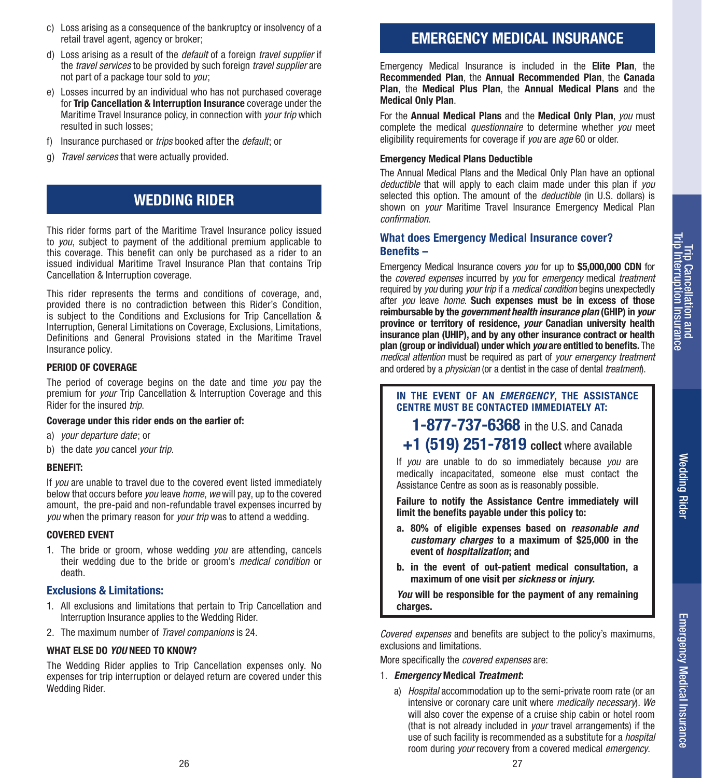Wedding Rider

**Wedding Rider** 

Emergency Medical Insurance

Emergency Medical Insurance

- c) Loss arising as a consequence of the bankruptcy or insolvency of a retail travel agent, agency or broker;
- d) Loss arising as a result of the *default* of a foreign *travel supplier* if the *travel services* to be provided by such foreign *travel supplier* are not part of a package tour sold to *you*;
- e) Losses incurred by an individual who has not purchased coverage for **Trip Cancellation & Interruption Insurance** coverage under the Maritime Travel Insurance policy, in connection with *your trip* which resulted in such losses;
- f) Insurance purchased or *trips* booked after the *default*; or
- g) *Travel services* that were actually provided.

## **WEDDING RIDER**

This rider forms part of the Maritime Travel Insurance policy issued to *you*, subject to payment of the additional premium applicable to this coverage. This benefit can only be purchased as a rider to an issued individual Maritime Travel Insurance Plan that contains Trip Cancellation & Interruption coverage.

This rider represents the terms and conditions of coverage, and, provided there is no contradiction between this Rider's Condition, is subject to the Conditions and Exclusions for Trip Cancellation & Interruption, General Limitations on Coverage, Exclusions, Limitations, Definitions and General Provisions stated in the Maritime Travel Insurance policy.

#### **PERIOD OF COVERAGE**

The period of coverage begins on the date and time *you* pay the premium for *your* Trip Cancellation & Interruption Coverage and this Rider for the insured *trip*.

#### **Coverage under this rider ends on the earlier of:**

- a) *your departure date*; or
- b) the date *you* cancel *your trip*.

#### **BENEFIT:**

If *you* are unable to travel due to the covered event listed immediately below that occurs before *you* leave *home*, *we* will pay, up to the covered amount, the pre-paid and non-refundable travel expenses incurred by *you* when the primary reason for *your trip* was to attend a wedding.

#### **COVERED EVENT**

1. The bride or groom, whose wedding *you* are attending, cancels their wedding due to the bride or groom's *medical condition* or death.

#### **Exclusions & Limitations:**

- 1. All exclusions and limitations that pertain to Trip Cancellation and Interruption Insurance applies to the Wedding Rider.
- 2. The maximum number of *Travel companions* is 24.

#### **WHAT ELSE DO** *YOU* **NEED TO KNOW?**

The Wedding Rider applies to Trip Cancellation expenses only. No expenses for trip interruption or delayed return are covered under this Wedding Rider.

## **EMERGENCY MEDICAL INSURANCE**

Emergency Medical Insurance is included in the **Elite Plan**, the **Recommended Plan**, the **Annual Recommended Plan**, the **Canada Plan**, the **Medical Plus Plan**, the **Annual Medical Plans** and the **Medical Only Plan**.

For the **Annual Medical Plans** and the **Medical Only Plan**, *you* must complete the medical *questionnaire* to determine whether *you* meet eligibility requirements for coverage if *you* are *age* 60 or older.

#### **Emergency Medical Plans Deductible**

The Annual Medical Plans and the Medical Only Plan have an optional *deductible* that will apply to each claim made under this plan if *you* selected this option. The amount of the *deductible* (in U.S. dollars) is shown on *your* Maritime Travel Insurance Emergency Medical Plan *confirmation*.

#### **What does Emergency Medical Insurance cover? Benefits –**

Emergency Medical Insurance covers *you* for up to **\$5,000,000 CDN** for the *covered expenses* incurred by *you* for *emergency* medical *treatment*  required by *you* during *your trip* if a *medical condition* begins unexpectedly after *you* leave *home*. **Such expenses must be in excess of those reimbursable by the** *government health insurance plan* **(GHIP) in** *your*  **province or territory of residence,** *your* **Canadian university health insurance plan (UHIP), and by any other insurance contract or health plan (group or individual) under which** *you* **are entitled to benefits.** The *medical attention* must be required as part of *your emergency treatment*  and ordered by a *physician* (or a dentist in the case of dental *treatment*).

**IN THE EVENT OF AN** *EMERGENCY***, THE ASSISTANCE CENTRE MUST BE CONTACTED IMMEDIATELY AT:**

**1-877-737-6368** in the U.S. and Canada

**+1 (519) 251-7819 collect** where available

If *you* are unable to do so immediately because *you* are medically incapacitated, someone else must contact the Assistance Centre as soon as is reasonably possible.

**Failure to notify the Assistance Centre immediately will limit the benefits payable under this policy to:**

- **a. 80% of eligible expenses based on** *reasonable and customary charges* **to a maximum of \$25,000 in the event of** *hospitalization***; and**
- **b. in the event of out-patient medical consultation, a maximum of one visit per** *sickness* **or** *injury***.**

*You* **will be responsible for the payment of any remaining charges.**

*Covered expenses* and benefits are subject to the policy's maximums, exclusions and limitations.

More specifically the *covered expenses* are:

#### 1. *Emergency* **Medical** *Treatment***:**

a) *Hospital* accommodation up to the semi-private room rate (or an intensive or coronary care unit where *medically necessary*). *We* will also cover the expense of a cruise ship cabin or hotel room (that is not already included in *your* travel arrangements) if the use of such facility is recommended as a substitute for a *hospital* room during *your* recovery from a covered medical *emergency*.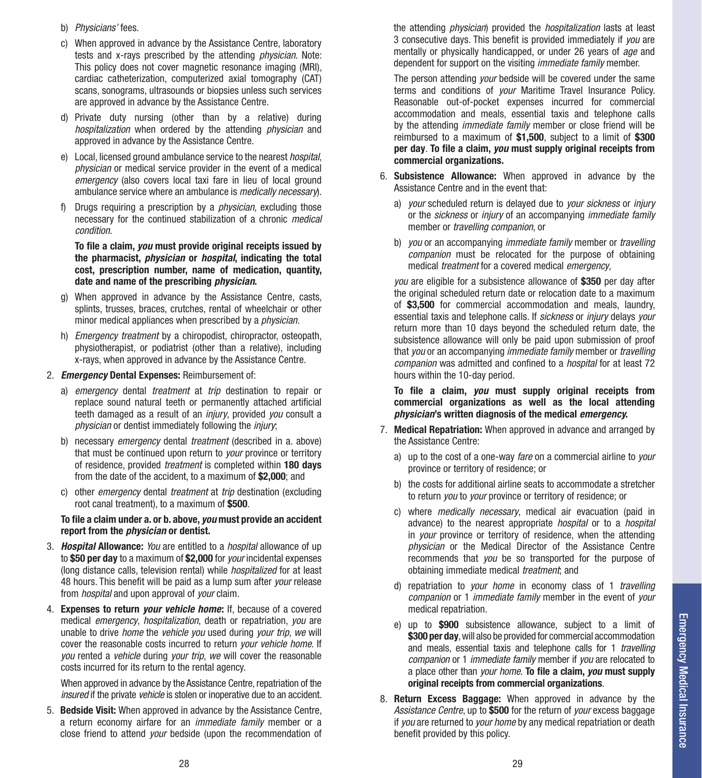- b) *Physicians'* fees.
- c) When approved in advance by the Assistance Centre, laboratory tests and x-rays prescribed by the attending *physician*. Note: This policy does not cover magnetic resonance imaging (MRI), cardiac catheterization, computerized axial tomography (CAT) scans, sonograms, ultrasounds or biopsies unless such services are approved in advance by the Assistance Centre.
- d) Private duty nursing (other than by a relative) during *hospitalization* when ordered by the attending *physician* and approved in advance by the Assistance Centre.
- e) Local, licensed ground ambulance service to the nearest *hospital*, *physician* or medical service provider in the event of a medical *emergency* (also covers local taxi fare in lieu of local ground ambulance service where an ambulance is *medically necessary*).
- f) Drugs requiring a prescription by a *physician*, excluding those necessary for the continued stabilization of a chronic *medical condition*.

**To file a claim,** *you* **must provide original receipts issued by the pharmacist,** *physician* **or** *hospital***, indicating the total cost, prescription number, name of medication, quantity, date and name of the prescribing** *physician***.**

- g) When approved in advance by the Assistance Centre, casts, splints, trusses, braces, crutches, rental of wheelchair or other minor medical appliances when prescribed by a *physician*.
- h) *Emergency treatment* by a chiropodist, chiropractor, osteopath, physiotherapist, or podiatrist (other than a relative), including x-rays, when approved in advance by the Assistance Centre.
- 2. *Emergency* **Dental Expenses:** Reimbursement of:
	- a) *emergency* dental *treatment* at *trip* destination to repair or replace sound natural teeth or permanently attached artificial teeth damaged as a result of an *injury*, provided *you* consult a *physician* or dentist immediately following the *injury*;
	- b) necessary *emergency* dental *treatment* (described in a. above) that must be continued upon return to *your* province or territory of residence, provided *treatment* is completed within **180 days** from the date of the accident, to a maximum of **\$2,000**; and
	- c) other *emergency* dental *treatment* at *trip* destination (excluding root canal treatment), to a maximum of **\$500**.

#### **To file a claim under a. or b. above,** *you* **must provide an accident report from the** *physician* **or dentist.**

- 3. *Hospital* **Allowance:** *You* are entitled to a *hospital* allowance of up to **\$50 per day** to a maximum of **\$2,000** for *your* incidental expenses (long distance calls, television rental) while *hospitalized* for at least 48 hours. This benefit will be paid as a lump sum after *your* release from *hospital* and upon approval of *your* claim.
- 4. **Expenses to return** *your vehicle home***:** If, because of a covered medical *emergency*, *hospitalization*, death or repatriation, *you* are unable to drive *home* the *vehicle you* used during *your trip*, *we* will cover the reasonable costs incurred to return *your vehicle home*. If *you* rented a *vehicle* during *your trip*, *we* will cover the reasonable costs incurred for its return to the rental agency.

When approved in advance by the Assistance Centre, repatriation of the *insured* if the private *vehicle* is stolen or inoperative due to an accident.

5. **Bedside Visit:** When approved in advance by the Assistance Centre, a return economy airfare for an *immediate family* member or a close friend to attend *your* bedside (upon the recommendation of the attending *physician*) provided the *hospitalization* lasts at least 3 consecutive days. This benefit is provided immediately if *you* are mentally or physically handicapped, or under 26 years of *age* and dependent for support on the visiting *immediate family* member.

The person attending *your* bedside will be covered under the same terms and conditions of *your* Maritime Travel Insurance Policy. Reasonable out-of-pocket expenses incurred for commercial accommodation and meals, essential taxis and telephone calls by the attending *immediate family* member or close friend will be reimbursed to a maximum of **\$1,500**, subject to a limit of **\$300 per day**. **To file a claim,** *you* **must supply original receipts from commercial organizations.**

- 6. **Subsistence Allowance:** When approved in advance by the Assistance Centre and in the event that:
	- a) *your* scheduled return is delayed due to *your sickness* or *injury* or the *sickness* or *injury* of an accompanying *immediate family*  member or *travelling companion*, or
	- b) *you* or an accompanying *immediate family* member or *travelling companion* must be relocated for the purpose of obtaining medical *treatment* for a covered medical *emergency*,

*you* are eligible for a subsistence allowance of **\$350** per day after the original scheduled return date or relocation date to a maximum of **\$3,500** for commercial accommodation and meals, laundry, essential taxis and telephone calls. If *sickness* or *injury* delays *your* return more than 10 days beyond the scheduled return date, the subsistence allowance will only be paid upon submission of proof that *you* or an accompanying *immediate family* member or *travelling companion* was admitted and confined to a *hospital* for at least 72 hours within the 10-day period.

**To file a claim,** *you* **must supply original receipts from commercial organizations as well as the local attending**  *physician***'s written diagnosis of the medical** *emergency***.**

- 7. **Medical Repatriation:** When approved in advance and arranged by the Assistance Centre:
	- a) up to the cost of a one-way *fare* on a commercial airline to *your* province or territory of residence; or
	- b) the costs for additional airline seats to accommodate a stretcher to return *you* to *your* province or territory of residence; or
	- c) where *medically necessary*, medical air evacuation (paid in advance) to the nearest appropriate *hospital* or to a *hospital* in *your* province or territory of residence, when the attending *physician* or the Medical Director of the Assistance Centre recommends that *you* be so transported for the purpose of obtaining immediate medical *treatment*; and
	- d) repatriation to *your home* in economy class of 1 *travelling companion* or 1 *immediate family* member in the event of *your* medical repatriation.
	- e) up to **\$900** subsistence allowance, subject to a limit of **\$300 per day**, will also be provided for commercial accommodation and meals, essential taxis and telephone calls for 1 *travelling companion* or 1 *immediate family* member if *you* are relocated to a place other than *your home*. **To file a claim,** *you* **must supply original receipts from commercial organizations**.
- 8. **Return Excess Baggage:** When approved in advance by the *Assistance Centre*, up to **\$500** for the return of *your* excess baggage if *you* are returned to *your home* by any medical repatriation or death benefit provided by this policy.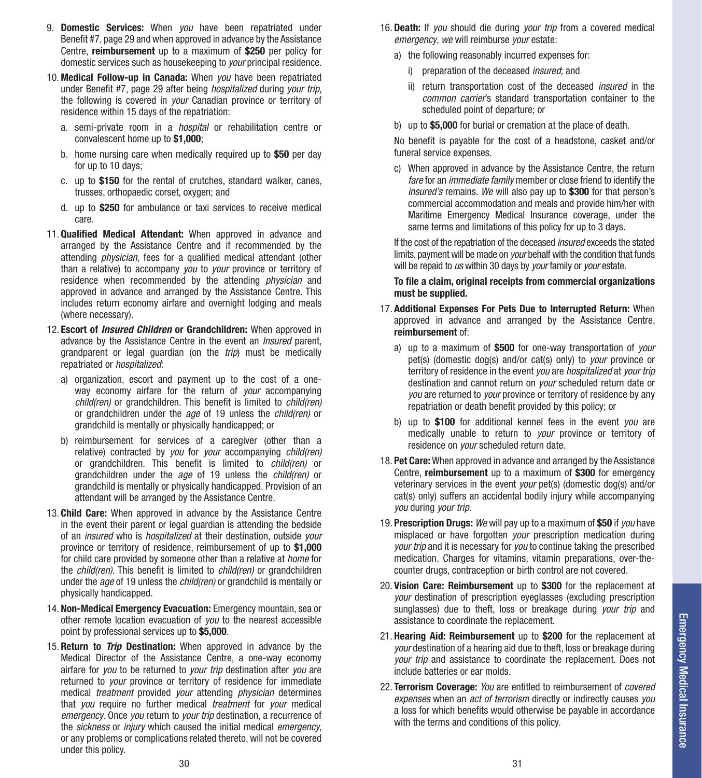- 9. **Domestic Services:** When *you* have been repatriated under Benefit #7, page 29 and when approved in advance by the Assistance Centre, **reimbursement** up to a maximum of **\$250** per policy for domestic services such as housekeeping to *your* principal residence.
- 10. **Medical Follow-up in Canada:** When *you* have been repatriated under Benefit #7, page 29 after being *hospitalized* during *your trip*, the following is covered in *your* Canadian province or territory of residence within 15 days of the repatriation:
	- a. semi-private room in a *hospital* or rehabilitation centre or convalescent home up to **\$1,000**;
	- b. home nursing care when medically required up to **\$50** per day for up to 10 days;
	- c. up to **\$150** for the rental of crutches, standard walker, canes, trusses, orthopaedic corset, oxygen; and
	- d. up to **\$250** for ambulance or taxi services to receive medical care.
- 11. **Qualified Medical Attendant:** When approved in advance and arranged by the Assistance Centre and if recommended by the attending *physician*, fees for a qualified medical attendant (other than a relative) to accompany *you* to *your* province or territory of residence when recommended by the attending *physician* and approved in advance and arranged by the Assistance Centre. This includes return economy airfare and overnight lodging and meals (where necessary).
- 12. **Escort of** *Insured Children* **or Grandchildren:** When approved in advance by the Assistance Centre in the event an *Insured* parent, grandparent or legal guardian (on the *trip*) must be medically repatriated or *hospitalized*:
	- a) organization, escort and payment up to the cost of a oneway economy airfare for the return of *your* accompanying *child(ren)* or grandchildren. This benefit is limited to *child(ren)*  or grandchildren under the *age* of 19 unless the *child(ren)* or grandchild is mentally or physically handicapped; or
	- b) reimbursement for services of a caregiver (other than a relative) contracted by *you* for *your* accompanying *child(ren)* or grandchildren. This benefit is limited to *child(ren)* or grandchildren under the *age* of 19 unless the *child(ren)* or grandchild is mentally or physically handicapped. Provision of an attendant will be arranged by the Assistance Centre.
- 13. **Child Care:** When approved in advance by the Assistance Centre in the event their parent or legal guardian is attending the bedside of an *insured* who is *hospitalized* at their destination, outside *your* province or territory of residence, reimbursement of up to **\$1,000** for child care provided by someone other than a relative at *home* for the *child(ren)*. This benefit is limited to *child(ren)* or grandchildren under the *age* of 19 unless the *child(ren)* or grandchild is mentally or physically handicapped.
- 14. **Non-Medical Emergency Evacuation:** Emergency mountain, sea or other remote location evacuation of *you* to the nearest accessible point by professional services up to **\$5,000**.
- 15. **Return to** *Trip* **Destination:** When approved in advance by the Medical Director of the Assistance Centre, a one-way economy airfare for *you* to be returned to *your trip* destination after *you* are returned to *your* province or territory of residence for immediate medical *treatment* provided *your* attending *physician* determines that *you* require no further medical *treatment* for *your* medical *emergency*. Once *you* return to *your trip* destination, a recurrence of the *sickness* or *injury* which caused the initial medical *emergency*, or any problems or complications related thereto, will not be covered under this policy.
- 16. **Death:** If *you* should die during *your trip* from a covered medical *emergency*, *we* will reimburse *your* estate:
	- a) the following reasonably incurred expenses for:
		- i) preparation of the deceased *insured*; and
		- ii) return transportation cost of the deceased *insured* in the *common carrier*'s standard transportation container to the scheduled point of departure; or
	- b) up to **\$5,000** for burial or cremation at the place of death.

No benefit is payable for the cost of a headstone, casket and/or funeral service expenses.

c) When approved in advance by the Assistance Centre, the return *fare* for an *immediate family* member or close friend to identify the *insured's* remains. *We* will also pay up to **\$300** for that person's commercial accommodation and meals and provide him/her with Maritime Emergency Medical Insurance coverage, under the same terms and limitations of this policy for up to 3 days.

If the cost of the repatriation of the deceased *insured* exceeds the stated limits, payment will be made on *your* behalf with the condition that funds will be repaid to *us* within 30 days by *your* family or *your* estate.

#### **To file a claim, original receipts from commercial organizations must be supplied.**

- 17. **Additional Expenses For Pets Due to Interrupted Return:** When approved in advance and arranged by the Assistance Centre, **reimbursement** of:
	- a) up to a maximum of **\$500** for one-way transportation of *your* pet(s) (domestic dog(s) and/or cat(s) only) to *your* province or territory of residence in the event *you* are *hospitalized* at *your trip*  destination and cannot return on *your* scheduled return date or *you* are returned to *your* province or territory of residence by any repatriation or death benefit provided by this policy; or
	- b) up to **\$100** for additional kennel fees in the event *you* are medically unable to return to *your* province or territory of residence on *your* scheduled return date.
- 18. **Pet Care:** When approved in advance and arranged by the Assistance Centre, **reimbursement** up to a maximum of **\$300** for emergency veterinary services in the event *your* pet(s) (domestic dog(s) and/or cat(s) only) suffers an accidental bodily injury while accompanying *you* during *your trip*.
- 19. **Prescription Drugs:** *We* will pay up to a maximum of **\$50** if *you* have misplaced or have forgotten *your* prescription medication during *your trip* and it is necessary for *you* to continue taking the prescribed medication. Charges for vitamins, vitamin preparations, over-thecounter drugs, contraception or birth control are not covered.
- 20. **Vision Care: Reimbursement** up to **\$300** for the replacement at *your* destination of prescription eyeglasses (excluding prescription sunglasses) due to theft, loss or breakage during *your trip* and assistance to coordinate the replacement.
- 21. **Hearing Aid: Reimbursement** up to **\$200** for the replacement at *your* destination of a hearing aid due to theft, loss or breakage during *your trip* and assistance to coordinate the replacement. Does not include batteries or ear molds.
- 22. **Terrorism Coverage:** *You* are entitled to reimbursement of *covered expenses* when an *act of terrorism* directly or indirectly causes *you* a loss for which benefits would otherwise be payable in accordance with the terms and conditions of this policy.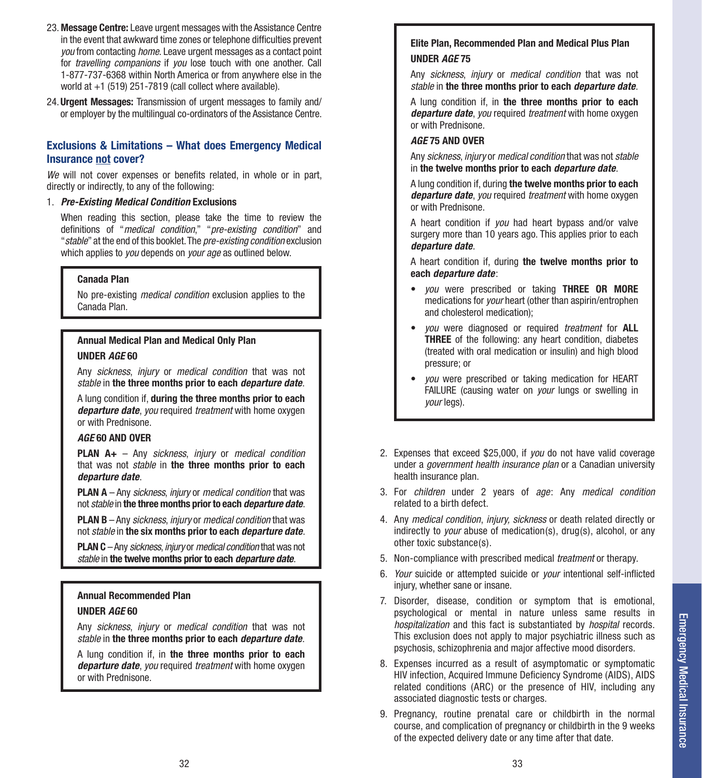- 23. **Message Centre:** Leave urgent messages with the Assistance Centre in the event that awkward time zones or telephone difficulties prevent *you* from contacting *home*. Leave urgent messages as a contact point for *travelling companions* if *you* lose touch with one another. Call 1-877-737-6368 within North America or from anywhere else in the world at +1 (519) 251-7819 (call collect where available).
- 24.**Urgent Messages:** Transmission of urgent messages to family and/ or employer by the multilingual co-ordinators of the Assistance Centre.

#### **Exclusions & Limitations – What does Emergency Medical Insurance not cover?**

*We* will not cover expenses or benefits related, in whole or in part, directly or indirectly, to any of the following:

#### 1. *Pre-Existing Medical Condition* **Exclusions**

When reading this section, please take the time to review the definitions of "*medical condition*," "*pre-existing condition*" and "*stable*" at the end of this booklet. The *pre-existing condition* exclusion which applies to *you* depends on *your age* as outlined below.

#### **Canada Plan**

No pre-existing *medical condition* exclusion applies to the Canada Plan.

#### **Annual Medical Plan and Medical Only Plan UNDER** *AGE* **60**

Any *sickness*, *injury* or *medical condition* that was not *stable* in **the three months prior to each** *departure date*.

A lung condition if, **during the three months prior to each**  *departure date*, *you* required *treatment* with home oxygen or with Prednisone.

#### *AGE* **60 AND OVER**

**PLAN A+** – Any *sickness*, *injury* or *medical condition* that was not *stable* in **the three months prior to each**  *departure date*.

**PLAN A** – Any *sickness*, *injury* or *medical condition* that was not *stable* in **the three months prior to each** *departure date*.

**PLAN B** – Any *sickness*, *injury* or *medical condition* that was not *stable* in **the six months prior to each** *departure date*.

**PLAN C** – Any *sickness*, *injury* or *medical condition* that was not *stable* in **the twelve months prior to each** *departure date*.

#### **Annual Recommended Plan UNDER** *AGE* **60**

Any *sickness*, *injury* or *medical condition* that was not *stable* in **the three months prior to each** *departure date*.

A lung condition if, in **the three months prior to each**  *departure date*, *you* required *treatment* with home oxygen or with Prednisone.

#### **Elite Plan, Recommended Plan and Medical Plus Plan UNDER** *AGE* **75**

Any *sickness*, *injury* or *medical condition* that was not *stable* in **the three months prior to each** *departure date*.

A lung condition if, in **the three months prior to each**  *departure date*, *you* required *treatment* with home oxygen or with Prednisone.

#### *AGE* **75 AND OVER**

Any *sickness*, *injury* or *medical condition* that was not *stable* in **the twelve months prior to each** *departure date*.

A lung condition if, during **the twelve months prior to each**  *departure date*, *you* required *treatment* with home oxygen or with Prednisone.

A heart condition if *you* had heart bypass and/or valve surgery more than 10 years ago. This applies prior to each *departure date*.

A heart condition if, during **the twelve months prior to each** *departure date*:

- *you* were prescribed or taking **THREE OR MORE** medications for *your* heart (other than aspirin/entrophen and cholesterol medication);
- *you* were diagnosed or required *treatment* for **ALL THREE** of the following: any heart condition, diabetes (treated with oral medication or insulin) and high blood pressure; or
- *you* were prescribed or taking medication for HEART FAILURE (causing water on *your* lungs or swelling in *your* legs).
- 2. Expenses that exceed \$25,000, if *you* do not have valid coverage under a *government health insurance plan* or a Canadian university health insurance plan.
- 3. For *children* under 2 years of *age*: Any *medical condition* related to a birth defect.
- 4. Any *medical condition*, *injury, sickness* or death related directly or indirectly to *your* abuse of medication(s), drug(s), alcohol, or any other toxic substance(s).
- 5. Non-compliance with prescribed medical *treatment* or therapy.
- 6. *Your* suicide or attempted suicide or *your* intentional self-inflicted injury, whether sane or insane.
- 7. Disorder, disease, condition or symptom that is emotional, psychological or mental in nature unless same results in *hospitalization* and this fact is substantiated by *hospital* records. This exclusion does not apply to major psychiatric illness such as psychosis, schizophrenia and major affective mood disorders.
- 8. Expenses incurred as a result of asymptomatic or symptomatic HIV infection, Acquired Immune Deficiency Syndrome (AIDS), AIDS related conditions (ARC) or the presence of HIV, including any associated diagnostic tests or charges.
- 9. Pregnancy, routine prenatal care or childbirth in the normal course, and complication of pregnancy or childbirth in the 9 weeks of the expected delivery date or any time after that date.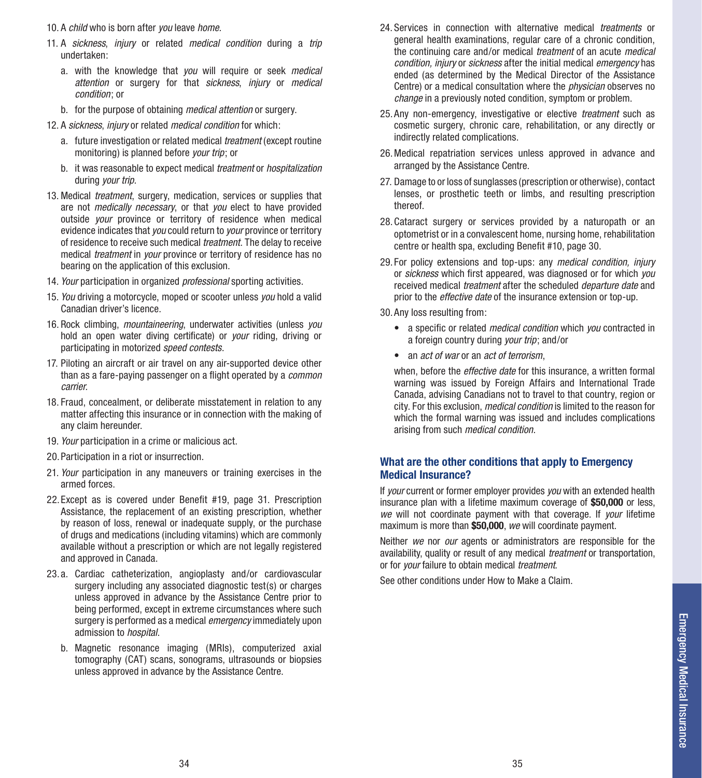- 10. A *child* who is born after *you* leave *home.*
- 11. A *sickness*, *injury* or related *medical condition* during a *trip* undertaken:
	- a. with the knowledge that *you* will require or seek *medical attention* or surgery for that *sickness*, *injury* or *medical condition*; or
	- b. for the purpose of obtaining *medical attention* or surgery.
- 12. A *sickness*, *injury* or related *medical condition* for which:
	- a. future investigation or related medical *treatment* (except routine monitoring) is planned before *your trip*; or
	- b. it was reasonable to expect medical *treatment* or *hospitalization*  during *your trip*.
- 13. Medical *treatment*, surgery, medication, services or supplies that are not *medically necessary*, or that *you* elect to have provided outside *your* province or territory of residence when medical evidence indicates that *you* could return to *your* province or territory of residence to receive such medical *treatment*. The delay to receive medical *treatment* in *your* province or territory of residence has no bearing on the application of this exclusion.
- 14. *Your* participation in organized *professional* sporting activities.
- 15. *You* driving a motorcycle, moped or scooter unless *you* hold a valid Canadian driver's licence.
- 16. Rock climbing, *mountaineering*, underwater activities (unless *you* hold an open water diving certificate) or *your* riding, driving or participating in motorized *speed contests*.
- 17. Piloting an aircraft or air travel on any air-supported device other than as a fare-paying passenger on a flight operated by a *common carrier.*
- 18. Fraud, concealment, or deliberate misstatement in relation to any matter affecting this insurance or in connection with the making of any claim hereunder.
- 19. *Your* participation in a crime or malicious act.
- 20. Participation in a riot or insurrection.
- 21. *Your* participation in any maneuvers or training exercises in the armed forces.
- 22. Except as is covered under Benefit #19, page 31. Prescription Assistance, the replacement of an existing prescription, whether by reason of loss, renewal or inadequate supply, or the purchase of drugs and medications (including vitamins) which are commonly available without a prescription or which are not legally registered and approved in Canada.
- 23. a. Cardiac catheterization, angioplasty and/or cardiovascular surgery including any associated diagnostic test(s) or charges unless approved in advance by the Assistance Centre prior to being performed, except in extreme circumstances where such surgery is performed as a medical *emergency* immediately upon admission to *hospital*.
	- b. Magnetic resonance imaging (MRIs), computerized axial tomography (CAT) scans, sonograms, ultrasounds or biopsies unless approved in advance by the Assistance Centre.
- 24. Services in connection with alternative medical *treatments* or general health examinations, regular care of a chronic condition, the continuing care and/or medical *treatment* of an acute *medical condition, injury* or *sickness* after the initial medical *emergency* has ended (as determined by the Medical Director of the Assistance Centre) or a medical consultation where the *physician* observes no *change* in a previously noted condition, symptom or problem.
- 25. Any non-emergency, investigative or elective *treatment* such as cosmetic surgery, chronic care, rehabilitation, or any directly or indirectly related complications.
- 26.Medical repatriation services unless approved in advance and arranged by the Assistance Centre.
- 27. Damage to or loss of sunglasses (prescription or otherwise), contact lenses, or prosthetic teeth or limbs, and resulting prescription thereof.
- 28.Cataract surgery or services provided by a naturopath or an optometrist or in a convalescent home, nursing home, rehabilitation centre or health spa, excluding Benefit #10, page 30.
- 29. For policy extensions and top-ups: any *medical condition, injury*  or *sickness* which first appeared, was diagnosed or for which *you*  received medical *treatment* after the scheduled *departure date* and prior to the *effective date* of the insurance extension or top-up.
- 30.Any loss resulting from:
	- a specific or related *medical condition* which *you* contracted in a foreign country during *your trip*; and/or
	- an *act of war* or an *act of terrorism*,

when, before the *effective date* for this insurance, a written formal warning was issued by Foreign Affairs and International Trade Canada, advising Canadians not to travel to that country, region or city. For this exclusion, *medical condition* is limited to the reason for which the formal warning was issued and includes complications arising from such *medical condition*.

#### **What are the other conditions that apply to Emergency Medical Insurance?**

If *your* current or former employer provides *you* with an extended health insurance plan with a lifetime maximum coverage of **\$50,000** or less, *we* will not coordinate payment with that coverage. If *your* lifetime maximum is more than **\$50,000**, *we* will coordinate payment.

Neither *we* nor *our* agents or administrators are responsible for the availability, quality or result of any medical *treatment* or transportation, or for *your* failure to obtain medical *treatment*.

See other conditions under How to Make a Claim.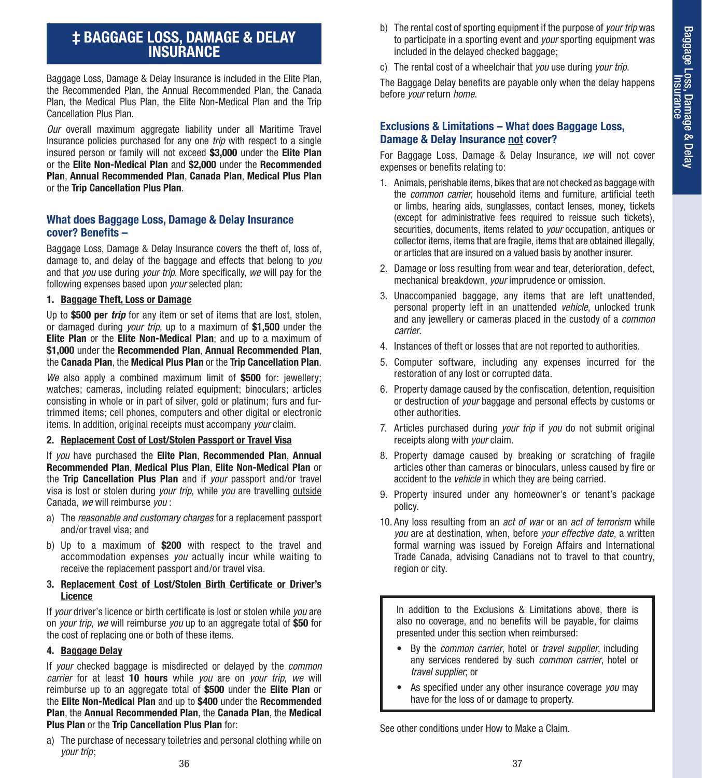## **‡ BAGGAGE LOSS, DAMAGE & DELAY INSURANCE**

Baggage Loss, Damage & Delay Insurance is included in the Elite Plan, the Recommended Plan, the Annual Recommended Plan, the Canada Plan, the Medical Plus Plan, the Elite Non-Medical Plan and the Trip Cancellation Plus Plan.

*Our* overall maximum aggregate liability under all Maritime Travel Insurance policies purchased for any one *trip* with respect to a single insured person or family will not exceed **\$3,000** under the **Elite Plan**  or the **Elite Non-Medical Plan** and **\$2,000** under the **Recommended Plan**, **Annual Recommended Plan**, **Canada Plan**, **Medical Plus Plan**  or the **Trip Cancellation Plus Plan**.

#### **What does Baggage Loss, Damage & Delay Insurance cover? Benefits –**

Baggage Loss, Damage & Delay Insurance covers the theft of, loss of, damage to, and delay of the baggage and effects that belong to *you*  and that *you* use during *your trip*. More specifically, *we* will pay for the following expenses based upon *your* selected plan:

#### **1. Baggage Theft, Loss or Damage**

Up to **\$500 per** *trip* for any item or set of items that are lost, stolen, or damaged during *your trip*, up to a maximum of **\$1,500** under the **Elite Plan** or the **Elite Non-Medical Plan**; and up to a maximum of **\$1,000** under the **Recommended Plan**, **Annual Recommended Plan**, the **Canada Plan**, the **Medical Plus Plan** or the **Trip Cancellation Plan**.

*We* also apply a combined maximum limit of **\$500** for: jewellery; watches; cameras, including related equipment; binoculars; articles consisting in whole or in part of silver, gold or platinum; furs and furtrimmed items; cell phones, computers and other digital or electronic items. In addition, original receipts must accompany *your* claim.

#### **2. Replacement Cost of Lost/Stolen Passport or Travel Visa**

If *you* have purchased the **Elite Plan**, **Recommended Plan**, **Annual Recommended Plan**, **Medical Plus Plan**, **Elite Non-Medical Plan** or the **Trip Cancellation Plus Plan** and if *your* passport and/or travel visa is lost or stolen during *your trip*, while *you* are travelling outside Canada, *we* will reimburse *you* :

- a) The *reasonable and customary charges* for a replacement passport and/or travel visa; and
- b) Up to a maximum of **\$200** with respect to the travel and accommodation expenses *you* actually incur while waiting to receive the replacement passport and/or travel visa.

#### **3. Replacement Cost of Lost/Stolen Birth Certificate or Driver's Licence**

If *your* driver's licence or birth certificate is lost or stolen while *you* are on *your trip*, *we* will reimburse *you* up to an aggregate total of **\$50** for the cost of replacing one or both of these items.

#### **4. Baggage Delay**

If *your* checked baggage is misdirected or delayed by the *common carrier* for at least **10 hours** while *you* are on *your trip*, *we* will reimburse up to an aggregate total of **\$500** under the **Elite Plan** or the **Elite Non-Medical Plan** and up to **\$400** under the **Recommended Plan**, the **Annual Recommended Plan**, the **Canada Plan**, the **Medical Plus Plan** or the **Trip Cancellation Plus Plan** for:

a) The purchase of necessary toiletries and personal clothing while on *your trip*;

- b) The rental cost of sporting equipment if the purpose of *your trip* was to participate in a sporting event and *your* sporting equipment was included in the delayed checked baggage;
- c) The rental cost of a wheelchair that *you* use during *your trip*.

The Baggage Delay benefits are payable only when the delay happens before *your* return *home*.

#### **Exclusions & Limitations – What does Baggage Loss, Damage & Delay Insurance not cover?**

For Baggage Loss, Damage & Delay Insurance, *we* will not cover expenses or benefits relating to:

- 1. Animals, perishable items, bikes that are not checked as baggage with the *common carrier*, household items and furniture, artificial teeth or limbs, hearing aids, sunglasses, contact lenses, money, tickets (except for administrative fees required to reissue such tickets), securities, documents, items related to *your* occupation, antiques or collector items, items that are fragile, items that are obtained illegally, or articles that are insured on a valued basis by another insurer.
- 2. Damage or loss resulting from wear and tear, deterioration, defect, mechanical breakdown, *your* imprudence or omission.
- 3. Unaccompanied baggage, any items that are left unattended, personal property left in an unattended *vehicle*, unlocked trunk and any jewellery or cameras placed in the custody of a *common carrier*.
- 4. Instances of theft or losses that are not reported to authorities.
- 5. Computer software, including any expenses incurred for the restoration of any lost or corrupted data.
- 6. Property damage caused by the confiscation, detention, requisition or destruction of *your* baggage and personal effects by customs or other authorities.
- 7. Articles purchased during *your trip* if *you* do not submit original receipts along with *your* claim.
- 8. Property damage caused by breaking or scratching of fragile articles other than cameras or binoculars, unless caused by fire or accident to the *vehicle* in which they are being carried.
- 9. Property insured under any homeowner's or tenant's package policy.
- 10. Any loss resulting from an *act of war* or an *act of terrorism* while *you* are at destination, when, before *your effective date*, a written formal warning was issued by Foreign Affairs and International Trade Canada, advising Canadians not to travel to that country, region or city.

In addition to the Exclusions & Limitations above, there is also no coverage, and no benefits will be payable, for claims presented under this section when reimbursed:

- By the *common carrier*, hotel or *travel supplier*, including any services rendered by such *common carrier*, hotel or *travel supplier*; or
- As specified under any other insurance coverage *you* may have for the loss of or damage to property.

See other conditions under How to Make a Claim.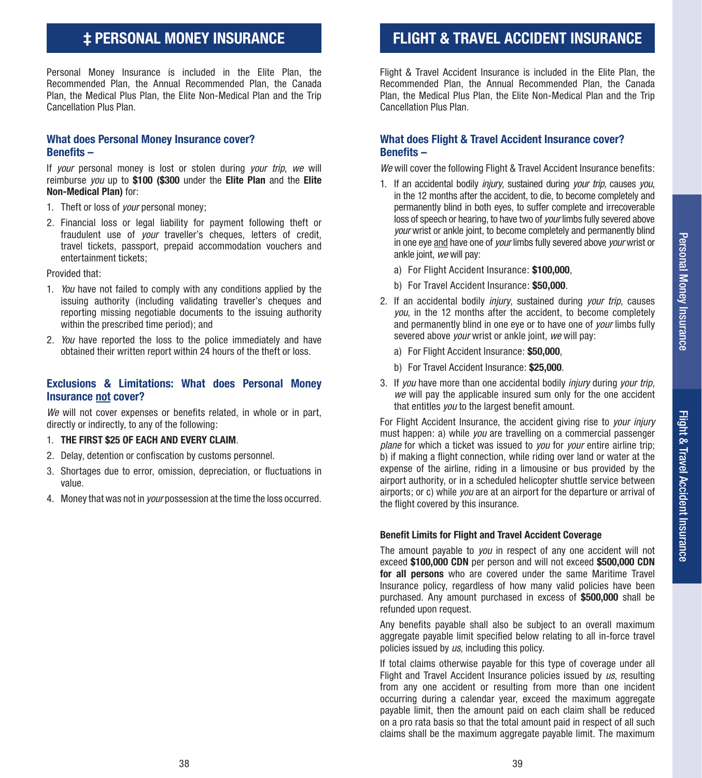# Personal Money Insurance Personal Money Insurance

## **‡ PERSONAL MONEY INSURANCE**

Personal Money Insurance is included in the Elite Plan, the Recommended Plan, the Annual Recommended Plan, the Canada Plan, the Medical Plus Plan, the Elite Non-Medical Plan and the Trip Cancellation Plus Plan.

#### **What does Personal Money Insurance cover? Benefits –**

If *your* personal money is lost or stolen during *your trip*, *we* will reimburse *you* up to **\$100 (\$300** under the **Elite Plan** and the **Elite Non-Medical Plan)** for:

- 1. Theft or loss of *your* personal money;
- 2. Financial loss or legal liability for payment following theft or fraudulent use of *your* traveller's cheques, letters of credit, travel tickets, passport, prepaid accommodation vouchers and entertainment tickets;

Provided that:

- 1. *You* have not failed to comply with any conditions applied by the issuing authority (including validating traveller's cheques and reporting missing negotiable documents to the issuing authority within the prescribed time period); and
- 2. *You* have reported the loss to the police immediately and have obtained their written report within 24 hours of the theft or loss.

#### **Exclusions & Limitations: What does Personal Money Insurance not cover?**

*We* will not cover expenses or benefits related, in whole or in part, directly or indirectly, to any of the following:

- 1. **THE FIRST \$25 OF EACH AND EVERY CLAIM**.
- 2. Delay, detention or confiscation by customs personnel.
- 3. Shortages due to error, omission, depreciation, or fluctuations in value.
- 4. Money that was not in *your* possession at the time the loss occurred.

## **FLIGHT & TRAVEL ACCIDENT INSURANCE**

Flight & Travel Accident Insurance is included in the Elite Plan, the Recommended Plan, the Annual Recommended Plan, the Canada Plan, the Medical Plus Plan, the Elite Non-Medical Plan and the Trip Cancellation Plus Plan.

#### **What does Flight & Travel Accident Insurance cover? Benefits –**

*We* will cover the following Flight & Travel Accident Insurance benefits:

- 1. If an accidental bodily *injury*, sustained during *your trip*, causes *you*, in the 12 months after the accident, to die, to become completely and permanently blind in both eyes, to suffer complete and irrecoverable loss of speech or hearing, to have two of *your* limbs fully severed above *your* wrist or ankle joint, to become completely and permanently blind in one eye and have one of *your* limbs fully severed above *your* wrist or ankle joint, *we* will pay:
	- a) For Flight Accident Insurance: **\$100,000**,
	- b) For Travel Accident Insurance: **\$50,000**.
- 2. If an accidental bodily *injury*, sustained during *your trip*, causes *you*, in the 12 months after the accident, to become completely and permanently blind in one eye or to have one of *your* limbs fully severed above *your* wrist or ankle joint, *we* will pay:
	- a) For Flight Accident Insurance: **\$50,000**,
	- b) For Travel Accident Insurance: **\$25,000**.
- 3. If *you* have more than one accidental bodily *injury* during *your trip*, *we* will pay the applicable insured sum only for the one accident that entitles *you* to the largest benefit amount.

For Flight Accident Insurance, the accident giving rise to *your injury*  must happen: a) while *you* are travelling on a commercial passenger *plane* for which a ticket was issued to *you* for *your* entire airline trip; b) if making a flight connection, while riding over land or water at the expense of the airline, riding in a limousine or bus provided by the airport authority, or in a scheduled helicopter shuttle service between airports; or c) while *you* are at an airport for the departure or arrival of the flight covered by this insurance.

#### **Benefit Limits for Flight and Travel Accident Coverage**

The amount payable to *you* in respect of any one accident will not exceed **\$100,000 CDN** per person and will not exceed **\$500,000 CDN for all persons** who are covered under the same Maritime Travel Insurance policy, regardless of how many valid policies have been purchased. Any amount purchased in excess of **\$500,000** shall be refunded upon request.

Any benefits payable shall also be subject to an overall maximum aggregate payable limit specified below relating to all in-force travel policies issued by *us*, including this policy.

If total claims otherwise payable for this type of coverage under all Flight and Travel Accident Insurance policies issued by *us*, resulting from any one accident or resulting from more than one incident occurring during a calendar year, exceed the maximum aggregate payable limit, then the amount paid on each claim shall be reduced on a pro rata basis so that the total amount paid in respect of all such claims shall be the maximum aggregate payable limit. The maximum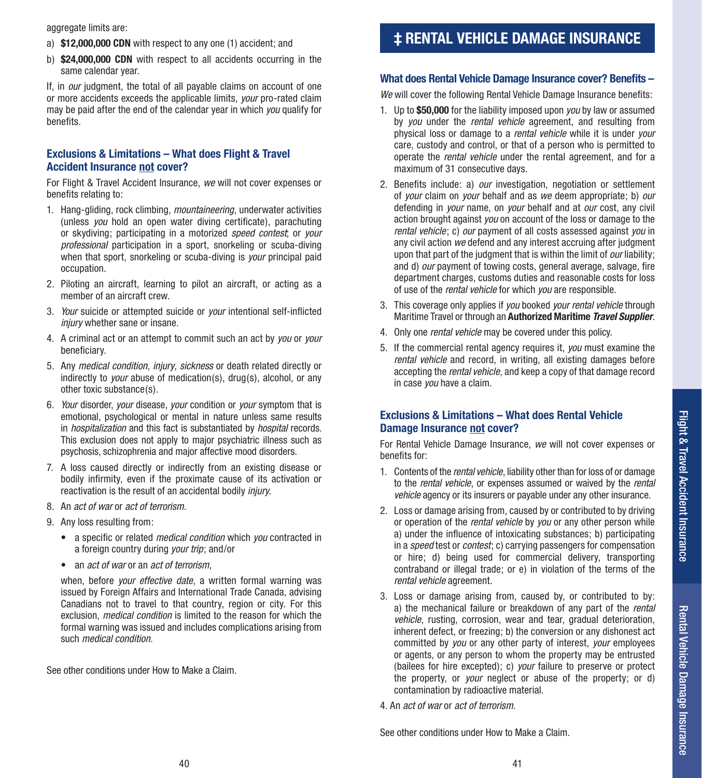- a) **\$12,000,000 CDN** with respect to any one (1) accident; and
- b) **\$24,000,000 CDN** with respect to all accidents occurring in the same calendar year.

If, in *our* judgment, the total of all payable claims on account of one or more accidents exceeds the applicable limits, *your* pro-rated claim may be paid after the end of the calendar year in which *you* qualify for benefits.

#### **Exclusions & Limitations – What does Flight & Travel Accident Insurance not cover?**

For Flight & Travel Accident Insurance, *we* will not cover expenses or benefits relating to:

- 1. Hang-gliding, rock climbing, *mountaineering*, underwater activities (unless *you* hold an open water diving certificate), parachuting or skydiving; participating in a motorized *speed contest*; or *your professional* participation in a sport, snorkeling or scuba-diving when that sport, snorkeling or scuba-diving is *your* principal paid occupation.
- 2. Piloting an aircraft, learning to pilot an aircraft, or acting as a member of an aircraft crew.
- 3. *Your* suicide or attempted suicide or *your* intentional self-inflicted *injury* whether sane or insane.
- 4. A criminal act or an attempt to commit such an act by *you* or *your*  beneficiary.
- 5. Any *medical condition*, *injury*, *sickness* or death related directly or indirectly to *your* abuse of medication(s), drug(s), alcohol, or any other toxic substance(s).
- 6. *Your* disorder, *your* disease, *your* condition or *your* symptom that is emotional, psychological or mental in nature unless same results in *hospitalization* and this fact is substantiated by *hospital* records. This exclusion does not apply to major psychiatric illness such as psychosis, schizophrenia and major affective mood disorders.
- 7. A loss caused directly or indirectly from an existing disease or bodily infirmity, even if the proximate cause of its activation or reactivation is the result of an accidental bodily *injury*.
- 8. An *act of war* or *act of terrorism*.
- 9. Any loss resulting from:
	- a specific or related *medical condition* which *you* contracted in a foreign country during *your trip*; and/or
	- an *act of war* or an *act of terrorism*,

when, before *your effective date*, a written formal warning was issued by Foreign Affairs and International Trade Canada, advising Canadians not to travel to that country, region or city. For this exclusion, *medical condition* is limited to the reason for which the formal warning was issued and includes complications arising from such *medical condition*.

See other conditions under How to Make a Claim.

## **‡ RENTAL VEHICLE DAMAGE INSURANCE**

#### **What does Rental Vehicle Damage Insurance cover? Benefits –**

*We* will cover the following Rental Vehicle Damage Insurance benefits:

- 1. Up to **\$50,000** for the liability imposed upon *you* by law or assumed by *you* under the *rental vehicle* agreement, and resulting from physical loss or damage to a *rental vehicle* while it is under *your*  care, custody and control, or that of a person who is permitted to operate the *rental vehicle* under the rental agreement, and for a maximum of 31 consecutive days.
- 2. Benefits include: a) *our* investigation, negotiation or settlement of *your* claim on *your* behalf and as *we* deem appropriate; b) *our*  defending in *your* name, on *your* behalf and at *our* cost, any civil action brought against *you* on account of the loss or damage to the *rental vehicle*; c) *our* payment of all costs assessed against *you* in any civil action *we* defend and any interest accruing after judgment upon that part of the judgment that is within the limit of *our* liability; and d) *our* payment of towing costs, general average, salvage, fire department charges, customs duties and reasonable costs for loss of use of the *rental vehicle* for which *you* are responsible.
- 3. This coverage only applies if *you* booked *your rental vehicle* through Maritime Travel or through an **Authorized Maritime** *Travel Supplier*.
- 4. Only one *rental vehicle* may be covered under this policy.
- 5. If the commercial rental agency requires it, *you* must examine the *rental vehicle* and record, in writing, all existing damages before accepting the *rental vehicle*, and keep a copy of that damage record in case *you* have a claim.

#### **Exclusions & Limitations – What does Rental Vehicle Damage Insurance not cover?**

For Rental Vehicle Damage Insurance, *we* will not cover expenses or benefits for:

- 1. Contents of the *rental vehicle*, liability other than for loss of or damage to the *rental vehicle*, or expenses assumed or waived by the *rental vehicle* agency or its insurers or payable under any other insurance.
- 2. Loss or damage arising from, caused by or contributed to by driving or operation of the *rental vehicle* by *you* or any other person while a) under the influence of intoxicating substances; b) participating in a *speed* test or *contest*; c) carrying passengers for compensation or hire; d) being used for commercial delivery, transporting contraband or illegal trade; or e) in violation of the terms of the *rental vehicle* agreement.
- 3. Loss or damage arising from, caused by, or contributed to by: a) the mechanical failure or breakdown of any part of the *rental vehicle*, rusting, corrosion, wear and tear, gradual deterioration, inherent defect, or freezing; b) the conversion or any dishonest act committed by *you* or any other party of interest, *your* employees or agents, or any person to whom the property may be entrusted (bailees for hire excepted); c) *your* failure to preserve or protect the property, or *your* neglect or abuse of the property; or d) contamination by radioactive material.
- 4. An *act of war* or *act of terrorism*.

See other conditions under How to Make a Claim.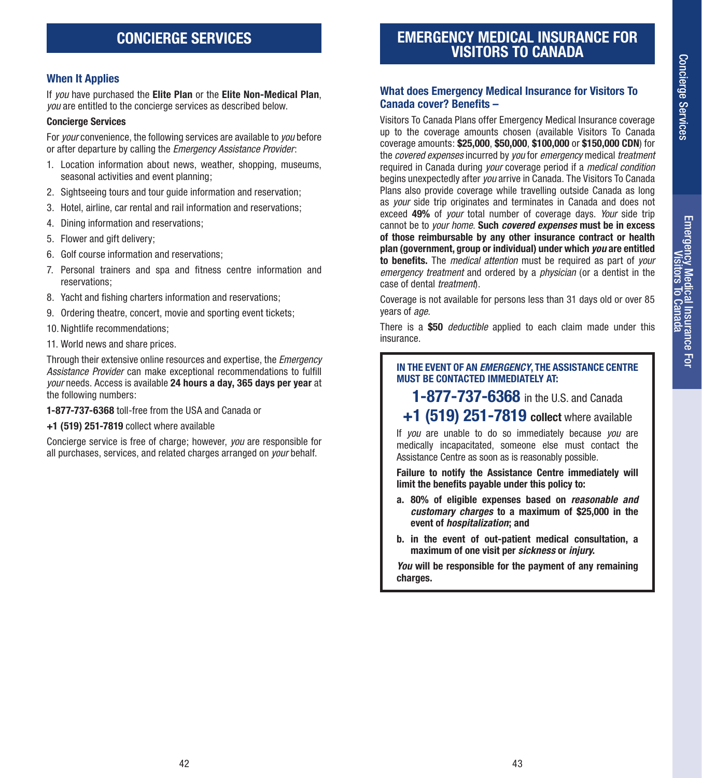# Emergency Medical Insurance For<br>Visitors To Canada Emergency Medical Insurance For<br>Visitors To Canada

#### **When It Applies**

If *you* have purchased the **Elite Plan** or the **Elite Non-Medical Plan**, *you* are entitled to the concierge services as described below.

#### **Concierge Services**

For *your* convenience, the following services are available to *you* before or after departure by calling the *Emergency Assistance Provider*:

- 1. Location information about news, weather, shopping, museums, seasonal activities and event planning;
- 2. Sightseeing tours and tour guide information and reservation;
- 3. Hotel, airline, car rental and rail information and reservations;
- 4. Dining information and reservations;
- 5. Flower and gift delivery;
- 6. Golf course information and reservations;
- 7. Personal trainers and spa and fitness centre information and reservations;
- 8. Yacht and fishing charters information and reservations;
- 9. Ordering theatre, concert, movie and sporting event tickets;
- 10. Nightlife recommendations;
- 11. World news and share prices.

Through their extensive online resources and expertise, the *Emergency Assistance Provider* can make exceptional recommendations to fulfill *your* needs. Access is available **24 hours a day, 365 days per year** at the following numbers:

**1-877-737-6368** toll-free from the USA and Canada or

**+1 (519) 251-7819** collect where available

Concierge service is free of charge; however, *you* are responsible for all purchases, services, and related charges arranged on *your* behalf.

## **EMERGENCY MEDICAL INSURANCE FOR VISITORS TO CANADA**

#### **What does Emergency Medical Insurance for Visitors To Canada cover? Benefits –**

Visitors To Canada Plans offer Emergency Medical Insurance coverage up to the coverage amounts chosen (available Visitors To Canada coverage amounts: **\$25,000**, **\$50,000**, **\$100,000** or **\$150,000 CDN**) for the *covered expenses* incurred by *you* for *emergency* medical *treatment* required in Canada during *your* coverage period if a *medical condition* begins unexpectedly after *you* arrive in Canada. The Visitors To Canada Plans also provide coverage while travelling outside Canada as long as *your* side trip originates and terminates in Canada and does not exceed **49%** of *your* total number of coverage days. *Your* side trip cannot be to *your home*. **Such** *covered expenses* **must be in excess of those reimbursable by any other insurance contract or health plan (government, group or individual) under which** *you* **are entitled to benefits.** The *medical attention* must be required as part of *your emergency treatment* and ordered by a *physician* (or a dentist in the case of dental *treatment*).

Coverage is not available for persons less than 31 days old or over 85 years of *age*.

There is a **\$50** *deductible* applied to each claim made under this insurance.

#### **IN THE EVENT OF AN** *EMERGENCY***, THE ASSISTANCE CENTRE MUST BE CONTACTED IMMEDIATELY AT:**

**1-877-737-6368** in the U.S. and Canada

## **+1 (519) 251-7819 collect** where available

If *you* are unable to do so immediately because *you* are medically incapacitated, someone else must contact the Assistance Centre as soon as is reasonably possible.

**Failure to notify the Assistance Centre immediately will limit the benefits payable under this policy to:**

- **a. 80% of eligible expenses based on** *reasonable and customary charges* **to a maximum of \$25,000 in the event of** *hospitalization***; and**
- **b. in the event of out-patient medical consultation, a maximum of one visit per** *sickness* **or** *injury***.**

*You* **will be responsible for the payment of any remaining charges.**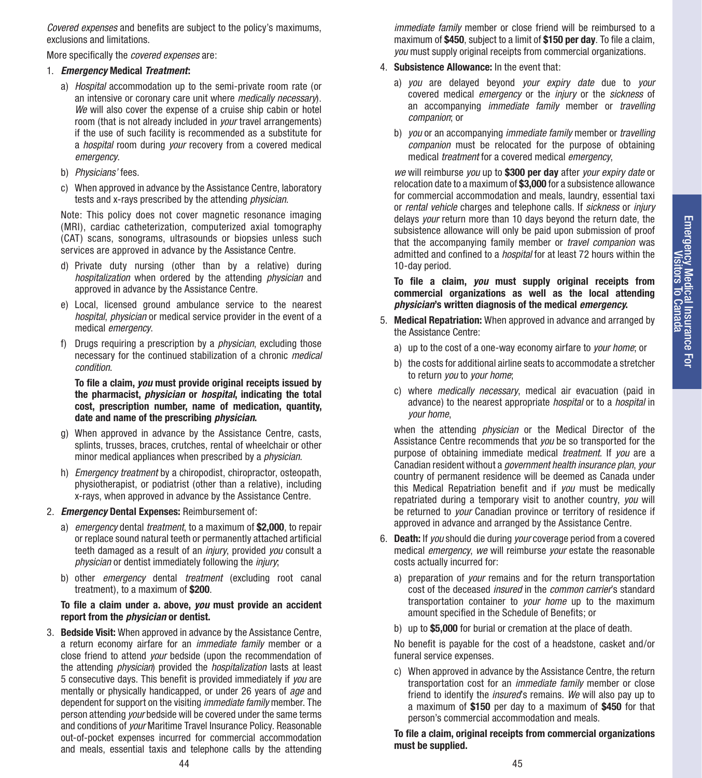*Covered expenses* and benefits are subject to the policy's maximums, exclusions and limitations.

More specifically the *covered expenses* are:

#### 1. *Emergency* **Medical** *Treatment***:**

- a) *Hospital* accommodation up to the semi-private room rate (or an intensive or coronary care unit where *medically necessary*). *We* will also cover the expense of a cruise ship cabin or hotel room (that is not already included in *your* travel arrangements) if the use of such facility is recommended as a substitute for a *hospital* room during *your* recovery from a covered medical *emergency*.
- b) *Physicians'* fees.
- c) When approved in advance by the Assistance Centre, laboratory tests and x-rays prescribed by the attending *physician*.

Note: This policy does not cover magnetic resonance imaging (MRI), cardiac catheterization, computerized axial tomography (CAT) scans, sonograms, ultrasounds or biopsies unless such services are approved in advance by the Assistance Centre.

- d) Private duty nursing (other than by a relative) during *hospitalization* when ordered by the attending *physician* and approved in advance by the Assistance Centre.
- e) Local, licensed ground ambulance service to the nearest *hospital*, *physician* or medical service provider in the event of a medical *emergency*.
- f) Drugs requiring a prescription by a *physician*, excluding those necessary for the continued stabilization of a chronic *medical condition*.

**To file a claim,** *you* **must provide original receipts issued by the pharmacist,** *physician* **or** *hospital***, indicating the total cost, prescription number, name of medication, quantity, date and name of the prescribing** *physician***.**

- g) When approved in advance by the Assistance Centre, casts, splints, trusses, braces, crutches, rental of wheelchair or other minor medical appliances when prescribed by a *physician*.
- h) *Emergency treatment* by a chiropodist, chiropractor, osteopath, physiotherapist, or podiatrist (other than a relative), including x-rays, when approved in advance by the Assistance Centre.

#### 2. *Emergency* **Dental Expenses:** Reimbursement of:

- a) *emergency* dental *treatment*, to a maximum of **\$2,000**, to repair or replace sound natural teeth or permanently attached artificial teeth damaged as a result of an *injury*, provided *you* consult a *physician* or dentist immediately following the *injury*;
- b) other *emergency* dental *treatment* (excluding root canal treatment), to a maximum of **\$200**.

#### **To file a claim under a. above,** *you* **must provide an accident report from the** *physician* **or dentist.**

3. **Bedside Visit:** When approved in advance by the Assistance Centre, a return economy airfare for an *immediate family* member or a close friend to attend *your* bedside (upon the recommendation of the attending *physician*) provided the *hospitalization* lasts at least 5 consecutive days. This benefit is provided immediately if *you* are mentally or physically handicapped, or under 26 years of *age* and dependent for support on the visiting *immediate family* member. The person attending *your* bedside will be covered under the same terms and conditions of *your* Maritime Travel Insurance Policy. Reasonable out-of-pocket expenses incurred for commercial accommodation and meals, essential taxis and telephone calls by the attending

*immediate family* member or close friend will be reimbursed to a maximum of **\$450**, subject to a limit of **\$150 per day**. To file a claim, *you* must supply original receipts from commercial organizations.

- 4. **Subsistence Allowance:** In the event that:
	- a) *you* are delayed beyond *your expiry date* due to *your* covered medical *emergency* or the *injury* or the *sickness* of an accompanying *immediate family* member or *travelling companion*; or
	- b) *you* or an accompanying *immediate family* member or *travelling companion* must be relocated for the purpose of obtaining medical *treatment* for a covered medical *emergency*,

*we* will reimburse *you* up to **\$300 per day** after *your expiry date* or relocation date to a maximum of **\$3,000** for a subsistence allowance for commercial accommodation and meals, laundry, essential taxi or *rental vehicle* charges and telephone calls. If *sickness* or *injury* delays *your* return more than 10 days beyond the return date, the subsistence allowance will only be paid upon submission of proof that the accompanying family member or *travel companion* was admitted and confined to a *hospital* for at least 72 hours within the 10-day period.

**To file a claim,** *you* **must supply original receipts from commercial organizations as well as the local attending**  *physician***'s written diagnosis of the medical** *emergency***.**

- 5. **Medical Repatriation:** When approved in advance and arranged by the Assistance Centre:
	- a) up to the cost of a one-way economy airfare to *your home*; or
	- b) the costs for additional airline seats to accommodate a stretcher to return *you* to *your home*;
	- c) where *medically necessary*, medical air evacuation (paid in advance) to the nearest appropriate *hospital* or to a *hospital* in *your home*,

when the attending *physician* or the Medical Director of the Assistance Centre recommends that *you* be so transported for the purpose of obtaining immediate medical *treatment*. If *you* are a Canadian resident without a *government health insurance plan*, *your* country of permanent residence will be deemed as Canada under this Medical Repatriation benefit and if *you* must be medically repatriated during a temporary visit to another country, *you* will be returned to *your* Canadian province or territory of residence if approved in advance and arranged by the Assistance Centre.

- 6. **Death:** If *you* should die during *your* coverage period from a covered medical *emergency*, *we* will reimburse *your* estate the reasonable costs actually incurred for:
	- a) preparation of *your* remains and for the return transportation cost of the deceased *insured* in the *common carrier*'s standard transportation container to *your home* up to the maximum amount specified in the Schedule of Benefits; or
	- b) up to **\$5,000** for burial or cremation at the place of death.

No benefit is payable for the cost of a headstone, casket and/or funeral service expenses.

c) When approved in advance by the Assistance Centre, the return transportation cost for an *immediate family* member or close friend to identify the *insured*'s remains. *We* will also pay up to a maximum of **\$150** per day to a maximum of **\$450** for that person's commercial accommodation and meals.

**To file a claim, original receipts from commercial organizations must be supplied.**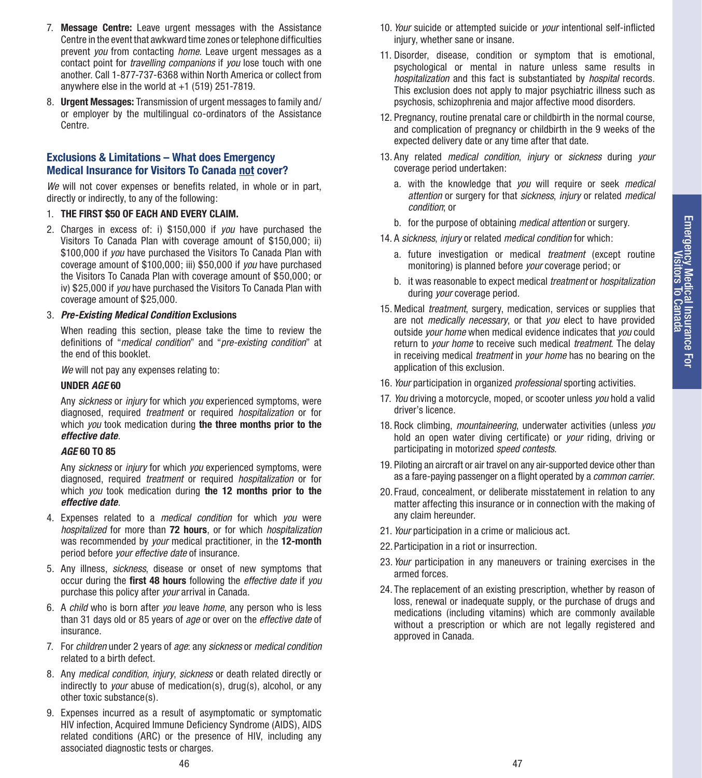- 7. **Message Centre:** Leave urgent messages with the Assistance Centre in the event that awkward time zones or telephone difficulties prevent *you* from contacting *home*. Leave urgent messages as a contact point for *travelling companions* if *you* lose touch with one another. Call 1-877-737-6368 within North America or collect from anywhere else in the world at  $+1$  (519) 251-7819.
- 8. **Urgent Messages:** Transmission of urgent messages to family and/ or employer by the multilingual co-ordinators of the Assistance Centre.

#### **Exclusions & Limitations – What does Emergency Medical Insurance for Visitors To Canada not cover?**

*We* will not cover expenses or benefits related, in whole or in part, directly or indirectly, to any of the following:

- 1. **THE FIRST \$50 OF EACH AND EVERY CLAIM.**
- 2. Charges in excess of: i) \$150,000 if *you* have purchased the Visitors To Canada Plan with coverage amount of \$150,000; ii) \$100,000 if *you* have purchased the Visitors To Canada Plan with coverage amount of \$100,000; iii) \$50,000 if *you* have purchased the Visitors To Canada Plan with coverage amount of \$50,000; or iv) \$25,000 if *you* have purchased the Visitors To Canada Plan with coverage amount of \$25,000.

#### 3. *Pre-Existing Medical Condition* **Exclusions**

When reading this section, please take the time to review the definitions of "*medical condition*" and "*pre-existing condition*" at the end of this booklet.

*We* will not pay any expenses relating to:

#### **UNDER** *AGE* **60**

Any *sickness* or *injury* for which *you* experienced symptoms, were diagnosed, required *treatment* or required *hospitalization* or for which *you* took medication during **the three months prior to the**  *effective date*.

#### *AGE* **60 TO 85**

Any *sickness* or *injury* for which *you* experienced symptoms, were diagnosed, required *treatment* or required *hospitalization* or for which *you* took medication during **the 12 months prior to the**  *effective date*.

- 4. Expenses related to a *medical condition* for which *you* were *hospitalized* for more than **72 hours**, or for which *hospitalization* was recommended by *your* medical practitioner, in the **12-month** period before *your effective date* of insurance.
- 5. Any illness, *sickness*, disease or onset of new symptoms that occur during the **first 48 hours** following the *effective date* if *you* purchase this policy after *your* arrival in Canada.
- 6. A *child* who is born after *you* leave *home*, any person who is less than 31 days old or 85 years of *age* or over on the *effective date* of insurance.
- 7. For *children* under 2 years of *age*: any *sickness* or *medical condition* related to a birth defect.
- 8. Any *medical condition*, *injury*, *sickness* or death related directly or indirectly to *your* abuse of medication(s), drug(s), alcohol, or any other toxic substance(s).
- 9. Expenses incurred as a result of asymptomatic or symptomatic HIV infection, Acquired Immune Deficiency Syndrome (AIDS), AIDS related conditions (ARC) or the presence of HIV, including any associated diagnostic tests or charges.
- 10. *Your* suicide or attempted suicide or *your* intentional self-inflicted injury, whether sane or insane.
- 11. Disorder, disease, condition or symptom that is emotional, psychological or mental in nature unless same results in *hospitalization* and this fact is substantiated by *hospital* records. This exclusion does not apply to major psychiatric illness such as psychosis, schizophrenia and major affective mood disorders.
- 12. Pregnancy, routine prenatal care or childbirth in the normal course, and complication of pregnancy or childbirth in the 9 weeks of the expected delivery date or any time after that date.
- 13. Any related *medical condition*, *injury* or *sickness* during *your* coverage period undertaken:
	- a. with the knowledge that *you* will require or seek *medical attention* or surgery for that *sickness*, *injury* or related *medical condition*; or
	- b. for the purpose of obtaining *medical attention* or surgery.
- 14. A *sickness*, *injury* or related *medical condition* for which:
	- a. future investigation or medical *treatment* (except routine monitoring) is planned before *your* coverage period; or
	- b. it was reasonable to expect medical *treatment* or *hospitalization* during *your* coverage period.
- 15. Medical *treatment*, surgery, medication, services or supplies that are not *medically necessary*, or that *you* elect to have provided outside *your home* when medical evidence indicates that *you* could return to *your home* to receive such medical *treatment*. The delay in receiving medical *treatment* in *your home* has no bearing on the application of this exclusion.
- 16. *Your* participation in organized *professional* sporting activities.
- 17. *You* driving a motorcycle, moped, or scooter unless *you* hold a valid driver's licence.
- 18. Rock climbing, *mountaineering*, underwater activities (unless *you* hold an open water diving certificate) or *your* riding, driving or participating in motorized *speed contests*.
- 19. Piloting an aircraft or air travel on any air-supported device other than as a fare-paying passenger on a flight operated by a *common carrier*.
- 20. Fraud, concealment, or deliberate misstatement in relation to any matter affecting this insurance or in connection with the making of any claim hereunder.
- 21. *Your* participation in a crime or malicious act.
- 22.Participation in a riot or insurrection.
- 23. *Your* participation in any maneuvers or training exercises in the armed forces.
- 24. The replacement of an existing prescription, whether by reason of loss, renewal or inadequate supply, or the purchase of drugs and medications (including vitamins) which are commonly available without a prescription or which are not legally registered and approved in Canada.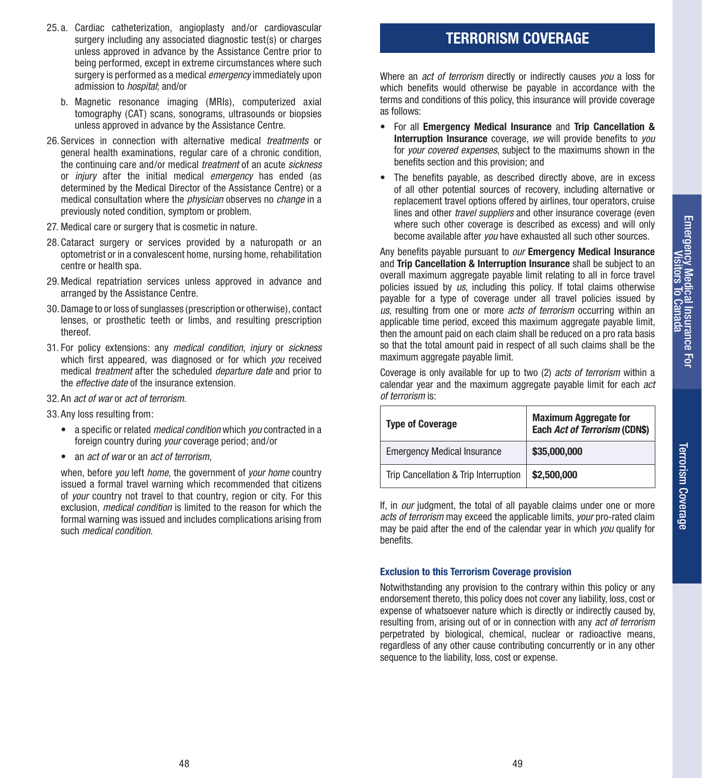Terrorism Coverage

Terrorism Coverage

- 25. a. Cardiac catheterization, angioplasty and/or cardiovascular surgery including any associated diagnostic test(s) or charges unless approved in advance by the Assistance Centre prior to being performed, except in extreme circumstances where such surgery is performed as a medical *emergency* immediately upon admission to *hospital*; and/or
	- b. Magnetic resonance imaging (MRIs), computerized axial tomography (CAT) scans, sonograms, ultrasounds or biopsies unless approved in advance by the Assistance Centre.
- 26.Services in connection with alternative medical *treatments* or general health examinations, regular care of a chronic condition, the continuing care and/or medical *treatment* of an acute *sickness* or *injury* after the initial medical *emergency* has ended (as determined by the Medical Director of the Assistance Centre) or a medical consultation where the *physician* observes no *change* in a previously noted condition, symptom or problem.
- 27. Medical care or surgery that is cosmetic in nature.
- 28.Cataract surgery or services provided by a naturopath or an optometrist or in a convalescent home, nursing home, rehabilitation centre or health spa.
- 29.Medical repatriation services unless approved in advance and arranged by the Assistance Centre.
- 30.Damage to or loss of sunglasses (prescription or otherwise), contact lenses, or prosthetic teeth or limbs, and resulting prescription thereof.
- 31. For policy extensions: any *medical condition*, *injury* or *sickness* which first appeared, was diagnosed or for which *you* received medical *treatment* after the scheduled *departure date* and prior to the *effective date* of the insurance extension.
- 32. An *act of war* or *act of terrorism*.
- 33.Any loss resulting from:
	- a specific or related *medical condition* which *you* contracted in a foreign country during *your* coverage period; and/or
	- an *act of war* or an *act of terrorism*,

when, before *you* left *home*, the government of *your home* country issued a formal travel warning which recommended that citizens of *your* country not travel to that country, region or city. For this exclusion, *medical condition* is limited to the reason for which the formal warning was issued and includes complications arising from such *medical condition*.

## **TERRORISM COVERAGE**

Where an *act of terrorism* directly or indirectly causes *you* a loss for which benefits would otherwise be payable in accordance with the terms and conditions of this policy, this insurance will provide coverage as follows:

- For all **Emergency Medical Insurance** and **Trip Cancellation & Interruption Insurance** coverage, *we* will provide benefits to *you* for *your covered expenses*, subject to the maximums shown in the benefits section and this provision; and
- The benefits payable, as described directly above, are in excess of all other potential sources of recovery, including alternative or replacement travel options offered by airlines, tour operators, cruise lines and other *travel suppliers* and other insurance coverage (even where such other coverage is described as excess) and will only become available after *you* have exhausted all such other sources.

Any benefits payable pursuant to *our* **Emergency Medical Insurance** and **Trip Cancellation & Interruption Insurance** shall be subject to an overall maximum aggregate payable limit relating to all in force travel policies issued by *us*, including this policy. If total claims otherwise payable for a type of coverage under all travel policies issued by *us*, resulting from one or more *acts of terrorism* occurring within an applicable time period, exceed this maximum aggregate payable limit, then the amount paid on each claim shall be reduced on a pro rata basis so that the total amount paid in respect of all such claims shall be the maximum aggregate payable limit.

Coverage is only available for up to two (2) *acts of terrorism* within a calendar year and the maximum aggregate payable limit for each *act of terrorism* is:

| <b>Type of Coverage</b>               | <b>Maximum Aggregate for</b><br>Each Act of Terrorism (CDN\$) |
|---------------------------------------|---------------------------------------------------------------|
| <b>Emergency Medical Insurance</b>    | \$35,000,000                                                  |
| Trip Cancellation & Trip Interruption | \$2,500,000                                                   |

If, in *our* judgment, the total of all payable claims under one or more *acts of terrorism* may exceed the applicable limits, *your* pro-rated claim may be paid after the end of the calendar year in which *you* qualify for benefits.

#### **Exclusion to this Terrorism Coverage provision**

Notwithstanding any provision to the contrary within this policy or any endorsement thereto, this policy does not cover any liability, loss, cost or expense of whatsoever nature which is directly or indirectly caused by, resulting from, arising out of or in connection with any *act of terrorism* perpetrated by biological, chemical, nuclear or radioactive means, regardless of any other cause contributing concurrently or in any other sequence to the liability, loss, cost or expense.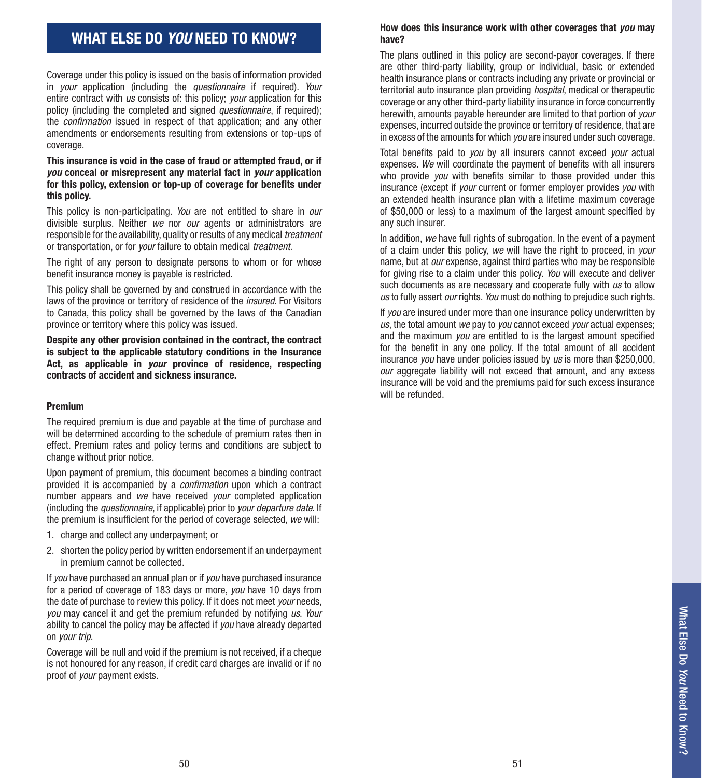## **WHAT ELSE DO** *YOU* **NEED TO KNOW?**

Coverage under this policy is issued on the basis of information provided in *your* application (including the *questionnaire* if required). *Your* entire contract with *us* consists of: this policy; *your* application for this policy (including the completed and signed *questionnaire*, if required); the *confirmation* issued in respect of that application; and any other amendments or endorsements resulting from extensions or top-ups of coverage.

#### **This insurance is void in the case of fraud or attempted fraud, or if**  *you* **conceal or misrepresent any material fact in** *your* **application for this policy, extension or top-up of coverage for benefits under this policy.**

This policy is non-participating. *You* are not entitled to share in *our* divisible surplus. Neither *we* nor *our* agents or administrators are responsible for the availability, quality or results of any medical *treatment* or transportation, or for *your* failure to obtain medical *treatment*.

The right of any person to designate persons to whom or for whose benefit insurance money is payable is restricted.

This policy shall be governed by and construed in accordance with the laws of the province or territory of residence of the *insured*. For Visitors to Canada, this policy shall be governed by the laws of the Canadian province or territory where this policy was issued.

**Despite any other provision contained in the contract, the contract is subject to the applicable statutory conditions in the Insurance Act, as applicable in** *your* **province of residence, respecting contracts of accident and sickness insurance.**

#### **Premium**

The required premium is due and payable at the time of purchase and will be determined according to the schedule of premium rates then in effect. Premium rates and policy terms and conditions are subject to change without prior notice.

Upon payment of premium, this document becomes a binding contract provided it is accompanied by a *confirmation* upon which a contract number appears and *we* have received *your* completed application (including the *questionnaire*, if applicable) prior to *your departure date*. If the premium is insufficient for the period of coverage selected, *we* will:

- 1. charge and collect any underpayment; or
- 2. shorten the policy period by written endorsement if an underpayment in premium cannot be collected.

If *you* have purchased an annual plan or if *you* have purchased insurance for a period of coverage of 183 days or more, *you* have 10 days from the date of purchase to review this policy. If it does not meet *your* needs, *you* may cancel it and get the premium refunded by notifying *us*. *Your* ability to cancel the policy may be affected if *you* have already departed on *your trip*.

Coverage will be null and void if the premium is not received, if a cheque is not honoured for any reason, if credit card charges are invalid or if no proof of *your* payment exists.

#### **How does this insurance work with other coverages that** *you* **may have?**

The plans outlined in this policy are second-payor coverages. If there are other third-party liability, group or individual, basic or extended health insurance plans or contracts including any private or provincial or territorial auto insurance plan providing *hospital*, medical or therapeutic coverage or any other third-party liability insurance in force concurrently herewith, amounts payable hereunder are limited to that portion of *your* expenses, incurred outside the province or territory of residence, that are in excess of the amounts for which *you* are insured under such coverage.

Total benefits paid to *you* by all insurers cannot exceed *your* actual expenses. *We* will coordinate the payment of benefits with all insurers who provide *you* with benefits similar to those provided under this insurance (except if *your* current or former employer provides *you* with an extended health insurance plan with a lifetime maximum coverage of \$50,000 or less) to a maximum of the largest amount specified by any such insurer.

In addition, we have full rights of subrogation. In the event of a payment of a claim under this policy, *we* will have the right to proceed, in *your* name, but at *our* expense, against third parties who may be responsible for giving rise to a claim under this policy. *You* will execute and deliver such documents as are necessary and cooperate fully with *us* to allow *us* to fully assert *our* rights. *You* must do nothing to prejudice such rights.

If *you* are insured under more than one insurance policy underwritten by *us*, the total amount *we* pay to *you* cannot exceed *your* actual expenses; and the maximum *you* are entitled to is the largest amount specified for the benefit in any one policy. If the total amount of all accident insurance *you* have under policies issued by *us* is more than \$250,000, *our* aggregate liability will not exceed that amount, and any excess insurance will be void and the premiums paid for such excess insurance will be refunded.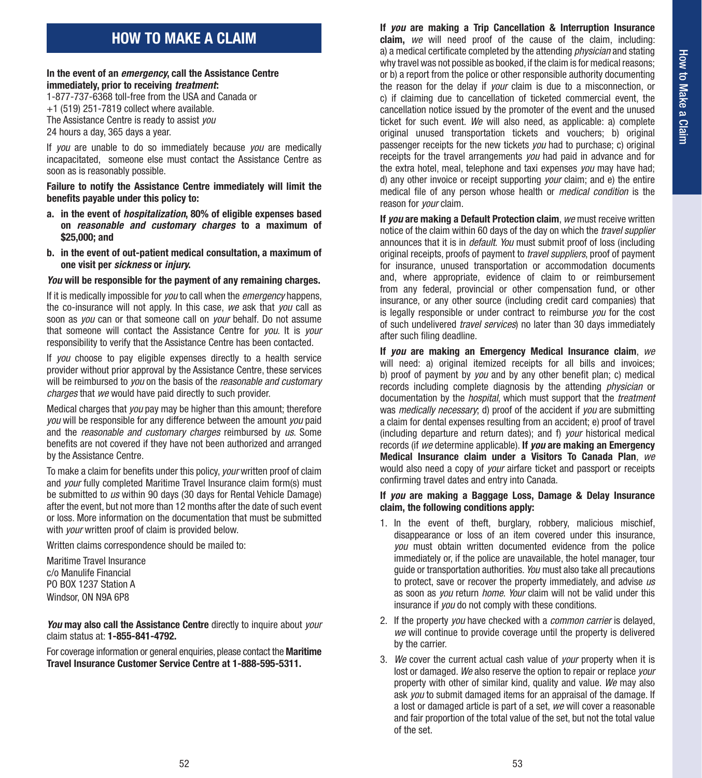## **HOW TO MAKE A CLAIM**

#### **In the event of an** *emergency***, call the Assistance Centre immediately, prior to receiving** *treatment***:**

1-877-737-6368 toll-free from the USA and Canada or +1 (519) 251-7819 collect where available. The Assistance Centre is ready to assist *you* 24 hours a day, 365 days a year.

If *you* are unable to do so immediately because *you* are medically incapacitated, someone else must contact the Assistance Centre as soon as is reasonably possible.

**Failure to notify the Assistance Centre immediately will limit the benefits payable under this policy to:**

- **a. in the event of** *hospitalization***, 80% of eligible expenses based on** *reasonable and customary charges* **to a maximum of \$25,000; and**
- **b. in the event of out-patient medical consultation, a maximum of one visit per** *sickness* **or** *injury***.**

#### *You* **will be responsible for the payment of any remaining charges.**

If it is medically impossible for *you* to call when the *emergency* happens, the co-insurance will not apply. In this case, *we* ask that *you* call as soon as *you* can or that someone call on *your* behalf. Do not assume that someone will contact the Assistance Centre for *you*. It is *your* responsibility to verify that the Assistance Centre has been contacted.

If *you* choose to pay eligible expenses directly to a health service provider without prior approval by the Assistance Centre, these services will be reimbursed to *you* on the basis of the *reasonable and customary charges* that *we* would have paid directly to such provider.

Medical charges that *you* pay may be higher than this amount; therefore *you* will be responsible for any difference between the amount *you* paid and the *reasonable and customary charges* reimbursed by *us*. Some benefits are not covered if they have not been authorized and arranged by the Assistance Centre.

To make a claim for benefits under this policy, *your* written proof of claim and *your* fully completed Maritime Travel Insurance claim form(s) must be submitted to *us* within 90 days (30 days for Rental Vehicle Damage) after the event, but not more than 12 months after the date of such event or loss. More information on the documentation that must be submitted with *your* written proof of claim is provided below.

Written claims correspondence should be mailed to:

Maritime Travel Insurance c/o Manulife Financial PO BOX 1237 Station A Windsor, ON N9A 6P8

*You* **may also call the Assistance Centre** directly to inquire about *your* claim status at: **1-855-841-4792.**

For coverage information or general enquiries, please contact the **Maritime Travel Insurance Customer Service Centre at 1-888-595-5311.**

**If** *you* **are making a Trip Cancellation & Interruption Insurance claim,** *we* will need proof of the cause of the claim, including: a) a medical certificate completed by the attending *physician* and stating why travel was not possible as booked, if the claim is for medical reasons; or b) a report from the police or other responsible authority documenting the reason for the delay if *your* claim is due to a misconnection, or c) if claiming due to cancellation of ticketed commercial event, the cancellation notice issued by the promoter of the event and the unused ticket for such event. *We* will also need, as applicable: a) complete original unused transportation tickets and vouchers; b) original passenger receipts for the new tickets *you* had to purchase; c) original receipts for the travel arrangements *you* had paid in advance and for the extra hotel, meal, telephone and taxi expenses *you* may have had; d) any other invoice or receipt supporting *your* claim; and e) the entire medical file of any person whose health or *medical condition* is the reason for *your* claim.

**If** *you* **are making a Default Protection claim**, *we* must receive written notice of the claim within 60 days of the day on which the *travel supplier*  announces that it is in *default*. *You* must submit proof of loss (including original receipts, proofs of payment to *travel suppliers*, proof of payment for insurance, unused transportation or accommodation documents and, where appropriate, evidence of claim to or reimbursement from any federal, provincial or other compensation fund, or other insurance, or any other source (including credit card companies) that is legally responsible or under contract to reimburse *you* for the cost of such undelivered *travel services*) no later than 30 days immediately after such filing deadline.

**If** *you* **are making an Emergency Medical Insurance claim**, *we* will need: a) original itemized receipts for all bills and invoices: b) proof of payment by *you* and by any other benefit plan; c) medical records including complete diagnosis by the attending *physician* or documentation by the *hospital*, which must support that the *treatment* was *medically necessary*; d) proof of the accident if *you* are submitting a claim for dental expenses resulting from an accident; e) proof of travel (including departure and return dates); and f) *your* historical medical records (if *we* determine applicable). **If** *you* **are making an Emergency Medical Insurance claim under a Visitors To Canada Plan**, *we* would also need a copy of *your* airfare ticket and passport or receipts confirming travel dates and entry into Canada.

#### **If** *you* **are making a Baggage Loss, Damage & Delay Insurance claim, the following conditions apply:**

- 1. In the event of theft, burglary, robbery, malicious mischief, disappearance or loss of an item covered under this insurance, *you* must obtain written documented evidence from the police immediately or, if the police are unavailable, the hotel manager, tour guide or transportation authorities. *You* must also take all precautions to protect, save or recover the property immediately, and advise *us* as soon as *you* return *home*. *Your* claim will not be valid under this insurance if *you* do not comply with these conditions.
- 2. If the property *you* have checked with a *common carrier* is delayed, *we* will continue to provide coverage until the property is delivered by the carrier.
- 3. *We* cover the current actual cash value of *your* property when it is lost or damaged. *We* also reserve the option to repair or replace *your* property with other of similar kind, quality and value. *We* may also ask *you* to submit damaged items for an appraisal of the damage. If a lost or damaged article is part of a set, *we* will cover a reasonable and fair proportion of the total value of the set, but not the total value of the set.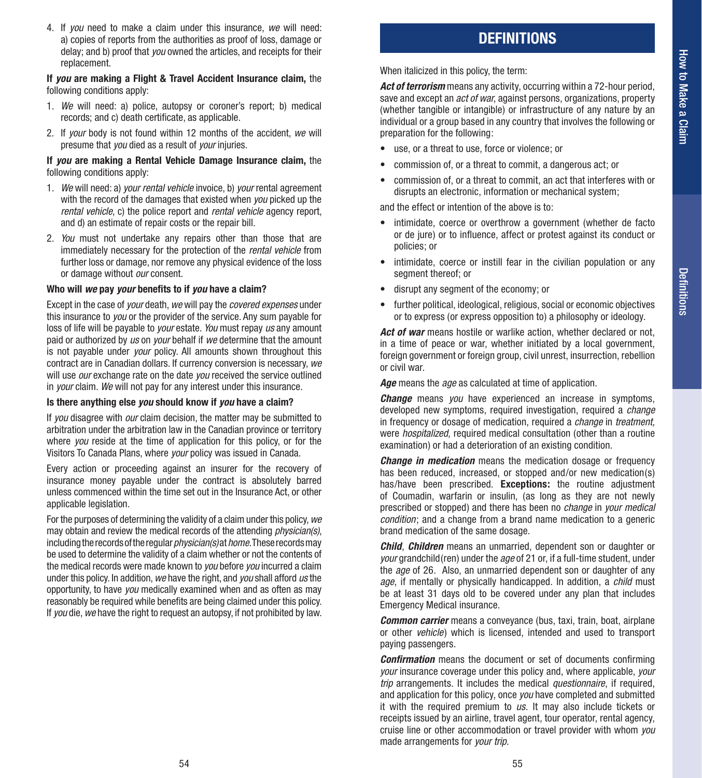4. If *you* need to make a claim under this insurance, *we* will need: a) copies of reports from the authorities as proof of loss, damage or delay; and b) proof that *you* owned the articles, and receipts for their replacement.

**If** *you* **are making a Flight & Travel Accident Insurance claim,** the following conditions apply:

- 1. *We* will need: a) police, autopsy or coroner's report; b) medical records; and c) death certificate, as applicable.
- 2. If *your* body is not found within 12 months of the accident, *we* will presume that *you* died as a result of *your* injuries.

#### **If** *you* **are making a Rental Vehicle Damage Insurance claim,** the following conditions apply:

- 1. *We* will need: a) *your rental vehicle* invoice, b) *your* rental agreement with the record of the damages that existed when *you* picked up the *rental vehicle*, c) the police report and *rental vehicle* agency report, and d) an estimate of repair costs or the repair bill.
- 2. *You* must not undertake any repairs other than those that are immediately necessary for the protection of the *rental vehicle* from further loss or damage, nor remove any physical evidence of the loss or damage without *our* consent.

#### **Who will** *we* **pay** *your* **benefits to if** *you* **have a claim?**

Except in the case of *your* death, *we* will pay the *covered expenses* under this insurance to *you* or the provider of the service. Any sum payable for loss of life will be payable to *your* estate. *You* must repay *us* any amount paid or authorized by *us* on *your* behalf if *we* determine that the amount is not payable under *your* policy. All amounts shown throughout this contract are in Canadian dollars. If currency conversion is necessary, *we* will use *our* exchange rate on the date *you* received the service outlined in *your* claim. *We* will not pay for any interest under this insurance.

#### **Is there anything else** *you* **should know if** *you* **have a claim?**

If *you* disagree with *our* claim decision, the matter may be submitted to arbitration under the arbitration law in the Canadian province or territory where *you* reside at the time of application for this policy, or for the Visitors To Canada Plans, where *your* policy was issued in Canada.

Every action or proceeding against an insurer for the recovery of insurance money payable under the contract is absolutely barred unless commenced within the time set out in the Insurance Act, or other applicable legislation.

For the purposes of determining the validity of a claim under this policy, *we* may obtain and review the medical records of the attending *physician(s)*, including the records of the regular *physician(s)* at *home*. These records may be used to determine the validity of a claim whether or not the contents of the medical records were made known to *you* before *you* incurred a claim under this policy. In addition, *we* have the right, and *you* shall afford *us* the opportunity, to have *you* medically examined when and as often as may reasonably be required while benefits are being claimed under this policy. If *you* die, *we* have the right to request an autopsy, if not prohibited by law.

## **DEFINITIONS**

When italicized in this policy, the term:

*Act of terrorism* means any activity, occurring within a 72-hour period, save and except an *act of war*, against persons, organizations, property (whether tangible or intangible) or infrastructure of any nature by an individual or a group based in any country that involves the following or preparation for the following:

- use, or a threat to use, force or violence; or
- commission of, or a threat to commit, a dangerous act; or
- commission of, or a threat to commit, an act that interferes with or disrupts an electronic, information or mechanical system;

and the effect or intention of the above is to:

- intimidate, coerce or overthrow a government (whether de facto or de jure) or to influence, affect or protest against its conduct or policies; or
- intimidate, coerce or instill fear in the civilian population or any segment thereof; or
- disrupt any segment of the economy; or
- further political, ideological, religious, social or economic objectives or to express (or express opposition to) a philosophy or ideology.

Act of war means hostile or warlike action, whether declared or not, in a time of peace or war, whether initiated by a local government, foreign government or foreign group, civil unrest, insurrection, rebellion or civil war.

*Age* means the *age* as calculated at time of application.

*Change* means *you* have experienced an increase in symptoms, developed new symptoms, required investigation, required a *change*  in frequency or dosage of medication, required a *change* in *treatment,*  were *hospitalized*, required medical consultation (other than a routine examination) or had a deterioration of an existing condition.

*Change in medication* means the medication dosage or frequency has been reduced, increased, or stopped and/or new medication(s) has/have been prescribed. **Exceptions:** the routine adjustment of Coumadin, warfarin or insulin, (as long as they are not newly prescribed or stopped) and there has been no *change* in *your medical condition*; and a change from a brand name medication to a generic brand medication of the same dosage.

*Child*, *Children* means an unmarried, dependent son or daughter or *your* grandchild(ren) under the *age* of 21 or, if a full-time student, under the *age* of 26. Also, an unmarried dependent son or daughter of any *age*, if mentally or physically handicapped. In addition, a *child* must be at least 31 days old to be covered under any plan that includes Emergency Medical insurance.

*Common carrier* means a conveyance (bus, taxi, train, boat, airplane or other *vehicle*) which is licensed, intended and used to transport paying passengers.

*Confirmation* means the document or set of documents confirming *your* insurance coverage under this policy and, where applicable, *your trip* arrangements. It includes the medical *questionnaire*, if required, and application for this policy, once *you* have completed and submitted it with the required premium to *us*. It may also include tickets or receipts issued by an airline, travel agent, tour operator, rental agency, cruise line or other accommodation or travel provider with whom *you*  made arrangements for *your trip*.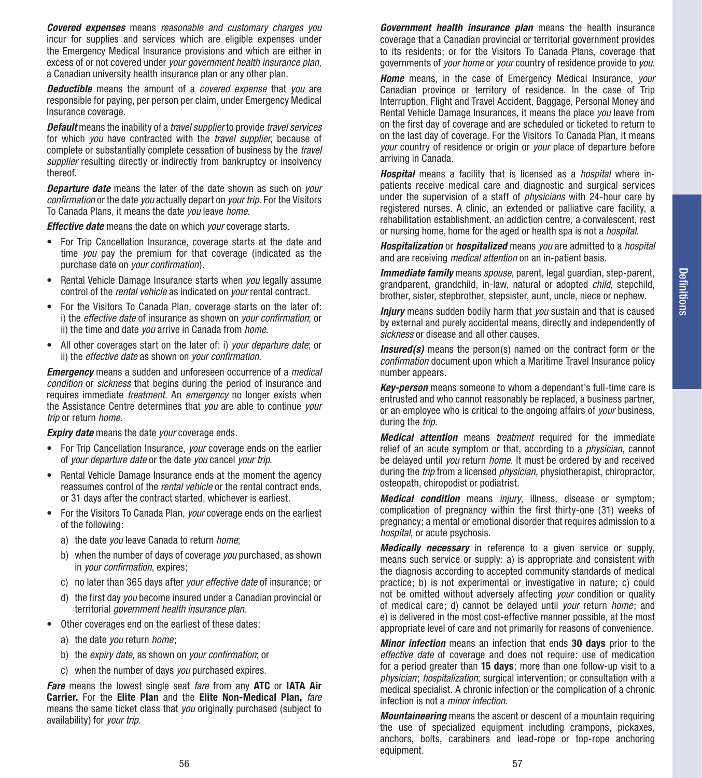*Covered expenses* means *reasonable and customary charges you*  incur for supplies and services which are eligible expenses under the Emergency Medical Insurance provisions and which are either in excess of or not covered under *your government health insurance plan*, a Canadian university health insurance plan or any other plan.

*Deductible* means the amount of a *covered expense* that *you* are responsible for paying, per person per claim, under Emergency Medical Insurance coverage.

*Default* means the inability of a *travel supplier* to provide *travel services*  for which *you* have contracted with the *travel supplier*, because of complete or substantially complete cessation of business by the *travel supplier* resulting directly or indirectly from bankruptcy or insolvency thereof.

*Departure date* means the later of the date shown as such on *your confirmation* or the date *you* actually depart on *your trip*. For the Visitors To Canada Plans, it means the date *you* leave *home*.

*Effective date* means the date on which *your* coverage starts.

- For Trip Cancellation Insurance, coverage starts at the date and time *you* pay the premium for that coverage (indicated as the purchase date on *your confirmation*).
- Rental Vehicle Damage Insurance starts when *you* legally assume control of the *rental vehicle* as indicated on *your* rental contract.
- For the Visitors To Canada Plan, coverage starts on the later of: i) the *effective date* of insurance as shown on *your confirmation*; or ii) the time and date *you* arrive in Canada from *home*.
- All other coverages start on the later of: i) *your departure date*; or ii) the *effective date* as shown on *your confirmation*.

*Emergency* means a sudden and unforeseen occurrence of a *medical condition* or *sickness* that begins during the period of insurance and requires immediate *treatment*. An *emergency* no longer exists when the Assistance Centre determines that *you* are able to continue *your trip* or return *home*.

*Expiry date* means the date *your* coverage ends.

- For Trip Cancellation Insurance, *your* coverage ends on the earlier of *your departure date* or the date *you* cancel *your trip*.
- Rental Vehicle Damage Insurance ends at the moment the agency reassumes control of the *rental vehicle* or the rental contract ends, or 31 days after the contract started, whichever is earliest.
- For the Visitors To Canada Plan, *your* coverage ends on the earliest of the following:
	- a) the date *you* leave Canada to return *home*;
	- b) when the number of days of coverage *you* purchased, as shown in *your confirmation*, expires;
	- c) no later than 365 days after *your effective date* of insurance; or
	- d) the first day *you* become insured under a Canadian provincial or territorial *government health insurance plan*.
- Other coverages end on the earliest of these dates:
	- a) the date *you* return *home*;
	- b) the *expiry date*, as shown on *your confirmation*; or
	- c) when the number of days *you* purchased expires.

*Fare* means the lowest single seat *fare* from any **ATC** or **IATA Air Carrier.** For the **Elite Plan** and the **Elite Non-Medical Plan,** *fare* means the same ticket class that *you* originally purchased (subject to availability) for *your trip.*

*Government health insurance plan* means the health insurance coverage that a Canadian provincial or territorial government provides to its residents; or for the Visitors To Canada Plans, coverage that governments of *your home* or *your* country of residence provide to *you*.

*Home* means, in the case of Emergency Medical Insurance, *your* Canadian province or territory of residence. In the case of Trip Interruption, Flight and Travel Accident, Baggage, Personal Money and Rental Vehicle Damage Insurances, it means the place *you* leave from on the first day of coverage and are scheduled or ticketed to return to on the last day of coverage. For the Visitors To Canada Plan, it means *your* country of residence or origin or *your* place of departure before arriving in Canada.

*Hospital* means a facility that is licensed as a *hospital* where inpatients receive medical care and diagnostic and surgical services under the supervision of a staff of *physicians* with 24-hour care by registered nurses. A clinic, an extended or palliative care facility, a rehabilitation establishment, an addiction centre, a convalescent, rest or nursing home, home for the aged or health spa is not a *hospital*.

*Hospitalization* or *hospitalized* means *you* are admitted to a *hospital*  and are receiving *medical attention* on an in-patient basis.

*Immediate family* means *spouse*, parent, legal guardian, step-parent, grandparent, grandchild, in-law, natural or adopted *child*, stepchild, brother, sister, stepbrother, stepsister, aunt, uncle, niece or nephew.

*Injury* means sudden bodily harm that *you* sustain and that is caused by external and purely accidental means, directly and independently of *sickness* or disease and all other causes.

*Insured(s)* means the person(s) named on the contract form or the *confirmation* document upon which a Maritime Travel Insurance policy number appears.

*Key-person* means someone to whom a dependant's full-time care is entrusted and who cannot reasonably be replaced, a business partner, or an employee who is critical to the ongoing affairs of *your* business, during the *trip*.

*Medical attention* means *treatment* required for the immediate relief of an acute symptom or that, according to a *physician*, cannot be delayed until *you* return *home*. It must be ordered by and received during the *trip* from a licensed *physician*, physiotherapist, chiropractor, osteopath, chiropodist or podiatrist.

*Medical condition* means *injury*, illness, disease or symptom; complication of pregnancy within the first thirty-one (31) weeks of pregnancy; a mental or emotional disorder that requires admission to a *hospital*, or acute psychosis.

*Medically necessary* in reference to a given service or supply, means such service or supply: a) is appropriate and consistent with the diagnosis according to accepted community standards of medical practice; b) is not experimental or investigative in nature; c) could not be omitted without adversely affecting *your* condition or quality of medical care; d) cannot be delayed until *your* return *home*; and e) is delivered in the most cost-effective manner possible, at the most appropriate level of care and not primarily for reasons of convenience.

*Minor infection* means an infection that ends **30 days** prior to the *effective date* of coverage and does not require: use of medication for a period greater than **15 days**; more than one follow-up visit to a *physician*; *hospitalization*; surgical intervention; or consultation with a medical specialist. A chronic infection or the complication of a chronic infection is not a *minor infection*.

*Mountaineering* means the ascent or descent of a mountain requiring the use of specialized equipment including crampons, pickaxes, anchors, bolts, carabiners and lead-rope or top-rope anchoring equipment.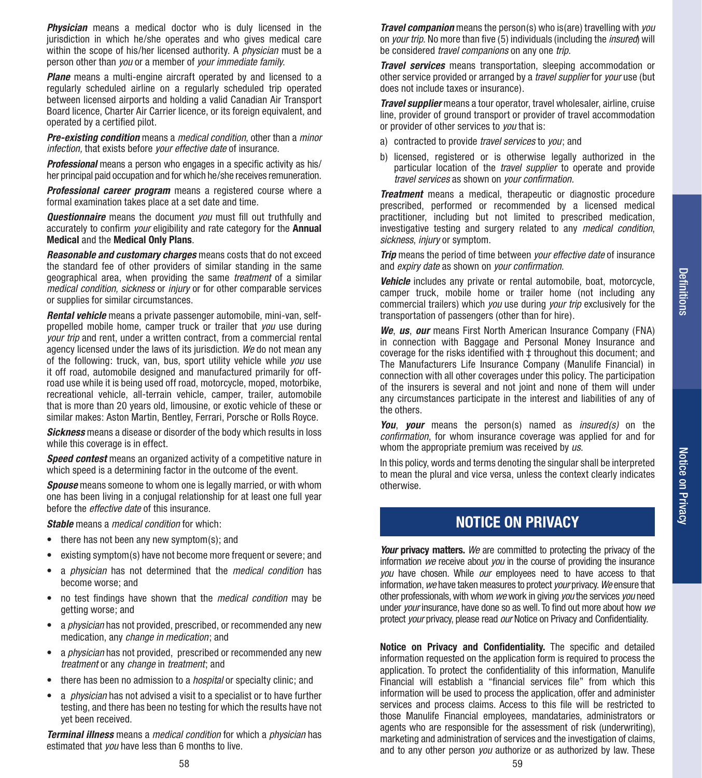**Physician** means a medical doctor who is duly licensed in the jurisdiction in which he/she operates and who gives medical care within the scope of his/her licensed authority. A *physician* must be a person other than *you* or a member of *your immediate family*.

**Plane** means a multi-engine aircraft operated by and licensed to a regularly scheduled airline on a regularly scheduled trip operated between licensed airports and holding a valid Canadian Air Transport Board licence, Charter Air Carrier licence, or its foreign equivalent, and operated by a certified pilot.

*Pre-existing condition* means a *medical condition,* other than a *minor infection,* that exists before *your effective date* of insurance.

**Professional** means a person who engages in a specific activity as his/ her principal paid occupation and for which he/she receives remuneration.

*Professional career program* means a registered course where a formal examination takes place at a set date and time.

*Questionnaire* means the document *you* must fill out truthfully and accurately to confirm *your* eligibility and rate category for the **Annual Medical** and the **Medical Only Plans**.

*Reasonable and customary charges* means costs that do not exceed the standard fee of other providers of similar standing in the same geographical area, when providing the same *treatment* of a similar *medical condition, sickness* or *injury* or for other comparable services or supplies for similar circumstances.

*Rental vehicle* means a private passenger automobile, mini-van, selfpropelled mobile home, camper truck or trailer that *you* use during *your trip* and rent, under a written contract, from a commercial rental agency licensed under the laws of its jurisdiction. *We* do not mean any of the following: truck, van, bus, sport utility vehicle while *you* use it off road, automobile designed and manufactured primarily for offroad use while it is being used off road, motorcycle, moped, motorbike, recreational vehicle, all-terrain vehicle, camper, trailer, automobile that is more than 20 years old, limousine, or exotic vehicle of these or similar makes: Aston Martin, Bentley, Ferrari, Porsche or Rolls Royce.

*Sickness* means a disease or disorder of the body which results in loss while this coverage is in effect.

**Speed contest** means an organized activity of a competitive nature in which speed is a determining factor in the outcome of the event.

*Spouse* means someone to whom one is legally married, or with whom one has been living in a conjugal relationship for at least one full year before the *effective date* of this insurance.

*Stable* means a *medical condition* for which:

- there has not been any new symptom(s); and
- existing symptom(s) have not become more frequent or severe; and
- a *physician* has not determined that the *medical condition* has become worse; and
- no test findings have shown that the *medical condition* may be getting worse; and
- a *physician* has not provided, prescribed, or recommended any new medication, any *change in medication*; and
- a *physician* has not provided, prescribed or recommended any new *treatment* or any *change* in *treatment*; and
- there has been no admission to a *hospital* or specialty clinic; and
- a *physician* has not advised a visit to a specialist or to have further testing, and there has been no testing for which the results have not yet been received.

*Terminal illness* means a *medical condition* for which a *physician* has estimated that *you* have less than 6 months to live.

*Travel companion* means the person(s) who is(are) travelling with *you* on *your trip*. No more than five (5) individuals (including the *insured*) will be considered *travel companions* on any one *trip*.

*Travel services* means transportation, sleeping accommodation or other service provided or arranged by a *travel supplier* for *your* use (but does not include taxes or insurance).

*Travel supplier* means a tour operator, travel wholesaler, airline, cruise line, provider of ground transport or provider of travel accommodation or provider of other services to *you* that is:

- a) contracted to provide *travel services* to *you*; and
- b) licensed, registered or is otherwise legally authorized in the particular location of the *travel supplier* to operate and provide *travel services* as shown on *your confirmation*.

*Treatment* means a medical, therapeutic or diagnostic procedure prescribed, performed or recommended by a licensed medical practitioner, including but not limited to prescribed medication, investigative testing and surgery related to any *medical condition*, *sickness*, *injury* or symptom.

*Trip* means the period of time between *your effective date* of insurance and *expiry date* as shown on *your confirmation*.

**Vehicle** includes any private or rental automobile, boat, motorcycle, camper truck, mobile home or trailer home (not including any commercial trailers) which *you* use during *your trip* exclusively for the transportation of passengers (other than for hire).

*We*, *us*, *our* means First North American Insurance Company (FNA) in connection with Baggage and Personal Money Insurance and coverage for the risks identified with ‡ throughout this document; and The Manufacturers Life Insurance Company (Manulife Financial) in connection with all other coverages under this policy. The participation of the insurers is several and not joint and none of them will under any circumstances participate in the interest and liabilities of any of the others.

*You*, *your* means the person(s) named as *insured(s)* on the *confirmation*, for whom insurance coverage was applied for and for whom the appropriate premium was received by *us*.

In this policy, words and terms denoting the singular shall be interpreted to mean the plural and vice versa, unless the context clearly indicates otherwise.

## **NOTICE ON PRIVACY**

*Your* privacy matters. We are committed to protecting the privacy of the information *we* receive about *you* in the course of providing the insurance *you* have chosen. While *our* employees need to have access to that information, *we* have taken measures to protect *your* privacy. *We* ensure that other professionals, with whom *we* work in giving *you* the services *you* need under *your* insurance, have done so as well. To find out more about how *we*  protect *your* privacy, please read *our* Notice on Privacy and Confidentiality.

**Notice on Privacy and Confidentiality.** The specific and detailed information requested on the application form is required to process the application. To protect the confidentiality of this information, Manulife Financial will establish a "financial services file" from which this information will be used to process the application, offer and administer services and process claims. Access to this file will be restricted to those Manulife Financial employees, mandataries, administrators or agents who are responsible for the assessment of risk (underwriting), marketing and administration of services and the investigation of claims, and to any other person *you* authorize or as authorized by law. These